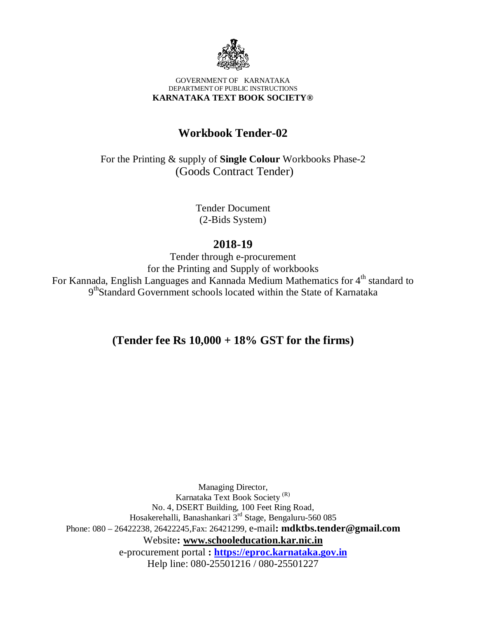

#### GOVERNMENT OF KARNATAKA DEPARTMENT OF PUBLIC INSTRUCTIONS **KARNATAKA TEXT BOOK SOCIETY®**

# **Workbook Tender-02**

For the Printing & supply of **Single Colour** Workbooks Phase-2 (Goods Contract Tender)

> Tender Document (2-Bids System)

## **2018-19**

Tender through e-procurement for the Printing and Supply of workbooks For Kannada, English Languages and Kannada Medium Mathematics for 4<sup>th</sup> standard to 9<sup>th</sup>Standard Government schools located within the State of Karnataka

# **(Tender fee Rs 10,000 + 18% GST for the firms)**

Managing Director, Karnataka Text Book Society (R) No. 4, DSERT Building, 100 Feet Ring Road, Hosakerehalli, Banashankari 3<sup>rd</sup> Stage, Bengaluru-560 085 Phone: 080 – 26422238, 26422245,Fax: 26421299, e-mail**: [mdktbs.tender@gmail.com](mailto:mdktbs.tender@gmail.com)** Website**: [www.schooleducation.kar.nic.in](http://www.schooleducation.kar.nic.in)** e-procurement portal **:<https://eproc.karnataka.gov.in>** Help line: 080-25501216 / 080-25501227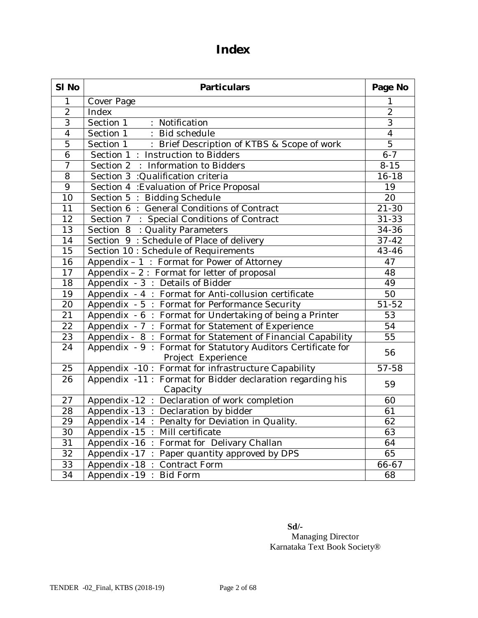# **Index**

| SI No           | <b>Particulars</b>                                                                 | Page No         |
|-----------------|------------------------------------------------------------------------------------|-----------------|
| $\mathbf{1}$    | Cover Page                                                                         | 1               |
| $\overline{2}$  | Index                                                                              | $\overline{2}$  |
| $\overline{3}$  | Section 1<br>: Notification                                                        | $\overline{3}$  |
| $\overline{4}$  | Section 1<br>: Bid schedule                                                        | $\overline{4}$  |
| $\overline{5}$  | Section 1<br>: Brief Description of KTBS & Scope of work                           | $\overline{5}$  |
| $\overline{6}$  | Section 1: Instruction to Bidders                                                  | $6 - 7$         |
| $\overline{7}$  | Section 2 : Information to Bidders                                                 | $8 - 15$        |
| 8               | Section 3 : Qualification criteria                                                 | $16 - 18$       |
| $\overline{9}$  | Section 4 : Evaluation of Price Proposal                                           | 19              |
| 10              | Section 5 : Bidding Schedule                                                       | $\overline{2}0$ |
| $\overline{11}$ | Section 6: General Conditions of Contract                                          | $21 - 30$       |
| $\overline{12}$ | Section 7 : Special Conditions of Contract                                         | $31 - 33$       |
| 13              | Section 8 : Quality Parameters                                                     | 34-36           |
| 14              | Section 9 : Schedule of Place of delivery                                          | $37 - 42$       |
| 15              | Section 10 : Schedule of Requirements                                              | $43 - 46$       |
| 16              | Appendix - 1: Format for Power of Attorney                                         | 47              |
| $\overline{17}$ | Appendix $-2$ : Format for letter of proposal                                      | 48              |
| $\overline{18}$ | Appendix - 3 : Details of Bidder                                                   | 49              |
| $\overline{19}$ | Appendix - 4 : Format for Anti-collusion certificate                               | 50              |
| 20              | Appendix - 5 : Format for Performance Security                                     | $51 - 52$       |
| $\overline{21}$ | Appendix - 6 : Format for Undertaking of being a Printer                           | 53              |
| 22              | Appendix - 7 : Format for Statement of Experience                                  | $\overline{54}$ |
| $\overline{23}$ | Appendix - 8: Format for Statement of Financial Capability                         | $\overline{55}$ |
| $\overline{24}$ | Appendix - 9 : Format for Statutory Auditors Certificate for<br>Project Experience | 56              |
| 25              | Appendix -10 : Format for infrastructure Capability                                | $57 - 58$       |
| 26              | Appendix -11: Format for Bidder declaration regarding his<br>Capacity              | 59              |
| 27              | Appendix -12 : Declaration of work completion                                      | 60              |
| 28              | Appendix -13 : Declaration by bidder                                               | $\overline{61}$ |
| 29              | Appendix -14 $\overline{$ :<br>Penalty for Deviation in Quality.                   | 62              |
| 30              | Mill certificate<br>Appendix -15 :                                                 | 63              |
| $\overline{31}$ | Format for Delivary Challan<br>Appendix -16 :                                      | 64              |
| 32              | Appendix -17 :<br>Paper quantity approved by DPS                                   | 65              |
| 33              | Appendix -18 :<br>Contract Form                                                    | 66-67           |
| $\overline{34}$ | Appendix -19:<br><b>Bid Form</b>                                                   | 68              |

 **Sd/-** Managing Director Karnataka Text Book Society®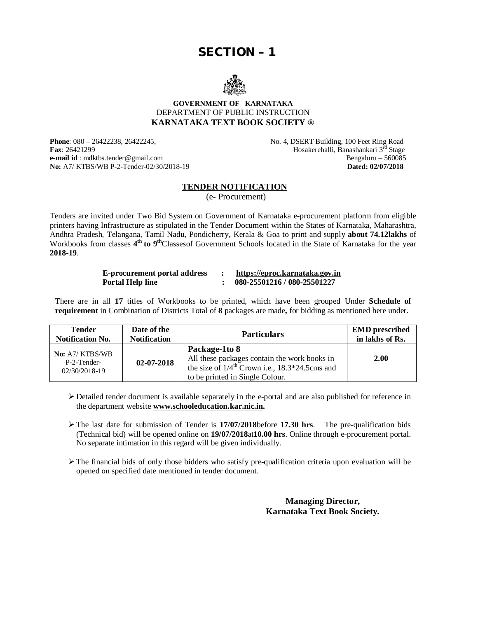# **SECTION – 1**



#### **GOVERNMENT OF KARNATAKA** DEPARTMENT OF PUBLIC INSTRUCTION **KARNATAKA TEXT BOOK SOCIETY ®**

**Phone**: 080 – 26422238, 26422245, **No. 4, DSERT Building, 100 Feet Ring Road Fax**: 26421299 **Fax**: 26421299 **Hosakerehalli, Banashankari 3<sup>rd</sup> Stage**<br>**e-mail id** : mdktbs.tender@gmail.com **Bengaluru** - 560085 **e-mail id** : [mdktbs.tender@gmail.com](mailto:mdktbs.tender@gmail.com) Bengaluru – 560085<br> **No:** A7/KTBS/WB P-2-Tender-02/30/2018-19 **Dated: 02/07/2018 No:** A7/ KTBS/WB P-2-Tender-02/30/2018-19

#### **TENDER NOTIFICATION**

(e- Procurement)

Tenders are invited under Two Bid System on Government of Karnataka e-procurement platform from eligible printers having Infrastructure as stipulated in the Tender Document within the States of Karnataka, Maharashtra, Andhra Pradesh, Telangana, Tamil Nadu, Pondicherry, Kerala & Goa to print and supply **about 74.12lakhs** of Workbooks from classes 4<sup>th</sup> to 9<sup>th</sup>Classesof Government Schools located in the State of Karnataka for the year **2018-19**.

| <b>E-procurement portal address</b> | https://eproc.karnataka.gov.in |
|-------------------------------------|--------------------------------|
| <b>Portal Help line</b>             | 080-25501216 / 080-25501227    |

There are in all **17** titles of Workbooks to be printed, which have been grouped Under **Schedule of requirement** in Combination of Districts Total of **8** packages are made**,** for bidding as mentioned here under.

| <b>Tender</b>                                            | Date of the         | <b>Particulars</b>                                                                                                                                             | <b>EMD</b> prescribed<br>in lakhs of Rs. |
|----------------------------------------------------------|---------------------|----------------------------------------------------------------------------------------------------------------------------------------------------------------|------------------------------------------|
| <b>Notification No.</b>                                  | <b>Notification</b> |                                                                                                                                                                |                                          |
| <b>No:</b> A7/ KTBS/WB<br>P-2-Tender-<br>$02/30/2018-19$ | 02-07-2018          | Package-1to 8<br>All these packages contain the work books in<br>the size of $1/4^{\text{th}}$ Crown i.e., 18.3*24.5cms and<br>to be printed in Single Colour. | 2.00                                     |

 $\triangleright$  Detailed tender document is available separately in the e-portal and are also published for reference in the department website **[www.schooleducation.kar.nic.in.](http://www.schooleducation.kar.nic.in.)**

 The last date for submission of Tender is **17/07/2018**before **17.30 hrs**. The pre-qualification bids (Technical bid) will be opened online on **19/07/2018**at**10.00 hrs**. Online through e-procurement portal. No separate intimation in this regard will be given individually.

 $\triangleright$  The financial bids of only those bidders who satisfy pre-qualification criteria upon evaluation will be opened on specified date mentioned in tender document.

> **Managing Director, Karnataka Text Book Society.**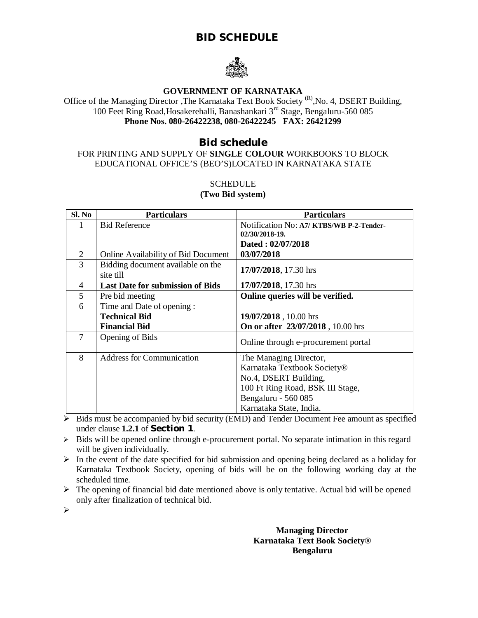## **BID SCHEDULE**



## **GOVERNMENT OF KARNATAKA**

Office of the Managing Director , The Karnataka Text Book Society<sup>(R)</sup>, No. 4, DSERT Building, 100 Feet Ring Road,Hosakerehalli, Banashankari 3rd Stage, Bengaluru-560 085 **Phone Nos. 080-26422238, 080-26422245 FAX: 26421299**

## **Bid schedule**

### FOR PRINTING AND SUPPLY OF **SINGLE COLOUR** WORKBOOKS TO BLOCK EDUCATIONAL OFFICE'S (BEO'S)LOCATED IN KARNATAKA STATE

#### **SCHEDULE**

#### **(Two Bid system)**

| Sl. No         | <b>Particulars</b>                             | <b>Particulars</b>                       |  |
|----------------|------------------------------------------------|------------------------------------------|--|
| 1              | <b>Bid Reference</b>                           | Notification No: A7/ KTBS/WB P-2-Tender- |  |
|                |                                                | 02/30/2018-19.                           |  |
|                |                                                | Dated: 02/07/2018                        |  |
| $\overline{2}$ | Online Availability of Bid Document            | 03/07/2018                               |  |
| 3              | Bidding document available on the<br>site till | 17/07/2018, 17.30 hrs                    |  |
| $\overline{4}$ | <b>Last Date for submission of Bids</b>        | 17/07/2018, 17.30 hrs                    |  |
| 5              | Pre bid meeting                                | Online queries will be verified.         |  |
| 6              | Time and Date of opening:                      |                                          |  |
|                | <b>Technical Bid</b>                           | 19/07/2018, 10.00 hrs                    |  |
|                | <b>Financial Bid</b>                           | On or after 23/07/2018, 10.00 hrs        |  |
| 7              | Opening of Bids                                | Online through e-procurement portal      |  |
| 8              | <b>Address for Communication</b>               | The Managing Director,                   |  |
|                |                                                | Karnataka Textbook Society®              |  |
|                |                                                | No.4, DSERT Building,                    |  |
|                |                                                | 100 Ft Ring Road, BSK III Stage,         |  |
|                |                                                | Bengaluru - 560 085                      |  |
|                |                                                | Karnataka State, India.                  |  |

 $\triangleright$  Bids must be accompanied by bid security (EMD) and Tender Document Fee amount as specified under clause **1.2.1** of **Section 1**.

 $\triangleright$  Bids will be opened online through e-procurement portal. No separate intimation in this regard will be given individually.

 $\triangleright$  In the event of the date specified for bid submission and opening being declared as a holiday for Karnataka Textbook Society, opening of bids will be on the following working day at the scheduled time.

 $\triangleright$  The opening of financial bid date mentioned above is only tentative. Actual bid will be opened only after finalization of technical bid.

 $\blacktriangleright$ 

**Managing Director Karnataka Text Book Society® Bengaluru**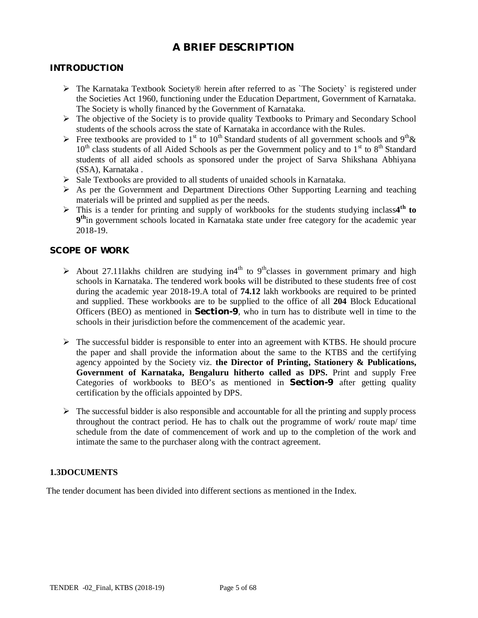## **A BRIEF DESCRIPTION**

## **INTRODUCTION**

- $\triangleright$  The Karnataka Textbook Society® herein after referred to as `The Society` is registered under the Societies Act 1960, functioning under the Education Department, Government of Karnataka. The Society is wholly financed by the Government of Karnataka.
- $\triangleright$  The objective of the Society is to provide quality Textbooks to Primary and Secondary School students of the schools across the state of Karnataka in accordance with the Rules.
- Free textbooks are provided to 1<sup>st</sup> to 10<sup>th</sup> Standard students of all government schools and 9<sup>th</sup> &  $10<sup>th</sup>$  class students of all Aided Schools as per the Government policy and to  $1<sup>st</sup>$  to  $8<sup>th</sup>$  Standard students of all aided schools as sponsored under the project of Sarva Shikshana Abhiyana (SSA), Karnataka .
- $\triangleright$  Sale Textbooks are provided to all students of unaided schools in Karnataka.
- $\triangleright$  As per the Government and Department Directions Other Supporting Learning and teaching materials will be printed and supplied as per the needs.
- This is a tender for printing and supply of workbooks for the students studying inclass**4 th to**  9<sup>th</sup>in government schools located in Karnataka state under free category for the academic year 2018-19.

## **SCOPE OF WORK**

- About 27.11lakhs children are studying in<sup>4th</sup> to 9<sup>th</sup>classes in government primary and high schools in Karnataka. The tendered work books will be distributed to these students free of cost during the academic year 2018-19.A total of **74.12** lakh workbooks are required to be printed and supplied. These workbooks are to be supplied to the office of all **204** Block Educational Officers (BEO) as mentioned in **Section-9**, who in turn has to distribute well in time to the schools in their jurisdiction before the commencement of the academic year.
- $\triangleright$  The successful bidder is responsible to enter into an agreement with KTBS. He should procure the paper and shall provide the information about the same to the KTBS and the certifying agency appointed by the Society viz. **the Director of Printing, Stationery & Publications, Government of Karnataka, Bengaluru hitherto called as DPS.** Print and supply Free Categories of workbooks to BEO's as mentioned in **Section-9** after getting quality certification by the officials appointed by DPS.
- $\triangleright$  The successful bidder is also responsible and accountable for all the printing and supply process throughout the contract period. He has to chalk out the programme of work/ route map/ time schedule from the date of commencement of work and up to the completion of the work and intimate the same to the purchaser along with the contract agreement.

#### **1.3DOCUMENTS**

The tender document has been divided into different sections as mentioned in the Index.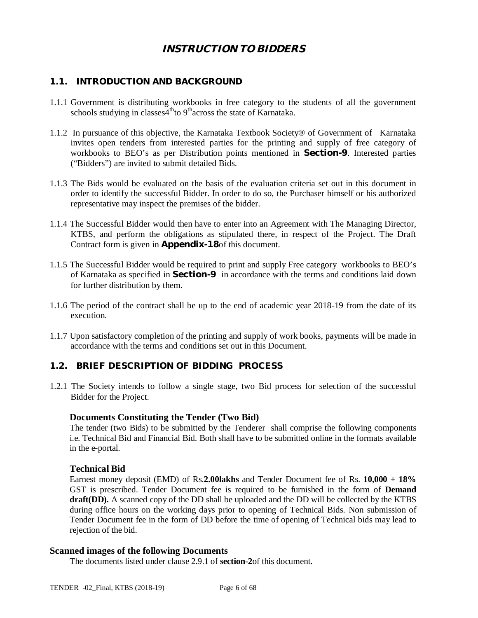## *INSTRUCTION TO BIDDERS*

## **1.1. INTRODUCTION AND BACKGROUND**

- 1.1.1 Government is distributing workbooks in free category to the students of all the government schools studying in classes4<sup>th</sup>to 9<sup>th</sup>across the state of Karnataka.
- 1.1.2 In pursuance of this objective, the Karnataka Textbook Society® of Government of Karnataka invites open tenders from interested parties for the printing and supply of free category of workbooks to BEO's as per Distribution points mentioned in **Section-9**. Interested parties ("Bidders") are invited to submit detailed Bids.
- 1.1.3 The Bids would be evaluated on the basis of the evaluation criteria set out in this document in order to identify the successful Bidder. In order to do so, the Purchaser himself or his authorized representative may inspect the premises of the bidder.
- 1.1.4 The Successful Bidder would then have to enter into an Agreement with The Managing Director, KTBS, and perform the obligations as stipulated there, in respect of the Project. The Draft Contract form is given in **Appendix-18**of this document.
- 1.1.5 The Successful Bidder would be required to print and supply Free category workbooks to BEO's of Karnataka as specified in **Section-9** in accordance with the terms and conditions laid down for further distribution by them.
- 1.1.6 The period of the contract shall be up to the end of academic year 2018-19 from the date of its execution.
- 1.1.7 Upon satisfactory completion of the printing and supply of work books, payments will be made in accordance with the terms and conditions set out in this Document.

### **1.2. BRIEF DESCRIPTION OF BIDDING PROCESS**

1.2.1 The Society intends to follow a single stage, two Bid process for selection of the successful Bidder for the Project.

#### **Documents Constituting the Tender (Two Bid)**

The tender (two Bids) to be submitted by the Tenderer shall comprise the following components i.e. Technical Bid and Financial Bid. Both shall have to be submitted online in the formats available in the e-portal.

#### **Technical Bid**

Earnest money deposit (EMD) of Rs.**2.00lakhs** and Tender Document fee of Rs. **10,000 + 18%** GST is prescribed. Tender Document fee is required to be furnished in the form of **Demand draft(DD).** A scanned copy of the DD shall be uploaded and the DD will be collected by the KTBS during office hours on the working days prior to opening of Technical Bids. Non submission of Tender Document fee in the form of DD before the time of opening of Technical bids may lead to rejection of the bid.

#### **Scanned images of the following Documents**

The documents listed under clause 2.9.1 of **section-2**of this document.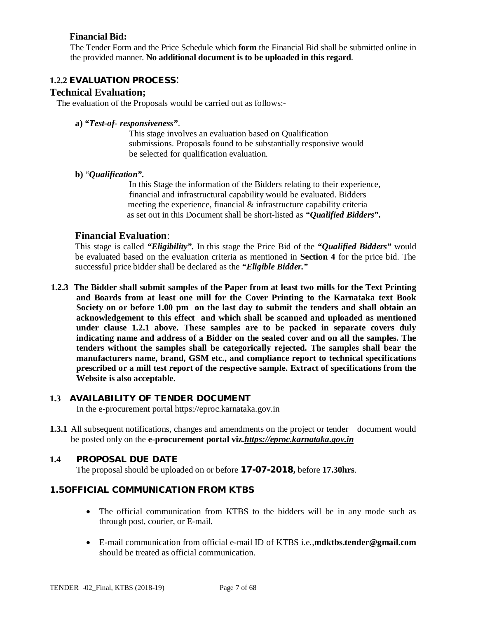## **Financial Bid:**

The Tender Form and the Price Schedule which **form** the Financial Bid shall be submitted online in the provided manner. **No additional document is to be uploaded in this regard**.

### **1.2.2 EVALUATION PROCESS**:

### **Technical Evaluation;**

The evaluation of the Proposals would be carried out as follows:-

## **a)** *"Test-of- responsiveness"*.

This stage involves an evaluation based on Qualification submissions. Proposals found to be substantially responsive would be selected for qualification evaluation.

#### **b)** "*Qualification".*

In this Stage the information of the Bidders relating to their experience, financial and infrastructural capability would be evaluated. Bidders meeting the experience, financial & infrastructure capability criteria as set out in this Document shall be short-listed as *"Qualified Bidders".*

## **Financial Evaluation**:

This stage is called *"Eligibility".* In this stage the Price Bid of the *"Qualified Bidders"* would be evaluated based on the evaluation criteria as mentioned in **Section 4** for the price bid. The successful price bidder shall be declared as the *"Eligible Bidder."*

**1.2.3 The Bidder shall submit samples of the Paper from at least two mills for the Text Printing and Boards from at least one mill for the Cover Printing to the Karnataka text Book Society on or before 1.00 pm on the last day to submit the tenders and shall obtain an acknowledgement to this effect and which shall be scanned and uploaded as mentioned under clause 1.2.1 above. These samples are to be packed in separate covers duly indicating name and address of a Bidder on the sealed cover and on all the samples. The tenders without the samples shall be categorically rejected. The samples shall bear the manufacturers name, brand, GSM etc., and compliance report to technical specifications prescribed or a mill test report of the respective sample. Extract of specifications from the Website is also acceptable.**

## **1.3 AVAILABILITY OF TENDER DOCUMENT**

In the e-procurement portal<https://eproc.karnataka.gov.in>

**1.3.1** All subsequent notifications, changes and amendments on the project or tender document would be posted only on the **e-procurement portal viz.***<https://eproc.karnataka.gov.in>*

## **1.4 PROPOSAL DUE DATE**

The proposal should be uploaded on or before **17-07-2018,** before **17.30hrs**.

## **1.5OFFICIAL COMMUNICATION FROM KTBS**

- The official communication from KTBS to the bidders will be in any mode such as through post, courier, or E-mail.
- E-mail communication from official e-mail ID of KTBS i.e.,**[mdktbs.tender@gmail.com](mailto:mdktbs.tender@gmail.com)** should be treated as official communication.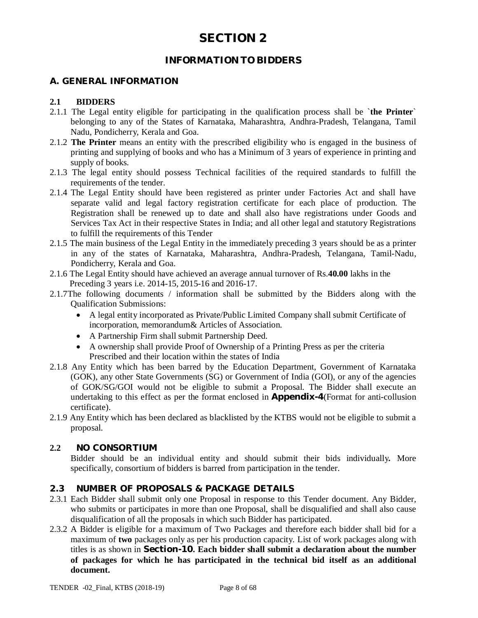## **INFORMATION TO BIDDERS**

## **A. GENERAL INFORMATION**

## **2.1 BIDDERS**

- 2.1.1 The Legal entity eligible for participating in the qualification process shall be `**the Printer**` belonging to any of the States of Karnataka, Maharashtra, Andhra-Pradesh, Telangana, Tamil Nadu, Pondicherry, Kerala and Goa.
- 2.1.2 **The Printer** means an entity with the prescribed eligibility who is engaged in the business of printing and supplying of books and who has a Minimum of 3 years of experience in printing and supply of books.
- 2.1.3 The legal entity should possess Technical facilities of the required standards to fulfill the requirements of the tender.
- 2.1.4 The Legal Entity should have been registered as printer under Factories Act and shall have separate valid and legal factory registration certificate for each place of production. The Registration shall be renewed up to date and shall also have registrations under Goods and Services Tax Act in their respective States in India; and all other legal and statutory Registrations to fulfill the requirements of this Tender
- 2.1.5 The main business of the Legal Entity in the immediately preceding 3 years should be as a printer in any of the states of Karnataka, Maharashtra, Andhra-Pradesh, Telangana, Tamil-Nadu, Pondicherry, Kerala and Goa.
- 2.1.6 The Legal Entity should have achieved an average annual turnover of Rs.**40.00** lakhs in the Preceding 3 years i.e. 2014-15, 2015-16 and 2016-17.
- 2.1.7The following documents / information shall be submitted by the Bidders along with the Qualification Submissions:
	- A legal entity incorporated as Private/Public Limited Company shall submit Certificate of incorporation, memorandum& Articles of Association.
	- A Partnership Firm shall submit Partnership Deed.
	- A ownership shall provide Proof of Ownership of a Printing Press as per the criteria Prescribed and their location within the states of India
- 2.1.8 Any Entity which has been barred by the Education Department, Government of Karnataka (GOK), any other State Governments (SG) or Government of India (GOI), or any of the agencies of GOK/SG/GOI would not be eligible to submit a Proposal. The Bidder shall execute an undertaking to this effect as per the format enclosed in **Appendix-4**(Format for anti-collusion certificate).
- 2.1.9 Any Entity which has been declared as blacklisted by the KTBS would not be eligible to submit a proposal.

## **2.2 NO CONSORTIUM**

Bidder should be an individual entity and should submit their bids individually*.* More specifically, consortium of bidders is barred from participation in the tender.

## **2.3 NUMBER OF PROPOSALS & PACKAGE DETAILS**

- 2.3.1 Each Bidder shall submit only one Proposal in response to this Tender document. Any Bidder, who submits or participates in more than one Proposal, shall be disqualified and shall also cause disqualification of all the proposals in which such Bidder has participated.
- 2.3.2 A Bidder is eligible for a maximum of Two Packages and therefore each bidder shall bid for a maximum of **two** packages only as per his production capacity. List of work packages along with titles is as shown in **Section-10. Each bidder shall submit a declaration about the number of packages for which he has participated in the technical bid itself as an additional document.**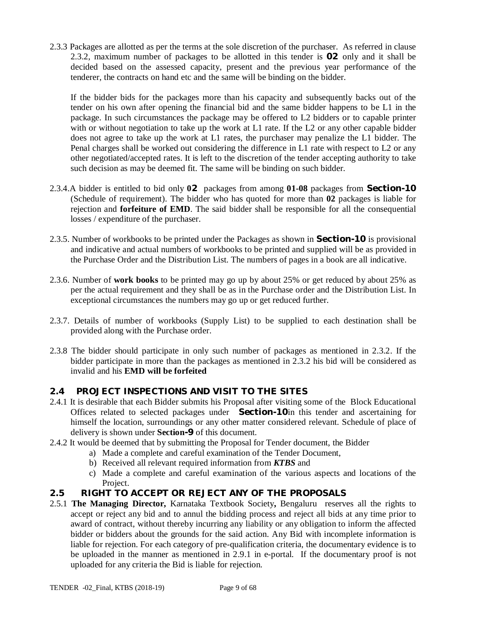2.3.3 Packages are allotted as per the terms at the sole discretion of the purchaser. As referred in clause 2.3.2, maximum number of packages to be allotted in this tender is **02** only and it shall be decided based on the assessed capacity, present and the previous year performance of the tenderer, the contracts on hand etc and the same will be binding on the bidder.

If the bidder bids for the packages more than his capacity and subsequently backs out of the tender on his own after opening the financial bid and the same bidder happens to be L1 in the package. In such circumstances the package may be offered to L2 bidders or to capable printer with or without negotiation to take up the work at L1 rate. If the L2 or any other capable bidder does not agree to take up the work at L1 rates, the purchaser may penalize the L1 bidder. The Penal charges shall be worked out considering the difference in L1 rate with respect to L2 or any other negotiated/accepted rates. It is left to the discretion of the tender accepting authority to take such decision as may be deemed fit. The same will be binding on such bidder.

- 2.3.4.A bidder is entitled to bid only **02** packages from among **01-08** packages from **Section-10** (Schedule of requirement). The bidder who has quoted for more than **02** packages is liable for rejection and **forfeiture of EMD**. The said bidder shall be responsible for all the consequential losses / expenditure of the purchaser.
- 2.3.5. Number of workbooks to be printed under the Packages as shown in **Section-10** is provisional and indicative and actual numbers of workbooks to be printed and supplied will be as provided in the Purchase Order and the Distribution List. The numbers of pages in a book are all indicative.
- 2.3.6. Number of **work books** to be printed may go up by about 25% or get reduced by about 25% as per the actual requirement and they shall be as in the Purchase order and the Distribution List. In exceptional circumstances the numbers may go up or get reduced further.
- 2.3.7. Details of number of workbooks (Supply List) to be supplied to each destination shall be provided along with the Purchase order.
- 2.3.8 The bidder should participate in only such number of packages as mentioned in 2.3.2. If the bidder participate in more than the packages as mentioned in 2.3.2 his bid will be considered as invalid and his **EMD will be forfeited**

## **2.4 PROJECT INSPECTIONS AND VISIT TO THE SITES**

- 2.4.1 It is desirable that each Bidder submits his Proposal after visiting some of the Block Educational Offices related to selected packages under **Section-10**in this tender and ascertaining for himself the location, surroundings or any other matter considered relevant. Schedule of place of delivery is shown under **Section-9** of this document.
- 2.4.2 It would be deemed that by submitting the Proposal for Tender document, the Bidder
	- a) Made a complete and careful examination of the Tender Document,
	- b) Received all relevant required information from *KTBS* and
	- c) Made a complete and careful examination of the various aspects and locations of the Project.
- **2.5 RIGHT TO ACCEPT OR REJECT ANY OF THE PROPOSALS**
- 2.5.1 **The Managing Director,** Karnataka Textbook Society**,** Bengaluru reserves all the rights to accept or reject any bid and to annul the bidding process and reject all bids at any time prior to award of contract, without thereby incurring any liability or any obligation to inform the affected bidder or bidders about the grounds for the said action. Any Bid with incomplete information is liable for rejection. For each category of pre-qualification criteria, the documentary evidence is to be uploaded in the manner as mentioned in 2.9.1 in e-portal. If the documentary proof is not uploaded for any criteria the Bid is liable for rejection.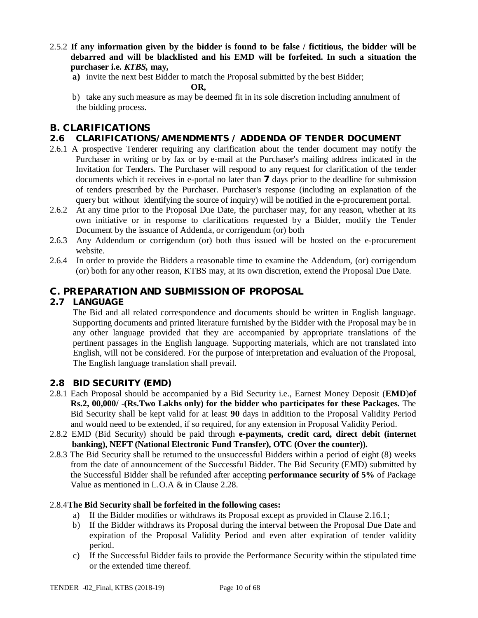- 2.5.2 **If any information given by the bidder is found to be false / fictitious, the bidder will be debarred and will be blacklisted and his EMD will be forfeited. In such a situation the purchaser i.e.** *KTBS,* **may,**
	- **a)** invite the next best Bidder to match the Proposal submitted by the best Bidder;

 **OR,**

b) take any such measure as may be deemed fit in its sole discretion including annulment of the bidding process.

## **B. CLARIFICATIONS**

## **2.6 CLARIFICATIONS/AMENDMENTS / ADDENDA OF TENDER DOCUMENT**

- 2.6.1 A prospective Tenderer requiring any clarification about the tender document may notify the Purchaser in writing or by fax or by e-mail at the Purchaser's mailing address indicated in the Invitation for Tenders. The Purchaser will respond to any request for clarification of the tender documents which it receives in e-portal no later than **7** days prior to the deadline for submission of tenders prescribed by the Purchaser. Purchaser's response (including an explanation of the query but without identifying the source of inquiry) will be notified in the e-procurement portal.
- 2.6.2 At any time prior to the Proposal Due Date, the purchaser may, for any reason, whether at its own initiative or in response to clarifications requested by a Bidder, modify the Tender Document by the issuance of Addenda, or corrigendum (or) both
- 2.6.3 Any Addendum or corrigendum (or) both thus issued will be hosted on the e-procurement website.
- 2.6.4 In order to provide the Bidders a reasonable time to examine the Addendum, (or) corrigendum (or) both for any other reason, KTBS may, at its own discretion, extend the Proposal Due Date.

## **C. PREPARATION AND SUBMISSION OF PROPOSAL**

## **2.7 LANGUAGE**

The Bid and all related correspondence and documents should be written in English language. Supporting documents and printed literature furnished by the Bidder with the Proposal may be in any other language provided that they are accompanied by appropriate translations of the pertinent passages in the English language. Supporting materials, which are not translated into English, will not be considered. For the purpose of interpretation and evaluation of the Proposal, The English language translation shall prevail.

## **2.8 BID SECURITY (EMD)**

- 2.8.1 Each Proposal should be accompanied by a Bid Security i.e., Earnest Money Deposit (**EMD**)**of Rs.2, 00,000/ -(Rs.Two Lakhs only) for the bidder who participates for these Packages.** The Bid Security shall be kept valid for at least **90** days in addition to the Proposal Validity Period and would need to be extended, if so required, for any extension in Proposal Validity Period.
- 2.8.2 EMD (Bid Security) should be paid through **e-payments, credit card, direct debit (internet banking), NEFT (National Electronic Fund Transfer), OTC (Over the counter)).**
- 2.8.3 The Bid Security shall be returned to the unsuccessful Bidders within a period of eight (8) weeks from the date of announcement of the Successful Bidder. The Bid Security (EMD) submitted by the Successful Bidder shall be refunded after accepting **performance security of 5%** of Package Value as mentioned in L.O.A & in Clause 2.28.

## 2.8.4**The Bid Security shall be forfeited in the following cases:**

- a) If the Bidder modifies or withdraws its Proposal except as provided in Clause 2.16.1;
- b) If the Bidder withdraws its Proposal during the interval between the Proposal Due Date and expiration of the Proposal Validity Period and even after expiration of tender validity period.
- c) If the Successful Bidder fails to provide the Performance Security within the stipulated time or the extended time thereof.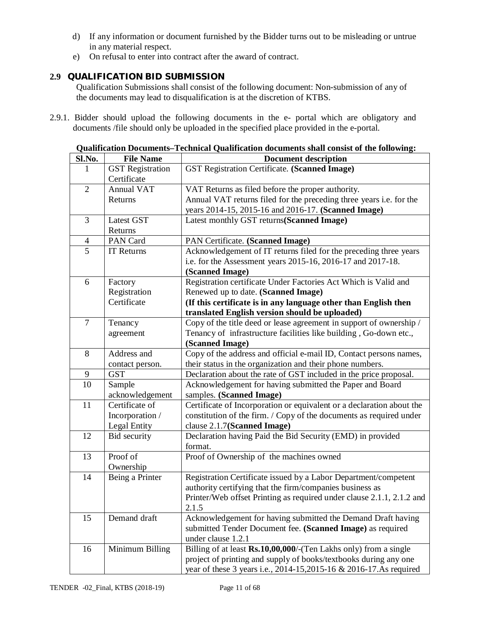- d) If any information or document furnished by the Bidder turns out to be misleading or untrue in any material respect.
- e) On refusal to enter into contract after the award of contract.

## **2.9 QUALIFICATION BID SUBMISSION**

Qualification Submissions shall consist of the following document: Non-submission of any of the documents may lead to disqualification is at the discretion of KTBS.

2.9.1. Bidder should upload the following documents in the e- portal which are obligatory and documents /file should only be uploaded in the specified place provided in the e-portal.

**Qualification Documents***–***Technical Qualification documents shall consist of the following:**

| Sl.No.         | <b>File Name</b>        | <b>Document description</b>                                           |  |
|----------------|-------------------------|-----------------------------------------------------------------------|--|
| 1              | <b>GST</b> Registration | GST Registration Certificate. (Scanned Image)                         |  |
|                | Certificate             |                                                                       |  |
| $\overline{2}$ | <b>Annual VAT</b>       | VAT Returns as filed before the proper authority.                     |  |
|                | Returns                 | Annual VAT returns filed for the preceding three years i.e. for the   |  |
|                |                         | years 2014-15, 2015-16 and 2016-17. (Scanned Image)                   |  |
| 3              | Latest GST              | Latest monthly GST returns(Scanned Image)                             |  |
|                | Returns                 |                                                                       |  |
| $\overline{4}$ | PAN Card                | PAN Certificate. (Scanned Image)                                      |  |
| $\overline{5}$ | IT Returns              | Acknowledgement of IT returns filed for the preceding three years     |  |
|                |                         | i.e. for the Assessment years 2015-16, 2016-17 and 2017-18.           |  |
|                |                         | (Scanned Image)                                                       |  |
| 6              | Factory                 | Registration certificate Under Factories Act Which is Valid and       |  |
|                | Registration            | Renewed up to date. (Scanned Image)                                   |  |
|                | Certificate             | (If this certificate is in any language other than English then       |  |
|                |                         | translated English version should be uploaded)                        |  |
| $\tau$         | Tenancy                 | Copy of the title deed or lease agreement in support of ownership /   |  |
|                | agreement               | Tenancy of infrastructure facilities like building, Go-down etc.,     |  |
|                |                         | (Scanned Image)                                                       |  |
| 8              | Address and             | Copy of the address and official e-mail ID, Contact persons names,    |  |
|                | contact person.         | their status in the organization and their phone numbers.             |  |
| 9              | <b>GST</b>              | Declaration about the rate of GST included in the price proposal.     |  |
| 10             | Sample                  | Acknowledgement for having submitted the Paper and Board              |  |
|                | acknowledgement         | samples. (Scanned Image)                                              |  |
| 11             | Certificate of          | Certificate of Incorporation or equivalent or a declaration about the |  |
|                | Incorporation /         | constitution of the firm. / Copy of the documents as required under   |  |
|                | Legal Entity            | clause 2.1.7(Scanned Image)                                           |  |
| 12             | Bid security            | Declaration having Paid the Bid Security (EMD) in provided            |  |
|                |                         | format.                                                               |  |
| 13             | Proof of                | Proof of Ownership of the machines owned                              |  |
|                | Ownership               |                                                                       |  |
| 14             | Being a Printer         | Registration Certificate issued by a Labor Department/competent       |  |
|                |                         | authority certifying that the firm/companies business as              |  |
|                |                         | Printer/Web offset Printing as required under clause 2.1.1, 2.1.2 and |  |
|                |                         | 2.1.5                                                                 |  |
| 15             | Demand draft            | Acknowledgement for having submitted the Demand Draft having          |  |
|                |                         | submitted Tender Document fee. (Scanned Image) as required            |  |
|                |                         | under clause 1.2.1                                                    |  |
| 16             | Minimum Billing         | Billing of at least Rs.10,00,000/-(Ten Lakhs only) from a single      |  |
|                |                         | project of printing and supply of books/textbooks during any one      |  |
|                |                         | year of these 3 years i.e., 2014-15,2015-16 & 2016-17.As required     |  |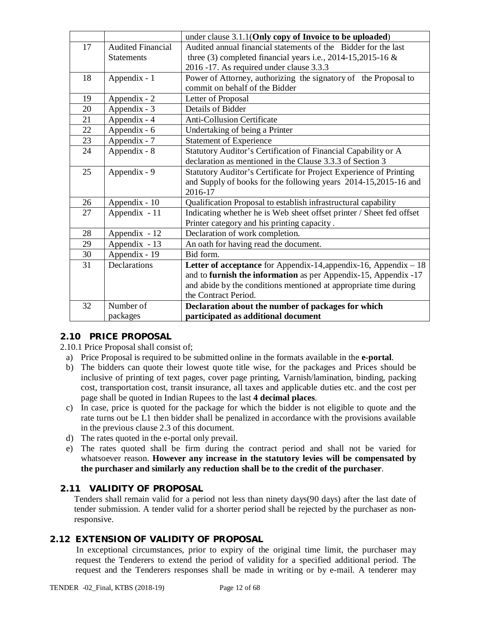|    |                          | under clause 3.1.1(Only copy of Invoice to be uploaded)              |
|----|--------------------------|----------------------------------------------------------------------|
| 17 | <b>Audited Financial</b> | Audited annual financial statements of the Bidder for the last       |
|    | <b>Statements</b>        | three (3) completed financial years i.e., 2014-15,2015-16 $\&$       |
|    |                          | 2016 -17. As required under clause 3.3.3                             |
| 18 | Appendix - 1             | Power of Attorney, authorizing the signatory of the Proposal to      |
|    |                          | commit on behalf of the Bidder                                       |
| 19 | Appendix - 2             | Letter of Proposal                                                   |
| 20 | Appendix - 3             | Details of Bidder                                                    |
| 21 | Appendix - 4             | <b>Anti-Collusion Certificate</b>                                    |
| 22 | Appendix - 6             | Undertaking of being a Printer                                       |
| 23 | Appendix - 7             | <b>Statement of Experience</b>                                       |
| 24 | Appendix - 8             | Statutory Auditor's Certification of Financial Capability or A       |
|    |                          | declaration as mentioned in the Clause 3.3.3 of Section 3            |
| 25 | Appendix - 9             | Statutory Auditor's Certificate for Project Experience of Printing   |
|    |                          | and Supply of books for the following years 2014-15,2015-16 and      |
|    |                          | 2016-17                                                              |
| 26 | Appendix - 10            | Qualification Proposal to establish infrastructural capability       |
| 27 | Appendix - 11            | Indicating whether he is Web sheet offset printer / Sheet fed offset |
|    |                          | Printer category and his printing capacity.                          |
| 28 | Appendix - 12            | Declaration of work completion.                                      |
| 29 | Appendix - 13            | An oath for having read the document.                                |
| 30 | Appendix - 19            | Bid form.                                                            |
| 31 | Declarations             | Letter of acceptance for Appendix-14, appendix-16, Appendix - 18     |
|    |                          | and to furnish the information as per Appendix-15, Appendix -17      |
|    |                          | and abide by the conditions mentioned at appropriate time during     |
|    |                          | the Contract Period.                                                 |
| 32 | Number of                | Declaration about the number of packages for which                   |
|    | packages                 | participated as additional document                                  |

## **2.10 PRICE PROPOSAL**

2.10.1 Price Proposal shall consist of;

- a) Price Proposal is required to be submitted online in the formats available in the **e-portal**.
- b) The bidders can quote their lowest quote title wise, for the packages and Prices should be inclusive of printing of text pages, cover page printing, Varnish/lamination, binding, packing cost, transportation cost, transit insurance, all taxes and applicable duties etc. and the cost per page shall be quoted in Indian Rupees to the last **4 decimal places**.
- c) In case, price is quoted for the package for which the bidder is not eligible to quote and the rate turns out be L1 then bidder shall be penalized in accordance with the provisions available in the previous clause 2.3 of this document.
- d) The rates quoted in the e-portal only prevail.
- e) The rates quoted shall be firm during the contract period and shall not be varied for whatsoever reason. **However any increase in the statutory levies will be compensated by the purchaser and similarly any reduction shall be to the credit of the purchaser**.

## **2.11 VALIDITY OF PROPOSAL**

Tenders shall remain valid for a period not less than ninety days(90 days) after the last date of tender submission. A tender valid for a shorter period shall be rejected by the purchaser as nonresponsive.

## **2.12 EXTENSION OF VALIDITY OF PROPOSAL**

In exceptional circumstances, prior to expiry of the original time limit, the purchaser may request the Tenderers to extend the period of validity for a specified additional period. The request and the Tenderers responses shall be made in writing or by e-mail. A tenderer may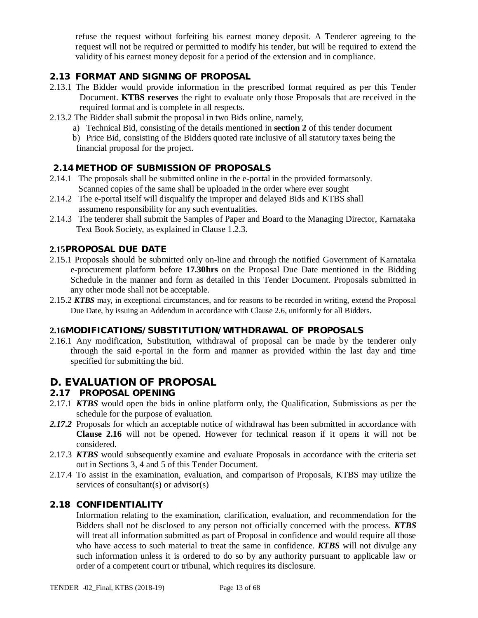refuse the request without forfeiting his earnest money deposit. A Tenderer agreeing to the request will not be required or permitted to modify his tender, but will be required to extend the validity of his earnest money deposit for a period of the extension and in compliance.

## **2.13 FORMAT AND SIGNING OF PROPOSAL**

- 2.13.1 The Bidder would provide information in the prescribed format required as per this Tender Document. **KTBS reserves** the right to evaluate only those Proposals that are received in the required format and is complete in all respects.
- 2.13.2 The Bidder shall submit the proposal in two Bids online, namely,
	- a) Technical Bid, consisting of the details mentioned in **section 2** of this tender document
	- b) Price Bid, consisting of the Bidders quoted rate inclusive of all statutory taxes being the financial proposal for the project.

## **2.14 METHOD OF SUBMISSION OF PROPOSALS**

- 2.14.1 The proposals shall be submitted online in the e-portal in the provided formatsonly. Scanned copies of the same shall be uploaded in the order where ever sought
- 2.14.2 The e-portal itself will disqualify the improper and delayed Bids and KTBS shall assumeno responsibility for any such eventualities.
- 2.14.3 The tenderer shall submit the Samples of Paper and Board to the Managing Director, Karnataka Text Book Society, as explained in Clause 1.2.3.

## **2.15PROPOSAL DUE DATE**

- 2.15.1 Proposals should be submitted only on-line and through the notified Government of Karnataka e-procurement platform before **17.30hrs** on the Proposal Due Date mentioned in the Bidding Schedule in the manner and form as detailed in this Tender Document. Proposals submitted in any other mode shall not be acceptable.
- 2.15.2 *KTBS* may, in exceptional circumstances, and for reasons to be recorded in writing, extend the Proposal Due Date, by issuing an Addendum in accordance with Clause 2.6, uniformly for all Bidders.

## **2.16MODIFICATIONS/SUBSTITUTION/WITHDRAWAL OF PROPOSALS**

2.16.1 Any modification, Substitution, withdrawal of proposal can be made by the tenderer only through the said e-portal in the form and manner as provided within the last day and time specified for submitting the bid.

## **D. EVALUATION OF PROPOSAL**

#### **2.17 PROPOSAL OPENING**

- 2.17.1 *KTBS* would open the bids in online platform only, the Qualification, Submissions as per the schedule for the purpose of evaluation.
- 2.17.2 Proposals for which an acceptable notice of withdrawal has been submitted in accordance with **Clause 2.16** will not be opened. However for technical reason if it opens it will not be considered.
- 2.17.3 *KTBS* would subsequently examine and evaluate Proposals in accordance with the criteria set out in Sections 3, 4 and 5 of this Tender Document.
- 2.17.4 To assist in the examination, evaluation, and comparison of Proposals, KTBS may utilize the services of consultant(s) or advisor(s)

#### **2.18 CONFIDENTIALITY**

Information relating to the examination, clarification, evaluation, and recommendation for the Bidders shall not be disclosed to any person not officially concerned with the process. *KTBS* will treat all information submitted as part of Proposal in confidence and would require all those who have access to such material to treat the same in confidence. *KTBS* will not divulge any such information unless it is ordered to do so by any authority pursuant to applicable law or order of a competent court or tribunal, which requires its disclosure.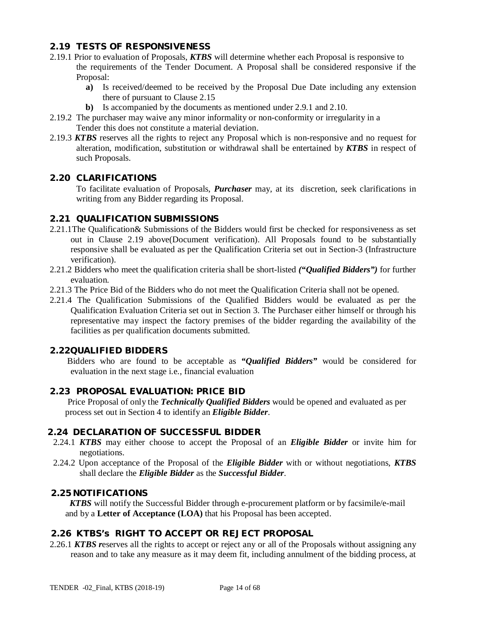## **2.19 TESTS OF RESPONSIVENESS**

- 2.19.1 Prior to evaluation of Proposals, *KTBS* will determine whether each Proposal is responsive to the requirements of the Tender Document. A Proposal shall be considered responsive if the Proposal:
	- **a)** Is received/deemed to be received by the Proposal Due Date including any extension there of pursuant to Clause 2.15
	- **b)** Is accompanied by the documents as mentioned under 2.9.1 and 2.10.
- 2.19.2 The purchaser may waive any minor informality or non-conformity or irregularity in a Tender this does not constitute a material deviation.
- 2.19.3 *KTBS* reserves all the rights to reject any Proposal which is non-responsive and no request for alteration, modification, substitution or withdrawal shall be entertained by *KTBS* in respect of such Proposals.

#### **2.20 CLARIFICATIONS**

To facilitate evaluation of Proposals, *Purchaser* may, at its discretion, seek clarifications in writing from any Bidder regarding its Proposal.

## **2.21 QUALIFICATION SUBMISSIONS**

- 2.21.1The Qualification& Submissions of the Bidders would first be checked for responsiveness as set out in Clause 2.19 above(Document verification). All Proposals found to be substantially responsive shall be evaluated as per the Qualification Criteria set out in Section-3 (Infrastructure verification).
- 2.21.2 Bidders who meet the qualification criteria shall be short-listed *("Qualified Bidders")* for further evaluation.
- 2.21.3 The Price Bid of the Bidders who do not meet the Qualification Criteria shall not be opened.
- 2.21.4 The Qualification Submissions of the Qualified Bidders would be evaluated as per the Qualification Evaluation Criteria set out in Section 3. The Purchaser either himself or through his representative may inspect the factory premises of the bidder regarding the availability of the facilities as per qualification documents submitted.

#### **2.22QUALIFIED BIDDERS**

 Bidders who are found to be acceptable as *"Qualified Bidders"* would be considered for evaluation in the next stage i.e., financial evaluation

#### **2.23 PROPOSAL EVALUATION: PRICE BID**

 Price Proposal of only the *Technically Qualified Bidders* would be opened and evaluated as per process set out in Section 4 to identify an *Eligible Bidder*.

#### **2.24 DECLARATION OF SUCCESSFUL BIDDER**

- 2.24.1 *KTBS* may either choose to accept the Proposal of an *Eligible Bidder* or invite him for negotiations.
- 2.24.2 Upon acceptance of the Proposal of the *Eligible Bidder* with or without negotiations, *KTBS*  shall declare the *Eligible Bidder* as the *Successful Bidder*.

#### **2.25 NOTIFICATIONS**

 *KTBS* will notify the Successful Bidder through e-procurement platform or by facsimile/e-mail and by a **Letter of Acceptance (LOA)** that his Proposal has been accepted.

## **2.26 KTBS's RIGHT TO ACCEPT OR REJECT PROPOSAL**

2.26.1 *KTBS r*eserves all the rights to accept or reject any or all of the Proposals without assigning any reason and to take any measure as it may deem fit, including annulment of the bidding process, at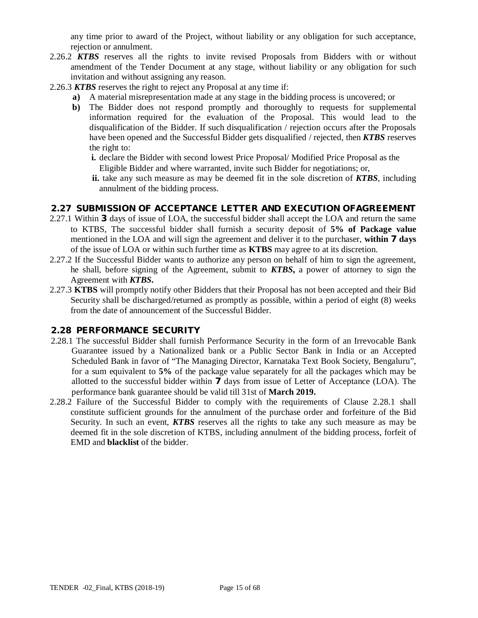any time prior to award of the Project, without liability or any obligation for such acceptance, rejection or annulment.

- 2.26.2 *KTBS* reserves all the rights to invite revised Proposals from Bidders with or without amendment of the Tender Document at any stage, without liability or any obligation for such invitation and without assigning any reason.
- 2.26.3 *KTBS* reserves the right to reject any Proposal at any time if:
	- **a)** A material misrepresentation made at any stage in the bidding process is uncovered; or
		- **b)** The Bidder does not respond promptly and thoroughly to requests for supplemental information required for the evaluation of the Proposal. This would lead to the disqualification of the Bidder. If such disqualification / rejection occurs after the Proposals have been opened and the Successful Bidder gets disqualified / rejected, then *KTBS* reserves the right to:
			- **i.** declare the Bidder with second lowest Price Proposal/ Modified Price Proposal as the Eligible Bidder and where warranted, invite such Bidder for negotiations; or,
			- **ii.** take any such measure as may be deemed fit in the sole discretion of *KTBS*, including annulment of the bidding process.

#### **2.27 SUBMISSION OF ACCEPTANCE LETTER AND EXECUTION OFAGREEMENT**

- 2.27.1 Within **3** days of issue of LOA, the successful bidder shall accept the LOA and return the same to KTBS, The successful bidder shall furnish a security deposit of **5% of Package value**  mentioned in the LOA and will sign the agreement and deliver it to the purchaser, **within 7 days** of the issue of LOA or within such further time as **KTBS** may agree to at its discretion.
- 2.27.2 If the Successful Bidder wants to authorize any person on behalf of him to sign the agreement, he shall, before signing of the Agreement, submit to *KTBS***,** a power of attorney to sign the Agreement with *KTBS***.**
- 2.27.3 **KTBS** will promptly notify other Bidders that their Proposal has not been accepted and their Bid Security shall be discharged/returned as promptly as possible, within a period of eight (8) weeks from the date of announcement of the Successful Bidder.

## **2.28 PERFORMANCE SECURITY**

- 2.28.1 The successful Bidder shall furnish Performance Security in the form of an Irrevocable Bank Guarantee issued by a Nationalized bank or a Public Sector Bank in India or an Accepted Scheduled Bank in favor of "The Managing Director, Karnataka Text Book Society, Bengaluru", for a sum equivalent to **5%** of the package value separately for all the packages which may be allotted to the successful bidder within **7** days from issue of Letter of Acceptance (LOA). The performance bank guarantee should be valid till 31st of **March 2019.**
- 2.28.2 Failure of the Successful Bidder to comply with the requirements of Clause 2.28.1 shall constitute sufficient grounds for the annulment of the purchase order and forfeiture of the Bid Security. In such an event, *KTBS* reserves all the rights to take any such measure as may be deemed fit in the sole discretion of KTBS, including annulment of the bidding process, forfeit of EMD and **blacklist** of the bidder.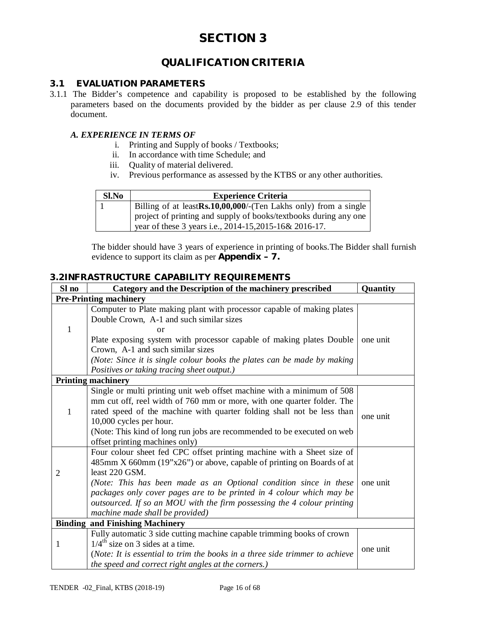## **QUALIFICATION CRITERIA**

## **3.1 EVALUATION PARAMETERS**

3.1.1 The Bidder's competence and capability is proposed to be established by the following parameters based on the documents provided by the bidder as per clause 2.9 of this tender document.

### *A. EXPERIENCE IN TERMS OF*

- i. Printing and Supply of books / Textbooks;
- ii. In accordance with time Schedule; and
- iii. Quality of material delivered.
- iv. Previous performance as assessed by the KTBS or any other authorities.

| Sl.No | <b>Experience Criteria</b>                                                                                                  |
|-------|-----------------------------------------------------------------------------------------------------------------------------|
|       | Billing of at leastRs.10,00,000/-(Ten Lakhs only) from a single                                                             |
|       | project of printing and supply of books/textbooks during any one<br>year of these 3 years i.e., 2014-15, 2015-16 & 2016-17. |

The bidder should have 3 years of experience in printing of books.The Bidder shall furnish evidence to support its claim as per **Appendix – 7.**

## **3.2INFRASTRUCTURE CAPABILITY REQUIREMENTS**

| <b>Pre-Printing machinery</b><br>Computer to Plate making plant with processor capable of making plates<br>Double Crown, A-1 and such similar sizes<br>1<br>or<br>Plate exposing system with processor capable of making plates Double<br>Crown, A-1 and such similar sizes<br>(Note: Since it is single colour books the plates can be made by making<br>Positives or taking tracing sheet output.)<br><b>Printing machinery</b> | one unit |
|-----------------------------------------------------------------------------------------------------------------------------------------------------------------------------------------------------------------------------------------------------------------------------------------------------------------------------------------------------------------------------------------------------------------------------------|----------|
|                                                                                                                                                                                                                                                                                                                                                                                                                                   |          |
|                                                                                                                                                                                                                                                                                                                                                                                                                                   |          |
|                                                                                                                                                                                                                                                                                                                                                                                                                                   |          |
|                                                                                                                                                                                                                                                                                                                                                                                                                                   |          |
|                                                                                                                                                                                                                                                                                                                                                                                                                                   |          |
|                                                                                                                                                                                                                                                                                                                                                                                                                                   |          |
|                                                                                                                                                                                                                                                                                                                                                                                                                                   |          |
| Single or multi printing unit web offset machine with a minimum of 508<br>mm cut off, reel width of 760 mm or more, with one quarter folder. The<br>rated speed of the machine with quarter folding shall not be less than<br>1                                                                                                                                                                                                   | one unit |
| 10,000 cycles per hour.<br>(Note: This kind of long run jobs are recommended to be executed on web<br>offset printing machines only)                                                                                                                                                                                                                                                                                              |          |
| Four colour sheet fed CPC offset printing machine with a Sheet size of<br>485mm X 660mm (19"x26") or above, capable of printing on Boards of at<br>least 220 GSM.<br>$\overline{2}$                                                                                                                                                                                                                                               |          |
| (Note: This has been made as an Optional condition since in these<br>packages only cover pages are to be printed in 4 colour which may be<br>outsourced. If so an MOU with the firm possessing the 4 colour printing<br>machine made shall be provided)                                                                                                                                                                           | one unit |
| <b>Binding and Finishing Machinery</b>                                                                                                                                                                                                                                                                                                                                                                                            |          |
| Fully automatic 3 side cutting machine capable trimming books of crown<br>$1/4^{\text{th}}$ size on 3 sides at a time.<br>1<br>(Note: It is essential to trim the books in a three side trimmer to achieve<br>the speed and correct right angles at the corners.)                                                                                                                                                                 | one unit |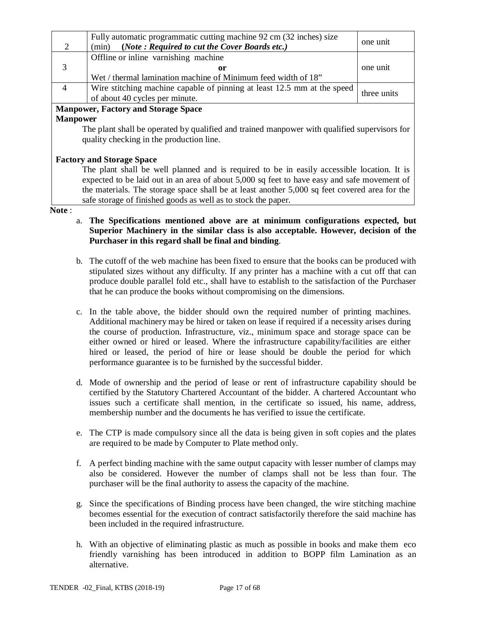| 2                                  | Fully automatic programmatic cutting machine 92 cm (32 inches) size<br>(Note: Required to cut the Cover Boards etc.)<br>(min) | one unit    |  |
|------------------------------------|-------------------------------------------------------------------------------------------------------------------------------|-------------|--|
|                                    | Offline or inline varnishing machine                                                                                          |             |  |
| 3                                  | or                                                                                                                            | one unit    |  |
|                                    | Wet / thermal lamination machine of Minimum feed width of 18"                                                                 |             |  |
| $\overline{4}$                     | Wire stitching machine capable of pinning at least 12.5 mm at the speed                                                       | three units |  |
|                                    | of about 40 cycles per minute.                                                                                                |             |  |
| Mannower Factory and Storage Space |                                                                                                                               |             |  |

#### **Manpower, Factory and Storage Space Manpower**

The plant shall be operated by qualified and trained manpower with qualified supervisors for quality checking in the production line.

## **Factory and Storage Space**

The plant shall be well planned and is required to be in easily accessible location. It is expected to be laid out in an area of about 5,000 sq feet to have easy and safe movement of the materials. The storage space shall be at least another 5,000 sq feet covered area for the safe storage of finished goods as well as to stock the paper.

#### **Note** :

- a. **The Specifications mentioned above are at minimum configurations expected, but Superior Machinery in the similar class is also acceptable. However, decision of the Purchaser in this regard shall be final and binding**.
- b. The cutoff of the web machine has been fixed to ensure that the books can be produced with stipulated sizes without any difficulty. If any printer has a machine with a cut off that can produce double parallel fold etc., shall have to establish to the satisfaction of the Purchaser that he can produce the books without compromising on the dimensions.
- c. In the table above, the bidder should own the required number of printing machines. Additional machinery may be hired or taken on lease if required if a necessity arises during the course of production. Infrastructure, viz., minimum space and storage space can be either owned or hired or leased. Where the infrastructure capability/facilities are either hired or leased, the period of hire or lease should be double the period for which performance guarantee is to be furnished by the successful bidder.
- d. Mode of ownership and the period of lease or rent of infrastructure capability should be certified by the Statutory Chartered Accountant of the bidder. A chartered Accountant who issues such a certificate shall mention, in the certificate so issued, his name, address, membership number and the documents he has verified to issue the certificate.
- e. The CTP is made compulsory since all the data is being given in soft copies and the plates are required to be made by Computer to Plate method only.
- f. A perfect binding machine with the same output capacity with lesser number of clamps may also be considered. However the number of clamps shall not be less than four. The purchaser will be the final authority to assess the capacity of the machine.
- g. Since the specifications of Binding process have been changed, the wire stitching machine becomes essential for the execution of contract satisfactorily therefore the said machine has been included in the required infrastructure.
- h. With an objective of eliminating plastic as much as possible in books and make them eco friendly varnishing has been introduced in addition to BOPP film Lamination as an alternative.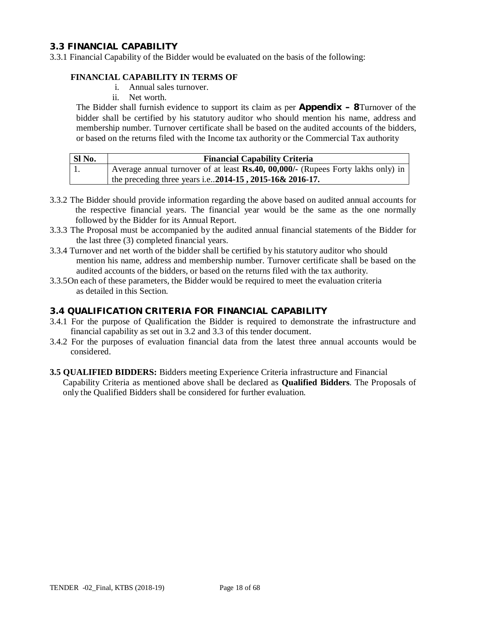#### **3.3 FINANCIAL CAPABILITY**

3.3.1 Financial Capability of the Bidder would be evaluated on the basis of the following:

#### **FINANCIAL CAPABILITY IN TERMS OF**

- i. Annual sales turnover.
- ii. Net worth.

The Bidder shall furnish evidence to support its claim as per **Appendix – 8**Turnover of the bidder shall be certified by his statutory auditor who should mention his name, address and membership number. Turnover certificate shall be based on the audited accounts of the bidders, or based on the returns filed with the Income tax authority or the Commercial Tax authority

| SI No. | <b>Financial Capability Criteria</b>                                             |
|--------|----------------------------------------------------------------------------------|
| -1.    | Average annual turnover of at least Rs.40, 00,000/- (Rupees Forty lakhs only) in |
|        | the preceding three years i.e2014-15, 2015-16& 2016-17.                          |

- 3.3.2 The Bidder should provide information regarding the above based on audited annual accounts for the respective financial years. The financial year would be the same as the one normally followed by the Bidder for its Annual Report.
- 3.3.3 The Proposal must be accompanied by the audited annual financial statements of the Bidder for the last three (3) completed financial years.
- 3.3.4 Turnover and net worth of the bidder shall be certified by his statutory auditor who should mention his name, address and membership number. Turnover certificate shall be based on the audited accounts of the bidders, or based on the returns filed with the tax authority.
- 3.3.5On each of these parameters, the Bidder would be required to meet the evaluation criteria as detailed in this Section.

### **3.4 QUALIFICATION CRITERIA FOR FINANCIAL CAPABILITY**

- 3.4.1 For the purpose of Qualification the Bidder is required to demonstrate the infrastructure and financial capability as set out in 3.2 and 3.3 of this tender document.
- 3.4.2 For the purposes of evaluation financial data from the latest three annual accounts would be considered.
- **3.5 QUALIFIED BIDDERS:** Bidders meeting Experience Criteria infrastructure and Financial Capability Criteria as mentioned above shall be declared as **Qualified Bidders**. The Proposals of only the Qualified Bidders shall be considered for further evaluation.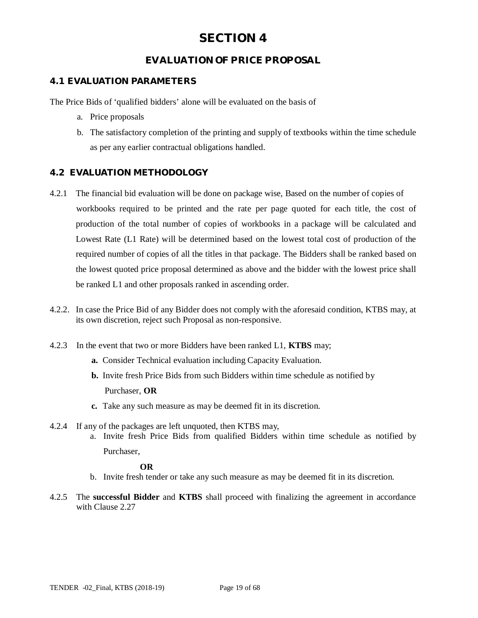## **EVALUATION OF PRICE PROPOSAL**

## **4.1 EVALUATION PARAMETERS**

The Price Bids of 'qualified bidders' alone will be evaluated on the basis of

- a. Price proposals
- b. The satisfactory completion of the printing and supply of textbooks within the time schedule as per any earlier contractual obligations handled.

## **4.2 EVALUATION METHODOLOGY**

- 4.2.1 The financial bid evaluation will be done on package wise, Based on the number of copies of workbooks required to be printed and the rate per page quoted for each title, the cost of production of the total number of copies of workbooks in a package will be calculated and Lowest Rate (L1 Rate) will be determined based on the lowest total cost of production of the required number of copies of all the titles in that package. The Bidders shall be ranked based on the lowest quoted price proposal determined as above and the bidder with the lowest price shall be ranked L1 and other proposals ranked in ascending order.
- 4.2.2. In case the Price Bid of any Bidder does not comply with the aforesaid condition, KTBS may, at its own discretion, reject such Proposal as non-responsive.
- 4.2.3 In the event that two or more Bidders have been ranked L1, **KTBS** may;
	- **a.** Consider Technical evaluation including Capacity Evaluation.
	- **b.** Invite fresh Price Bids from such Bidders within time schedule as notified by Purchaser, **OR**
	- **c.** Take any such measure as may be deemed fit in its discretion.
- 4.2.4 If any of the packages are left unquoted, then KTBS may,
	- a. Invite fresh Price Bids from qualified Bidders within time schedule as notified by Purchaser,

#### **OR**

- b. Invite fresh tender or take any such measure as may be deemed fit in its discretion.
- 4.2.5 The **successful Bidder** and **KTBS** shall proceed with finalizing the agreement in accordance with Clause 2.27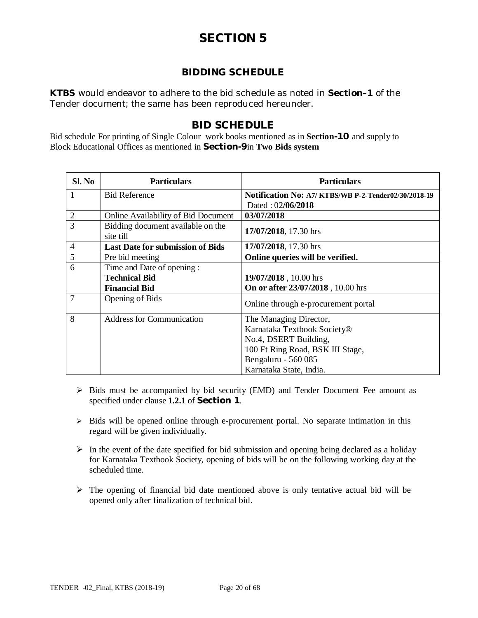## **BIDDING SCHEDULE**

*KTBS* would endeavor to adhere to the bid schedule as noted in **Section–1** of the Tender document; the same has been reproduced hereunder.

## **BID SCHEDULE**

Bid schedule For printing of Single Colour work books mentioned as in **Section-10** and supply to Block Educational Offices as mentioned in **Section-9**in **Two Bids system**

| Sl. No         | <b>Particulars</b>                             | <b>Particulars</b>                                  |
|----------------|------------------------------------------------|-----------------------------------------------------|
| 1              | <b>Bid Reference</b>                           | Notification No: A7/KTBS/WB P-2-Tender02/30/2018-19 |
|                |                                                | Dated: 02/06/2018                                   |
| 2              | Online Availability of Bid Document            | 03/07/2018                                          |
| 3              | Bidding document available on the<br>site till | 17/07/2018, 17.30 hrs                               |
| 4              | <b>Last Date for submission of Bids</b>        | 17/07/2018, 17.30 hrs                               |
| 5              | Pre bid meeting                                | Online queries will be verified.                    |
| 6              | Time and Date of opening :                     |                                                     |
|                | <b>Technical Bid</b>                           | 19/07/2018, 10.00 hrs                               |
|                | <b>Financial Bid</b>                           | On or after 23/07/2018, 10.00 hrs                   |
| $\overline{7}$ | <b>Opening of Bids</b>                         | Online through e-procurement portal                 |
| 8              | <b>Address for Communication</b>               | The Managing Director,                              |
|                |                                                | Karnataka Textbook Society®                         |
|                |                                                | No.4, DSERT Building,                               |
|                |                                                | 100 Ft Ring Road, BSK III Stage,                    |
|                |                                                | Bengaluru - 560 085                                 |
|                |                                                | Karnataka State, India.                             |

- $\triangleright$  Bids must be accompanied by bid security (EMD) and Tender Document Fee amount as specified under clause **1.2.1** of **Section 1**.
- $\triangleright$  Bids will be opened online through e-procurement portal. No separate intimation in this regard will be given individually.
- $\triangleright$  In the event of the date specified for bid submission and opening being declared as a holiday for Karnataka Textbook Society, opening of bids will be on the following working day at the scheduled time.
- $\triangleright$  The opening of financial bid date mentioned above is only tentative actual bid will be opened only after finalization of technical bid.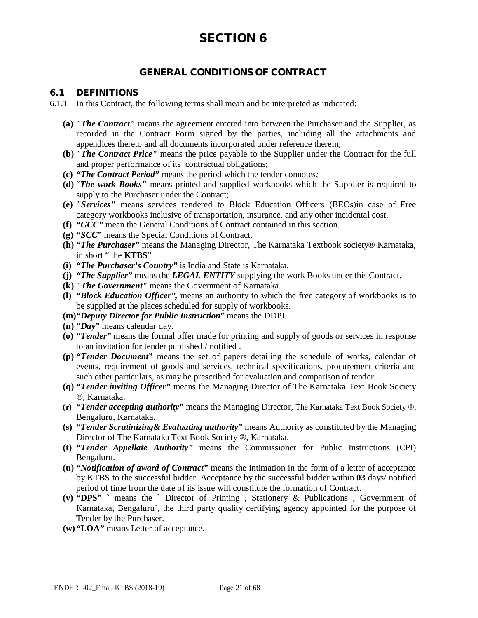## **GENERAL CONDITIONS OF CONTRACT**

#### **6.1 DEFINITIONS**

- 6.1.1 In this Contract, the following terms shall mean and be interpreted as indicated:
	- **(a)** *"The Contract"* means the agreement entered into between the Purchaser and the Supplier, as recorded in the Contract Form signed by the parties, including all the attachments and appendices thereto and all documents incorporated under reference therein;
	- **(b)** *"The Contract Price"* means the price payable to the Supplier under the Contract for the full and proper performance of its contractual obligations;
	- **(c)** *"The Contract Period"* means the period which the tender connotes*;*
	- **(d)** "*The work Books"* means printed and supplied workbooks which the Supplier is required to supply to the Purchaser under the Contract;
	- **(e)** *"Services"* means services rendered to Block Education Officers (BEOs)in case of Free category workbooks inclusive of transportation, insurance, and any other incidental cost.
	- **(f)** *"GCC"* mean the General Conditions of Contract contained in this section.
	- **(g)** *"SCC"* means the Special Conditions of Contract.
	- **(h)** *"The Purchaser"* means the Managing Director, The Karnataka Textbook society® Karnataka, in short " the **KTBS**"
	- **(i)** *"The Purchaser's Country"* is India and State is Karnataka.
	- **(j)** *"The Supplier"* means the *LEGAL ENTITY* supplying the work Books under this Contract.
	- **(k)** *"The Government"* means the Government of Karnataka.
	- **(l)** *"Block Education Officer",* means an authority to which the free category of workbooks is to be supplied at the places scheduled for supply of workbooks.
	- **(m)***"Deputy Director for Public Instruction*" means the DDPI.
	- **(n)** *"Day"* means calendar day.
	- **(o)** *"Tender"* means the formal offer made for printing and supply of goods or services in response to an invitation for tender published / notified .
	- **(p)** *"Tender Document"* means the set of papers detailing the schedule of works, calendar of events, requirement of goods and services, technical specifications, procurement criteria and such other particulars, as may be prescribed for evaluation and comparison of tender.
	- **(q)** *"Tender inviting Officer"* means the Managing Director of The Karnataka Text Book Society ®, Karnataka.
	- **(r)** *"Tender accepting authority"* means the Managing Director, The Karnataka Text Book Society ®, Bengaluru, Karnataka.
	- **(s)** *"Tender Scrutinizing& Evaluating authority"* means Authority as constituted by the Managing Director of The Karnataka Text Book Society ®, Karnataka.
	- **(t)** *"Tender Appellate Authority"* means the Commissioner for Public Instructions (CPI) Bengaluru.
	- **(u)** *"Notification of award of Contract"* means the intimation in the form of a letter of acceptance by KTBS to the successful bidder. Acceptance by the successful bidder within **03** days/ notified period of time from the date of its issue will constitute the formation of Contract.
	- **(v)** *"***DPS***"* **`** means the ` Director of Printing , Stationery & Publications , Government of Karnataka, Bengaluru`, the third party quality certifying agency appointed for the purpose of Tender by the Purchaser.
	- **(w)** *"***LOA***"* means Letter of acceptance.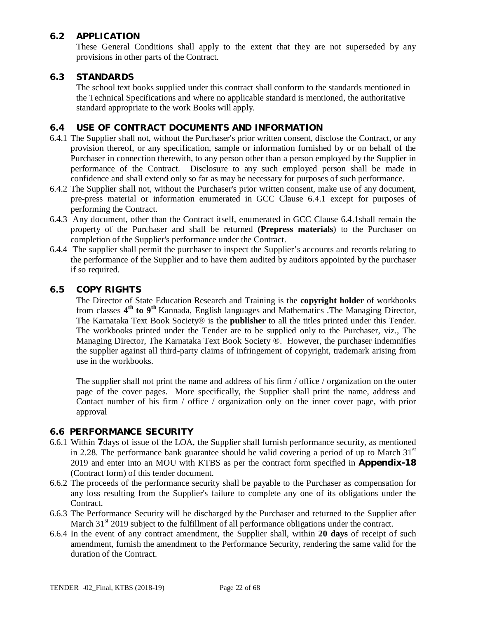## **6.2 APPLICATION**

These General Conditions shall apply to the extent that they are not superseded by any provisions in other parts of the Contract.

## **6.3 STANDARDS**

The school text books supplied under this contract shall conform to the standards mentioned in the Technical Specifications and where no applicable standard is mentioned, the authoritative standard appropriate to the work Books will apply.

## **6.4 USE OF CONTRACT DOCUMENTS AND INFORMATION**

- 6.4.1 The Supplier shall not, without the Purchaser's prior written consent, disclose the Contract, or any provision thereof, or any specification, sample or information furnished by or on behalf of the Purchaser in connection therewith, to any person other than a person employed by the Supplier in performance of the Contract. Disclosure to any such employed person shall be made in confidence and shall extend only so far as may be necessary for purposes of such performance.
- 6.4.2 The Supplier shall not, without the Purchaser's prior written consent, make use of any document, pre-press material or information enumerated in GCC Clause 6.4.1 except for purposes of performing the Contract.
- 6.4.3 Any document, other than the Contract itself, enumerated in GCC Clause 6.4.1shall remain the property of the Purchaser and shall be returned **(Prepress materials**) to the Purchaser on completion of the Supplier's performance under the Contract.
- 6.4.4 The supplier shall permit the purchaser to inspect the Supplier's accounts and records relating to the performance of the Supplier and to have them audited by auditors appointed by the purchaser if so required.

#### **6.5 COPY RIGHTS**

The Director of State Education Research and Training is the **copyright holder** of workbooks from classes **4 th to 9th** Kannada, English languages and Mathematics .The Managing Director, The Karnataka Text Book Society® is the **publisher** to all the titles printed under this Tender. The workbooks printed under the Tender are to be supplied only to the Purchaser, viz., The Managing Director, The Karnataka Text Book Society ®. However, the purchaser indemnifies the supplier against all third-party claims of infringement of copyright, trademark arising from use in the workbooks.

The supplier shall not print the name and address of his firm / office / organization on the outer page of the cover pages. More specifically, the Supplier shall print the name, address and Contact number of his firm / office / organization only on the inner cover page, with prior approval

## **6.6 PERFORMANCE SECURITY**

- 6.6.1 Within **7**days of issue of the LOA, the Supplier shall furnish performance security, as mentioned in 2.28. The performance bank guarantee should be valid covering a period of up to March  $31<sup>st</sup>$ 2019 and enter into an MOU with KTBS as per the contract form specified in **Appendix-18** (Contract form) of this tender document.
- 6.6.2 The proceeds of the performance security shall be payable to the Purchaser as compensation for any loss resulting from the Supplier's failure to complete any one of its obligations under the Contract.
- 6.6.3 The Performance Security will be discharged by the Purchaser and returned to the Supplier after March  $31<sup>st</sup>$  2019 subject to the fulfillment of all performance obligations under the contract.
- 6.6.4 In the event of any contract amendment, the Supplier shall, within **20 days** of receipt of such amendment, furnish the amendment to the Performance Security, rendering the same valid for the duration of the Contract.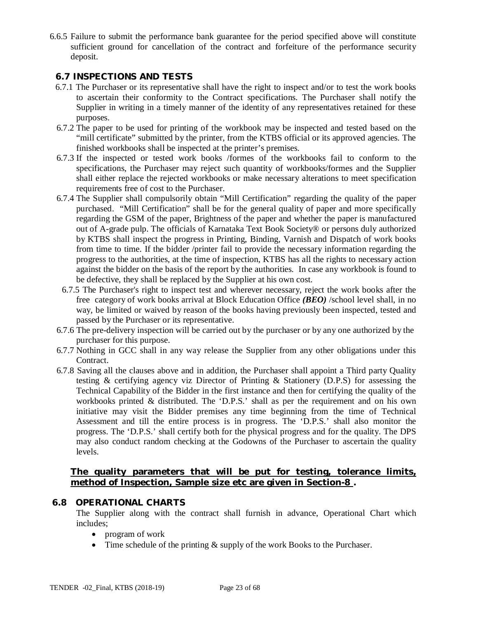6.6.5 Failure to submit the performance bank guarantee for the period specified above will constitute sufficient ground for cancellation of the contract and forfeiture of the performance security deposit.

## **6.7 INSPECTIONS AND TESTS**

- 6.7.1 The Purchaser or its representative shall have the right to inspect and/or to test the work books to ascertain their conformity to the Contract specifications. The Purchaser shall notify the Supplier in writing in a timely manner of the identity of any representatives retained for these purposes.
- 6.7.2 The paper to be used for printing of the workbook may be inspected and tested based on the "mill certificate" submitted by the printer, from the KTBS official or its approved agencies. The finished workbooks shall be inspected at the printer's premises.
- 6.7.3 If the inspected or tested work books /formes of the workbooks fail to conform to the specifications, the Purchaser may reject such quantity of workbooks/formes and the Supplier shall either replace the rejected workbooks or make necessary alterations to meet specification requirements free of cost to the Purchaser.
- 6.7.4 The Supplier shall compulsorily obtain "Mill Certification" regarding the quality of the paper purchased. "Mill Certification" shall be for the general quality of paper and more specifically regarding the GSM of the paper, Brightness of the paper and whether the paper is manufactured out of A-grade pulp. The officials of Karnataka Text Book Society® or persons duly authorized by KTBS shall inspect the progress in Printing, Binding, Varnish and Dispatch of work books from time to time. If the bidder /printer fail to provide the necessary information regarding the progress to the authorities, at the time of inspection, KTBS has all the rights to necessary action against the bidder on the basis of the report by the authorities. In case any workbook is found to be defective, they shall be replaced by the Supplier at his own cost.
- 6.7.5 The Purchaser's right to inspect test and wherever necessary, reject the work books after the free category of work books arrival at Block Education Office *(BEO)* /school level shall, in no way, be limited or waived by reason of the books having previously been inspected, tested and passed by the Purchaser or its representative.
- 6.7.6 The pre-delivery inspection will be carried out by the purchaser or by any one authorized by the purchaser for this purpose.
- 6.7.7 Nothing in GCC shall in any way release the Supplier from any other obligations under this Contract.
- 6.7.8 Saving all the clauses above and in addition, the Purchaser shall appoint a Third party Quality testing & certifying agency viz Director of Printing & Stationery (D.P.S) for assessing the Technical Capability of the Bidder in the first instance and then for certifying the quality of the workbooks printed & distributed. The 'D.P.S.' shall as per the requirement and on his own initiative may visit the Bidder premises any time beginning from the time of Technical Assessment and till the entire process is in progress. The 'D.P.S.' shall also monitor the progress. The 'D.P.S.' shall certify both for the physical progress and for the quality. The DPS may also conduct random checking at the Godowns of the Purchaser to ascertain the quality levels.

#### **The quality parameters that will be put for testing, tolerance limits, method of Inspection, Sample size etc are given in Section-8 .**

#### **6.8 OPERATIONAL CHARTS**

The Supplier along with the contract shall furnish in advance, Operational Chart which includes;

- program of work
- Time schedule of the printing  $&$  supply of the work Books to the Purchaser.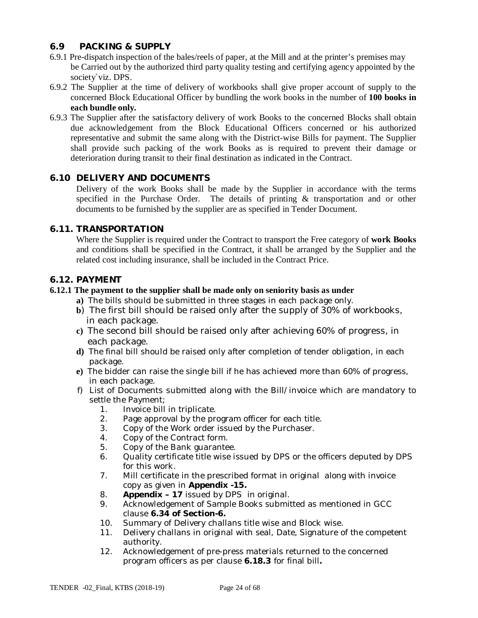## **6.9 PACKING & SUPPLY**

- 6.9.1 Pre-dispatch inspection of the bales/reels of paper, at the Mill and at the printer's premises may be Carried out by the authorized third party quality testing and certifying agency appointed by the society`viz. DPS.
- 6.9.2 The Supplier at the time of delivery of workbooks shall give proper account of supply to the concerned Block Educational Officer by bundling the work books in the number of **100 books in each bundle only.**
- 6.9.3 The Supplier after the satisfactory delivery of work Books to the concerned Blocks shall obtain due acknowledgement from the Block Educational Officers concerned or his authorized representative and submit the same along with the District-wise Bills for payment. The Supplier shall provide such packing of the work Books as is required to prevent their damage or deterioration during transit to their final destination as indicated in the Contract.

## **6.10 DELIVERY AND DOCUMENTS**

Delivery of the work Books shall be made by the Supplier in accordance with the terms specified in the Purchase Order. The details of printing & transportation and or other documents to be furnished by the supplier are as specified in Tender Document.

#### **6.11. TRANSPORTATION**

Where the Supplier is required under the Contract to transport the Free category of **work Books**  and conditions shall be specified in the Contract, it shall be arranged by the Supplier and the related cost including insurance, shall be included in the Contract Price.

#### **6.12. PAYMENT**

#### **6.12.1 The payment to the supplier shall be made only on seniority basis as under**

- **a)** The bills should be submitted in three stages in each package only.
- **b**) The first bill should be raised only after the supply of 30% of workbooks, in each package.
- **c)** The second bill should be raised only after achieving 60% of progress, in each package.
- **d)** The final bill should be raised only after completion of tender obligation, in each package.
- **e)** The bidder can raise the single bill if he has achieved more than 60% of progress, in each package.
- f) List of Documents submitted along with the Bill/invoice which are mandatory to settle the Payment;
	- 1. Invoice bill in triplicate.
	- 2. Page approval by the program officer for each title.
	- 3. Copy of the Work order issued by the Purchaser.
	- 4. Copy of the Contract form.
	- 5. Copy of the Bank guarantee.
	- 6. Quality certificate title wise issued by DPS or the officers deputed by DPS for this work.
	- 7. Mill certificate in the prescribed format in original along with invoice copy as given in **Appendix -15.**
	- 8. **Appendix – 17** issued by DPS in original.
	- 9. Acknowledgement of Sample Books submitted as mentioned in GCC clause **6.34 of Section-6.**
	- 10. Summary of Delivery challans title wise and Block wise.
	- 11. Delivery challans in original with seal, Date, Signature of the competent authority.
	- 12. Acknowledgement of pre-press materials returned to the concerned program officers as per clause **6.18.3** for final bill**.**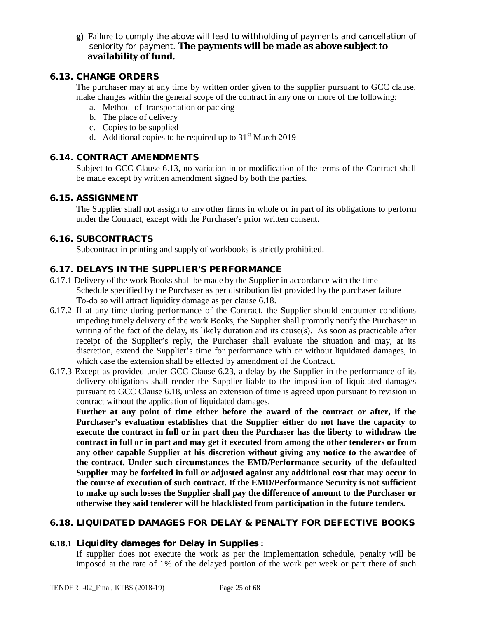**g)** Failure to comply the above will lead to withholding of payments and cancellation of seniority for payment. **The payments will be made as above subject to availability of fund.**

## **6.13. CHANGE ORDERS**

The purchaser may at any time by written order given to the supplier pursuant to GCC clause, make changes within the general scope of the contract in any one or more of the following:

- a. Method of transportation or packing
- b. The place of delivery
- c. Copies to be supplied
- d. Additional copies to be required up to  $31<sup>st</sup>$  March 2019

#### **6.14. CONTRACT AMENDMENTS**

Subject to GCC Clause 6.13, no variation in or modification of the terms of the Contract shall be made except by written amendment signed by both the parties.

#### **6.15. ASSIGNMENT**

The Supplier shall not assign to any other firms in whole or in part of its obligations to perform under the Contract, except with the Purchaser's prior written consent.

#### **6.16. SUBCONTRACTS**

Subcontract in printing and supply of workbooks is strictly prohibited.

#### **6.17. DELAYS IN THE SUPPLIER'S PERFORMANCE**

- 6.17.1 Delivery of the work Books shall be made by the Supplier in accordance with the time Schedule specified by the Purchaser as per distribution list provided by the purchaser failure To-do so will attract liquidity damage as per clause 6.18.
- 6.17.2 If at any time during performance of the Contract, the Supplier should encounter conditions impeding timely delivery of the work Books, the Supplier shall promptly notify the Purchaser in writing of the fact of the delay, its likely duration and its cause(s). As soon as practicable after receipt of the Supplier's reply, the Purchaser shall evaluate the situation and may, at its discretion, extend the Supplier's time for performance with or without liquidated damages, in which case the extension shall be effected by amendment of the Contract.
- 6.17.3 Except as provided under GCC Clause 6.23, a delay by the Supplier in the performance of its delivery obligations shall render the Supplier liable to the imposition of liquidated damages pursuant to GCC Clause 6.18, unless an extension of time is agreed upon pursuant to revision in contract without the application of liquidated damages.

**Further at any point of time either before the award of the contract or after, if the Purchaser's evaluation establishes that the Supplier either do not have the capacity to execute the contract in full or in part then the Purchaser has the liberty to withdraw the contract in full or in part and may get it executed from among the other tenderers or from any other capable Supplier at his discretion without giving any notice to the awardee of the contract. Under such circumstances the EMD/Performance security of the defaulted Supplier may be forfeited in full or adjusted against any additional cost that may occur in the course of execution of such contract. If the EMD/Performance Security is not sufficient to make up such losses the Supplier shall pay the difference of amount to the Purchaser or otherwise they said tenderer will be blacklisted from participation in the future tenders.**

## **6.18. LIQUIDATED DAMAGES FOR DELAY & PENALTY FOR DEFECTIVE BOOKS**

## **6.18.1 Liquidity damages for Delay in Supplies :**

If supplier does not execute the work as per the implementation schedule, penalty will be imposed at the rate of 1% of the delayed portion of the work per week or part there of such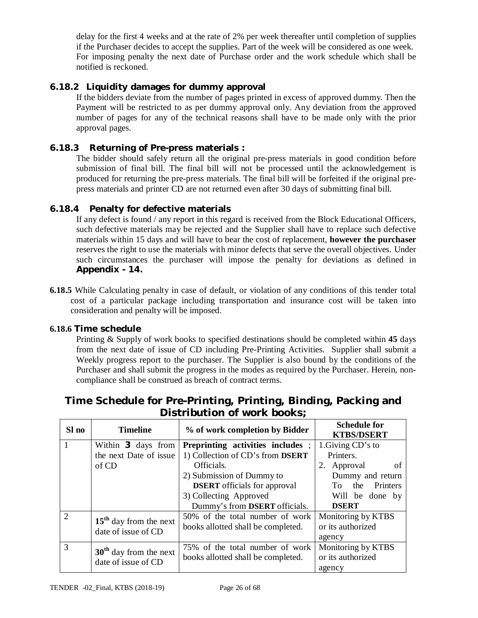delay for the first 4 weeks and at the rate of 2% per week thereafter until completion of supplies if the Purchaser decides to accept the supplies. Part of the week will be considered as one week. For imposing penalty the next date of Purchase order and the work schedule which shall be notified is reckoned.

## **6.18.2 Liquidity damages for dummy approval**

If the bidders deviate from the number of pages printed in excess of approved dummy. Then the Payment will be restricted to as per dummy approval only. Any deviation from the approved number of pages for any of the technical reasons shall have to be made only with the prior approval pages.

## **6.18.3 Returning of Pre-press materials :**

The bidder should safely return all the original pre-press materials in good condition before submission of final bill. The final bill will not be processed until the acknowledgement is produced for returning the pre-press materials. The final bill will be forfeited if the original prepress materials and printer CD are not returned even after 30 days of submitting final bill.

## **6.18.4 Penalty for defective materials**

If any defect is found / any report in this regard is received from the Block Educational Officers, such defective materials may be rejected and the Supplier shall have to replace such defective materials within 15 days and will have to bear the cost of replacement, **however the purchaser**  reserves the right to use the materials with minor defects that serve the overall objectives. Under such circumstances the purchaser will impose the penalty for deviations as defined in **Appendix - 14.**

**6.18.5** While Calculating penalty in case of default, or violation of any conditions of this tender total cost of a particular package including transportation and insurance cost will be taken into consideration and penalty will be imposed.

#### **6.18.6 Time schedule**

Printing & Supply of work books to specified destinations should be completed within **45** days from the next date of issue of CD including Pre-Printing Activities. Supplier shall submit a Weekly progress report to the purchaser. The Supplier is also bound by the conditions of the Purchaser and shall submit the progress in the modes as required by the Purchaser. Herein, noncompliance shall be construed as breach of contract terms.

| Sl no                       | <b>Timeline</b>          | % of work completion by Bidder           | <b>Schedule for</b><br><b>KTBS/DSERT</b> |
|-----------------------------|--------------------------|------------------------------------------|------------------------------------------|
|                             | Within 3 days from       | <b>Preprinting activities includes</b> ; | 1. Giving CD's to                        |
|                             | the next Date of issue   | 1) Collection of CD's from DSERT         | Printers.                                |
|                             | of CD                    | Officials.                               | of<br>2. Approval                        |
|                             |                          | 2) Submission of Dummy to                | Dummy and return                         |
|                             |                          | <b>DSERT</b> officials for approval      | Printers<br>To the                       |
|                             |                          | 3) Collecting Approved                   | Will be done by                          |
|                             |                          | Dummy's from <b>DSERT</b> officials.     | <b>DSERT</b>                             |
| $\mathcal{D}_{\mathcal{L}}$ | $15th$ day from the next | 50% of the total number of work          | Monitoring by KTBS                       |
|                             | date of issue of CD      | books allotted shall be completed.       | or its authorized                        |
|                             |                          |                                          | agency                                   |
| 3                           | $30th$ day from the next | 75% of the total number of work          | Monitoring by KTBS                       |
|                             | date of issue of CD      | books allotted shall be completed.       | or its authorized                        |
|                             |                          |                                          | agency                                   |

## **Time Schedule for Pre-Printing, Printing, Binding, Packing and Distribution of work books;**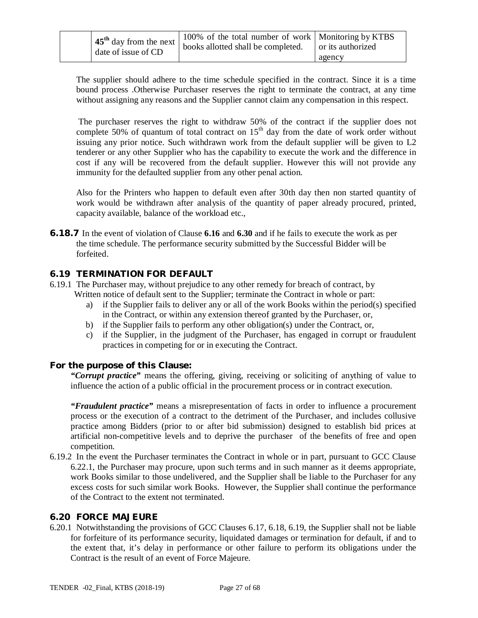| date of issue of CD | 100% of the total number of work   Monitoring by KTBS<br>$\frac{1}{25}$ day from the next books allotted shall be completed. | or its authorized |
|---------------------|------------------------------------------------------------------------------------------------------------------------------|-------------------|
|                     |                                                                                                                              | agency            |

The supplier should adhere to the time schedule specified in the contract. Since it is a time bound process .Otherwise Purchaser reserves the right to terminate the contract, at any time without assigning any reasons and the Supplier cannot claim any compensation in this respect.

The purchaser reserves the right to withdraw 50% of the contract if the supplier does not complete 50% of quantum of total contract on  $15<sup>th</sup>$  day from the date of work order without issuing any prior notice. Such withdrawn work from the default supplier will be given to L2 tenderer or any other Supplier who has the capability to execute the work and the difference in cost if any will be recovered from the default supplier. However this will not provide any immunity for the defaulted supplier from any other penal action.

Also for the Printers who happen to default even after 30th day then non started quantity of work would be withdrawn after analysis of the quantity of paper already procured, printed, capacity available, balance of the workload etc.,

**6.18.7** In the event of violation of Clause **6.16** and **6.30** and if he fails to execute the work as per the time schedule. The performance security submitted by the Successful Bidder will be forfeited.

#### **6.19 TERMINATION FOR DEFAULT**

- 6.19.1 The Purchaser may, without prejudice to any other remedy for breach of contract, by Written notice of default sent to the Supplier; terminate the Contract in whole or part:
	- a) if the Supplier fails to deliver any or all of the work Books within the period(s) specified in the Contract, or within any extension thereof granted by the Purchaser, or,
	- b) if the Supplier fails to perform any other obligation(s) under the Contract, or,
	- c) if the Supplier, in the judgment of the Purchaser, has engaged in corrupt or fraudulent practices in competing for or in executing the Contract.

#### **For the purpose of this Clause:**

*"Corrupt practice"* means the offering, giving, receiving or soliciting of anything of value to influence the action of a public official in the procurement process or in contract execution.

*"Fraudulent practice"* means a misrepresentation of facts in order to influence a procurement process or the execution of a contract to the detriment of the Purchaser, and includes collusive practice among Bidders (prior to or after bid submission) designed to establish bid prices at artificial non-competitive levels and to deprive the purchaser of the benefits of free and open competition.

6.19.2 In the event the Purchaser terminates the Contract in whole or in part, pursuant to GCC Clause 6.22.1, the Purchaser may procure, upon such terms and in such manner as it deems appropriate, work Books similar to those undelivered, and the Supplier shall be liable to the Purchaser for any excess costs for such similar work Books. However, the Supplier shall continue the performance of the Contract to the extent not terminated.

#### **6.20 FORCE MAJEURE**

6.20.1 Notwithstanding the provisions of GCC Clauses 6.17, 6.18, 6.19, the Supplier shall not be liable for forfeiture of its performance security, liquidated damages or termination for default, if and to the extent that, it's delay in performance or other failure to perform its obligations under the Contract is the result of an event of Force Majeure.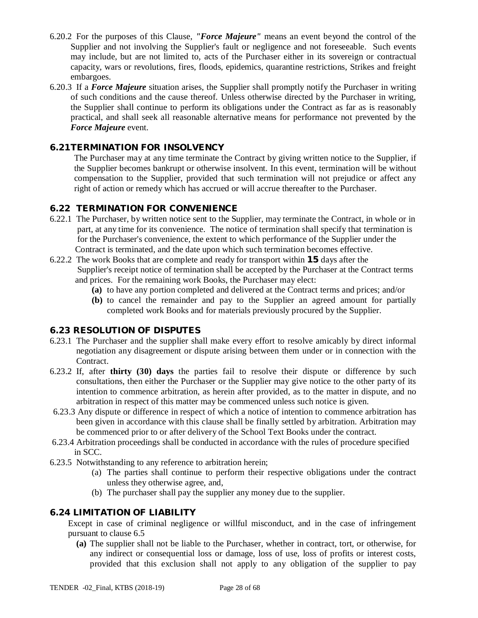- 6.20.2 For the purposes of this Clause, *"Force Majeure"* means an event beyond the control of the Supplier and not involving the Supplier's fault or negligence and not foreseeable. Such events may include, but are not limited to, acts of the Purchaser either in its sovereign or contractual capacity, wars or revolutions, fires, floods, epidemics, quarantine restrictions, Strikes and freight embargoes.
- 6.20.3 If a *Force Majeure* situation arises, the Supplier shall promptly notify the Purchaser in writing of such conditions and the cause thereof. Unless otherwise directed by the Purchaser in writing, the Supplier shall continue to perform its obligations under the Contract as far as is reasonably practical, and shall seek all reasonable alternative means for performance not prevented by the *Force Majeure* event.

## **6.21TERMINATION FOR INSOLVENCY**

The Purchaser may at any time terminate the Contract by giving written notice to the Supplier, if the Supplier becomes bankrupt or otherwise insolvent. In this event, termination will be without compensation to the Supplier, provided that such termination will not prejudice or affect any right of action or remedy which has accrued or will accrue thereafter to the Purchaser.

#### **6.22 TERMINATION FOR CONVENIENCE**

- 6.22.1 The Purchaser, by written notice sent to the Supplier, may terminate the Contract, in whole or in part, at any time for its convenience. The notice of termination shall specify that termination is for the Purchaser's convenience, the extent to which performance of the Supplier under the Contract is terminated, and the date upon which such termination becomes effective.
- 6.22.2 The work Books that are complete and ready for transport within **15** days after the Supplier's receipt notice of termination shall be accepted by the Purchaser at the Contract terms and prices. For the remaining work Books, the Purchaser may elect:
	- **(a)** to have any portion completed and delivered at the Contract terms and prices; and/or
	- **(b)** to cancel the remainder and pay to the Supplier an agreed amount for partially completed work Books and for materials previously procured by the Supplier.

## **6.23 RESOLUTION OF DISPUTES**

- 6.23.1 The Purchaser and the supplier shall make every effort to resolve amicably by direct informal negotiation any disagreement or dispute arising between them under or in connection with the Contract.
- 6.23.2 If, after **thirty (30) days** the parties fail to resolve their dispute or difference by such consultations, then either the Purchaser or the Supplier may give notice to the other party of its intention to commence arbitration, as herein after provided, as to the matter in dispute, and no arbitration in respect of this matter may be commenced unless such notice is given.
- 6.23.3 Any dispute or difference in respect of which a notice of intention to commence arbitration has been given in accordance with this clause shall be finally settled by arbitration. Arbitration may be commenced prior to or after delivery of the School Text Books under the contract.
- 6.23.4 Arbitration proceedings shall be conducted in accordance with the rules of procedure specified in SCC.
- 6.23.5 Notwithstanding to any reference to arbitration herein;
	- (a) The parties shall continue to perform their respective obligations under the contract unless they otherwise agree, and,
	- (b) The purchaser shall pay the supplier any money due to the supplier.

## **6.24 LIMITATION OF LIABILITY**

Except in case of criminal negligence or willful misconduct, and in the case of infringement pursuant to clause 6.5

**(a)** The supplier shall not be liable to the Purchaser, whether in contract, tort, or otherwise, for any indirect or consequential loss or damage, loss of use, loss of profits or interest costs, provided that this exclusion shall not apply to any obligation of the supplier to pay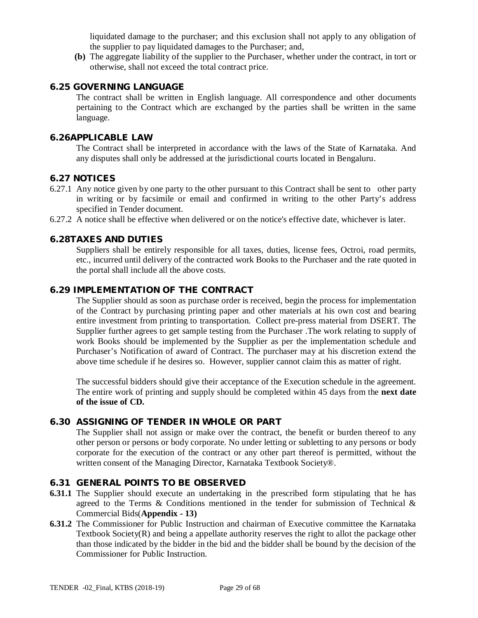liquidated damage to the purchaser; and this exclusion shall not apply to any obligation of the supplier to pay liquidated damages to the Purchaser; and,

**(b)** The aggregate liability of the supplier to the Purchaser, whether under the contract, in tort or otherwise, shall not exceed the total contract price.

### **6.25 GOVERNING LANGUAGE**

The contract shall be written in English language. All correspondence and other documents pertaining to the Contract which are exchanged by the parties shall be written in the same language.

## **6.26APPLICABLE LAW**

The Contract shall be interpreted in accordance with the laws of the State of Karnataka. And any disputes shall only be addressed at the jurisdictional courts located in Bengaluru.

#### **6.27 NOTICES**

- 6.27.1 Any notice given by one party to the other pursuant to this Contract shall be sent to other party in writing or by facsimile or email and confirmed in writing to the other Party's address specified in Tender document.
- 6.27.2 A notice shall be effective when delivered or on the notice's effective date, whichever is later.

#### **6.28TAXES AND DUTIES**

Suppliers shall be entirely responsible for all taxes, duties, license fees, Octroi, road permits, etc., incurred until delivery of the contracted work Books to the Purchaser and the rate quoted in the portal shall include all the above costs.

#### **6.29 IMPLEMENTATION OF THE CONTRACT**

The Supplier should as soon as purchase order is received, begin the process for implementation of the Contract by purchasing printing paper and other materials at his own cost and bearing entire investment from printing to transportation. Collect pre-press material from DSERT. The Supplier further agrees to get sample testing from the Purchaser .The work relating to supply of work Books should be implemented by the Supplier as per the implementation schedule and Purchaser's Notification of award of Contract. The purchaser may at his discretion extend the above time schedule if he desires so. However, supplier cannot claim this as matter of right.

The successful bidders should give their acceptance of the Execution schedule in the agreement. The entire work of printing and supply should be completed within 45 days from the **next date of the issue of CD.**

## **6.30 ASSIGNING OF TENDER IN WHOLE OR PART**

The Supplier shall not assign or make over the contract, the benefit or burden thereof to any other person or persons or body corporate. No under letting or subletting to any persons or body corporate for the execution of the contract or any other part thereof is permitted, without the written consent of the Managing Director, Karnataka Textbook Society®.

#### **6.31 GENERAL POINTS TO BE OBSERVED**

- **6.31.1** The Supplier should execute an undertaking in the prescribed form stipulating that he has agreed to the Terms & Conditions mentioned in the tender for submission of Technical  $\&$ Commercial Bids(**Appendix - 13)**
- **6.31.2** The Commissioner for Public Instruction and chairman of Executive committee the Karnataka Textbook Society(R) and being a appellate authority reserves the right to allot the package other than those indicated by the bidder in the bid and the bidder shall be bound by the decision of the Commissioner for Public Instruction.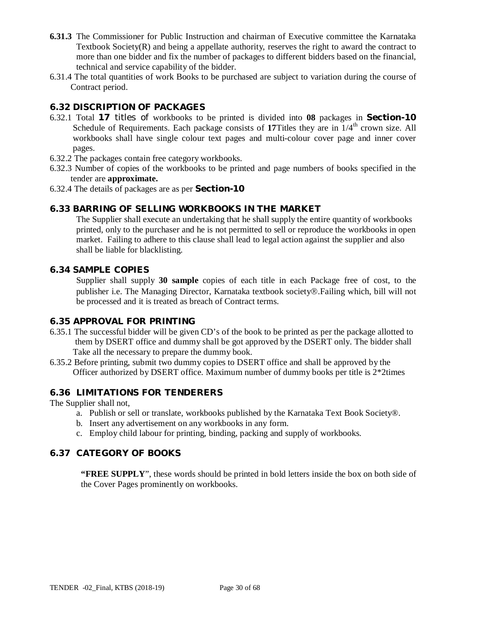- **6.31.3** The Commissioner for Public Instruction and chairman of Executive committee the Karnataka Textbook Society $(R)$  and being a appellate authority, reserves the right to award the contract to more than one bidder and fix the number of packages to different bidders based on the financial, technical and service capability of the bidder.
- 6.31.4 The total quantities of work Books to be purchased are subject to variation during the course of Contract period.

## **6.32 DISCRIPTION OF PACKAGES**

- 6.32.1 Total **17** titles of workbooks to be printed is divided into **08** packages in **Section-10** Schedule of Requirements. Each package consists of 17Titles they are in  $1/4<sup>th</sup>$  crown size. All workbooks shall have single colour text pages and multi-colour cover page and inner cover pages.
- 6.32.2 The packages contain free category workbooks.
- 6.32.3 Number of copies of the workbooks to be printed and page numbers of books specified in the tender are **approximate.**
- 6.32.4 The details of packages are as per **Section-10**

#### **6.33 BARRING OF SELLING WORKBOOKS IN THE MARKET**

The Supplier shall execute an undertaking that he shall supply the entire quantity of workbooks printed, only to the purchaser and he is not permitted to sell or reproduce the workbooks in open market. Failing to adhere to this clause shall lead to legal action against the supplier and also shall be liable for blacklisting.

#### **6.34 SAMPLE COPIES**

Supplier shall supply **30 sample** copies of each title in each Package free of cost, to the publisher i.e. The Managing Director, Karnataka textbook society®.Failing which, bill will not be processed and it is treated as breach of Contract terms.

#### **6.35 APPROVAL FOR PRINTING**

- 6.35.1 The successful bidder will be given CD's of the book to be printed as per the package allotted to them by DSERT office and dummy shall be got approved by the DSERT only. The bidder shall Take all the necessary to prepare the dummy book.
- 6.35.2 Before printing, submit two dummy copies to DSERT office and shall be approved by the Officer authorized by DSERT office. Maximum number of dummy books per title is 2\*2times

#### **6.36 LIMITATIONS FOR TENDERERS**

The Supplier shall not,

- a. Publish or sell or translate, workbooks published by the Karnataka Text Book Society®.
- b. Insert any advertisement on any workbooks in any form.
- c. Employ child labour for printing, binding, packing and supply of workbooks.

#### **6.37 CATEGORY OF BOOKS**

**"FREE SUPPLY**", these words should be printed in bold letters inside the box on both side of the Cover Pages prominently on workbooks.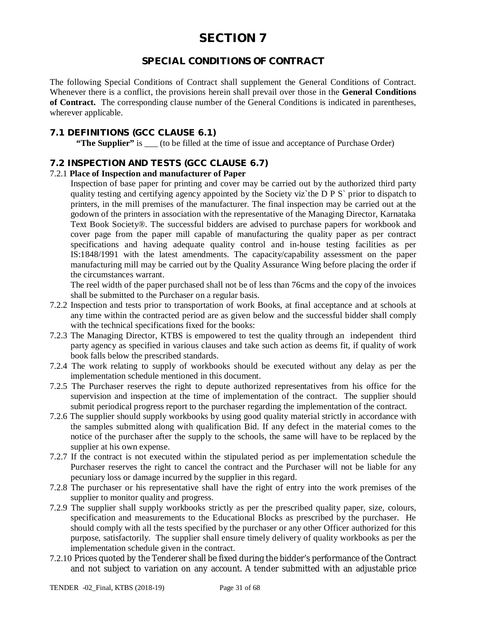## **SPECIAL CONDITIONS OF CONTRACT**

The following Special Conditions of Contract shall supplement the General Conditions of Contract. Whenever there is a conflict, the provisions herein shall prevail over those in the **General Conditions of Contract.** The corresponding clause number of the General Conditions is indicated in parentheses, wherever applicable.

## **7.1 DEFINITIONS (GCC CLAUSE 6.1)**

**"The Supplier"** is (to be filled at the time of issue and acceptance of Purchase Order)

## **7.2 INSPECTION AND TESTS (GCC CLAUSE 6.7)**

#### 7.2.1 **Place of Inspection and manufacturer of Paper**

Inspection of base paper for printing and cover may be carried out by the authorized third party quality testing and certifying agency appointed by the Society viz`the D P S` prior to dispatch to printers, in the mill premises of the manufacturer. The final inspection may be carried out at the godown of the printers in association with the representative of the Managing Director, Karnataka Text Book Society®. The successful bidders are advised to purchase papers for workbook and cover page from the paper mill capable of manufacturing the quality paper as per contract specifications and having adequate quality control and in-house testing facilities as per IS:1848/1991 with the latest amendments. The capacity/capability assessment on the paper manufacturing mill may be carried out by the Quality Assurance Wing before placing the order if the circumstances warrant.

The reel width of the paper purchased shall not be of less than 76cms and the copy of the invoices shall be submitted to the Purchaser on a regular basis.

- 7.2.2 Inspection and tests prior to transportation of work Books, at final acceptance and at schools at any time within the contracted period are as given below and the successful bidder shall comply with the technical specifications fixed for the books:
- 7.2.3 The Managing Director, KTBS is empowered to test the quality through an independent third party agency as specified in various clauses and take such action as deems fit, if quality of work book falls below the prescribed standards.
- 7.2.4 The work relating to supply of workbooks should be executed without any delay as per the implementation schedule mentioned in this document.
- 7.2.5 The Purchaser reserves the right to depute authorized representatives from his office for the supervision and inspection at the time of implementation of the contract. The supplier should submit periodical progress report to the purchaser regarding the implementation of the contract.
- 7.2.6 The supplier should supply workbooks by using good quality material strictly in accordance with the samples submitted along with qualification Bid. If any defect in the material comes to the notice of the purchaser after the supply to the schools, the same will have to be replaced by the supplier at his own expense.
- 7.2.7 If the contract is not executed within the stipulated period as per implementation schedule the Purchaser reserves the right to cancel the contract and the Purchaser will not be liable for any pecuniary loss or damage incurred by the supplier in this regard.
- 7.2.8 The purchaser or his representative shall have the right of entry into the work premises of the supplier to monitor quality and progress.
- 7.2.9 The supplier shall supply workbooks strictly as per the prescribed quality paper, size, colours, specification and measurements to the Educational Blocks as prescribed by the purchaser. He should comply with all the tests specified by the purchaser or any other Officer authorized for this purpose, satisfactorily. The supplier shall ensure timely delivery of quality workbooks as per the implementation schedule given in the contract.
- 7.2.10 Prices quoted by the Tenderer shall be fixed during the bidder's performance of the Contract and not subject to variation on any account. A tender submitted with an adjustable price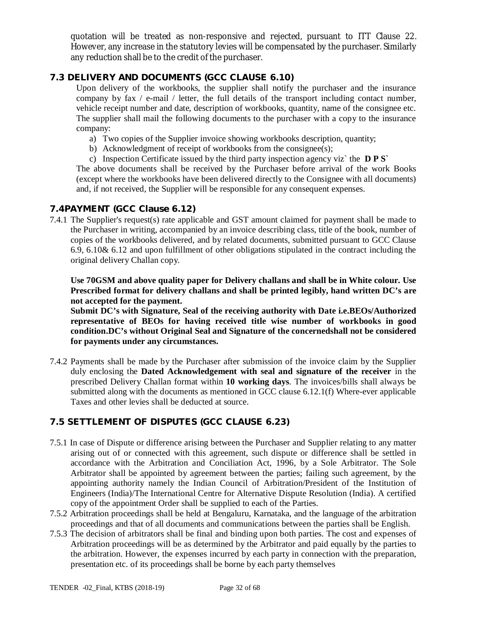quotation will be treated as non-responsive and rejected, pursuant to ITT Clause 22. However, any increase in the statutory levies will be compensated by the purchaser. Similarly any reduction shall be to the credit of the purchaser.

## **7.3 DELIVERY AND DOCUMENTS (GCC CLAUSE 6.10)**

Upon delivery of the workbooks, the supplier shall notify the purchaser and the insurance company by fax / e-mail / letter, the full details of the transport including contact number, vehicle receipt number and date, description of workbooks, quantity, name of the consignee etc. The supplier shall mail the following documents to the purchaser with a copy to the insurance company:

- a) Two copies of the Supplier invoice showing workbooks description, quantity;
- b) Acknowledgment of receipt of workbooks from the consignee(s);
- c) Inspection Certificate issued by the third party inspection agency viz` the **D P S`**

The above documents shall be received by the Purchaser before arrival of the work Books (except where the workbooks have been delivered directly to the Consignee with all documents) and, if not received, the Supplier will be responsible for any consequent expenses.

#### **7.4PAYMENT (GCC Clause 6.12)**

7.4.1 The Supplier's request(s) rate applicable and GST amount claimed for payment shall be made to the Purchaser in writing, accompanied by an invoice describing class, title of the book, number of copies of the workbooks delivered, and by related documents, submitted pursuant to GCC Clause 6.9, 6.10& 6.12 and upon fulfillment of other obligations stipulated in the contract including the original delivery Challan copy.

**Use 70GSM and above quality paper for Delivery challans and shall be in White colour. Use Prescribed format for delivery challans and shall be printed legibly, hand written DC's are not accepted for the payment.**

**Submit DC's with Signature, Seal of the receiving authority with Date i.e.BEOs/Authorized representative of BEOs for having received title wise number of workbooks in good condition.DC's without Original Seal and Signature of the concernedshall not be considered for payments under any circumstances.**

7.4.2 Payments shall be made by the Purchaser after submission of the invoice claim by the Supplier duly enclosing the **Dated Acknowledgement with seal and signature of the receiver** in the prescribed Delivery Challan format within **10 working days**. The invoices/bills shall always be submitted along with the documents as mentioned in GCC clause 6.12.1(f) Where-ever applicable Taxes and other levies shall be deducted at source.

## **7.5 SETTLEMENT OF DISPUTES (GCC CLAUSE 6.23)**

- 7.5.1 In case of Dispute or difference arising between the Purchaser and Supplier relating to any matter arising out of or connected with this agreement, such dispute or difference shall be settled in accordance with the Arbitration and Conciliation Act, 1996, by a Sole Arbitrator. The Sole Arbitrator shall be appointed by agreement between the parties; failing such agreement, by the appointing authority namely the Indian Council of Arbitration/President of the Institution of Engineers (India)/The International Centre for Alternative Dispute Resolution (India). A certified copy of the appointment Order shall be supplied to each of the Parties.
- 7.5.2 Arbitration proceedings shall be held at Bengaluru, Karnataka, and the language of the arbitration proceedings and that of all documents and communications between the parties shall be English.
- 7.5.3 The decision of arbitrators shall be final and binding upon both parties. The cost and expenses of Arbitration proceedings will be as determined by the Arbitrator and paid equally by the parties to the arbitration. However, the expenses incurred by each party in connection with the preparation, presentation etc. of its proceedings shall be borne by each party themselves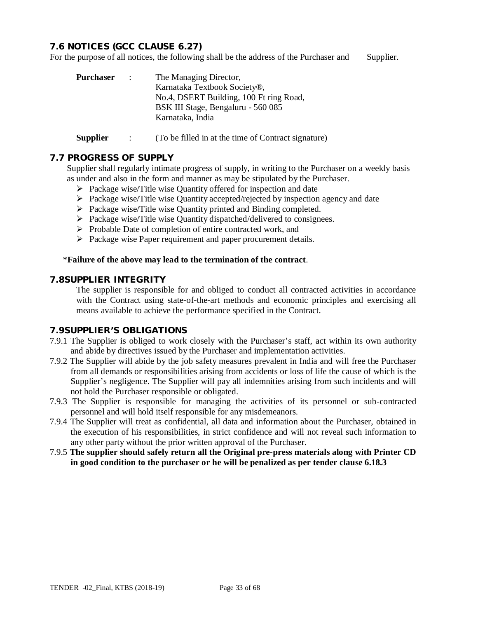## **7.6 NOTICES (GCC CLAUSE 6.27)**

For the purpose of all notices, the following shall be the address of the Purchaser and Supplier.

| Purchaser | $\sim 10^{11}$ km $^{-1}$ | The Managing Director,                  |
|-----------|---------------------------|-----------------------------------------|
|           |                           | Karnataka Textbook Society®,            |
|           |                           | No.4, DSERT Building, 100 Ft ring Road, |
|           |                           | BSK III Stage, Bengaluru - 560 085      |
|           |                           | Karnataka, India                        |
|           |                           |                                         |
|           |                           |                                         |

### **Supplier** : (To be filled in at the time of Contract signature)

#### **7.7 PROGRESS OF SUPPLY**

Supplier shall regularly intimate progress of supply, in writing to the Purchaser on a weekly basis as under and also in the form and manner as may be stipulated by the Purchaser.

- $\triangleright$  Package wise/Title wise Quantity offered for inspection and date
- $\triangleright$  Package wise/Title wise Quantity accepted/rejected by inspection agency and date
- Package wise/Title wise Quantity printed and Binding completed.
- $\triangleright$  Package wise/Title wise Quantity dispatched/delivered to consignees.
- $\triangleright$  Probable Date of completion of entire contracted work, and
- $\triangleright$  Package wise Paper requirement and paper procurement details.

#### \***Failure of the above may lead to the termination of the contract**.

#### **7.8SUPPLIER INTEGRITY**

The supplier is responsible for and obliged to conduct all contracted activities in accordance with the Contract using state-of-the-art methods and economic principles and exercising all means available to achieve the performance specified in the Contract.

#### **7.9SUPPLIER'S OBLIGATIONS**

- 7.9.1 The Supplier is obliged to work closely with the Purchaser's staff, act within its own authority and abide by directives issued by the Purchaser and implementation activities.
- 7.9.2 The Supplier will abide by the job safety measures prevalent in India and will free the Purchaser from all demands or responsibilities arising from accidents or loss of life the cause of which is the Supplier's negligence. The Supplier will pay all indemnities arising from such incidents and will not hold the Purchaser responsible or obligated.
- 7.9.3 The Supplier is responsible for managing the activities of its personnel or sub-contracted personnel and will hold itself responsible for any misdemeanors.
- 7.9.4 The Supplier will treat as confidential, all data and information about the Purchaser, obtained in the execution of his responsibilities, in strict confidence and will not reveal such information to any other party without the prior written approval of the Purchaser.
- 7.9.5 **The supplier should safely return all the Original pre-press materials along with Printer CD in good condition to the purchaser or he will be penalized as per tender clause 6.18.3**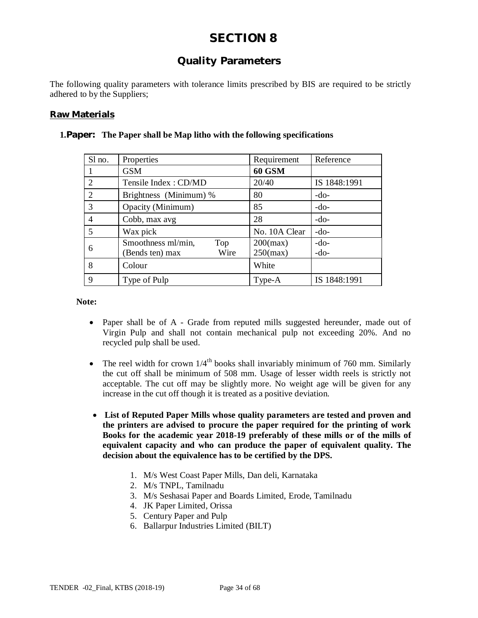## **Quality Parameters**

The following quality parameters with tolerance limits prescribed by BIS are required to be strictly adhered to by the Suppliers;

## **Raw Materials**

| Sl no.                      | Properties                                           | Requirement                | Reference        |
|-----------------------------|------------------------------------------------------|----------------------------|------------------|
|                             | <b>GSM</b>                                           | <b>60 GSM</b>              |                  |
| $\mathcal{D}_{\mathcal{L}}$ | Tensile Index: CD/MD                                 | 20/40                      | IS 1848:1991     |
| $\overline{2}$              | Brightness (Minimum) %                               | 80                         | $-do-$           |
| 3                           | Opacity (Minimum)                                    | 85                         | $-do-$           |
| $\overline{4}$              | Cobb, max avg                                        | 28                         | $-do-$           |
| 5                           | Wax pick                                             | No. 10A Clear              | $-do-$           |
| 6                           | Smoothness ml/min,<br>Top<br>Wire<br>(Bends ten) max | $200$ (max)<br>$250$ (max) | $-do-$<br>$-do-$ |
| 8                           | Colour                                               | White                      |                  |
| 9                           | Type of Pulp                                         | Type-A                     | IS 1848:1991     |

#### **1.Paper: The Paper shall be Map litho with the following specifications**

**Note:**

- Paper shall be of A Grade from reputed mills suggested hereunder, made out of Virgin Pulp and shall not contain mechanical pulp not exceeding 20%. And no recycled pulp shall be used.
- The reel width for crown  $1/4^{\text{th}}$  books shall invariably minimum of 760 mm. Similarly the cut off shall be minimum of 508 mm. Usage of lesser width reels is strictly not acceptable. The cut off may be slightly more. No weight age will be given for any increase in the cut off though it is treated as a positive deviation.
- **List of Reputed Paper Mills whose quality parameters are tested and proven and the printers are advised to procure the paper required for the printing of work Books for the academic year 2018-19 preferably of these mills or of the mills of equivalent capacity and who can produce the paper of equivalent quality. The decision about the equivalence has to be certified by the DPS.**
	- 1. M/s West Coast Paper Mills, Dan deli, Karnataka
	- 2. M/s TNPL, Tamilnadu
	- 3. M/s Seshasai Paper and Boards Limited, Erode, Tamilnadu
	- 4. JK Paper Limited, Orissa
	- 5. Century Paper and Pulp
	- 6. Ballarpur Industries Limited (BILT)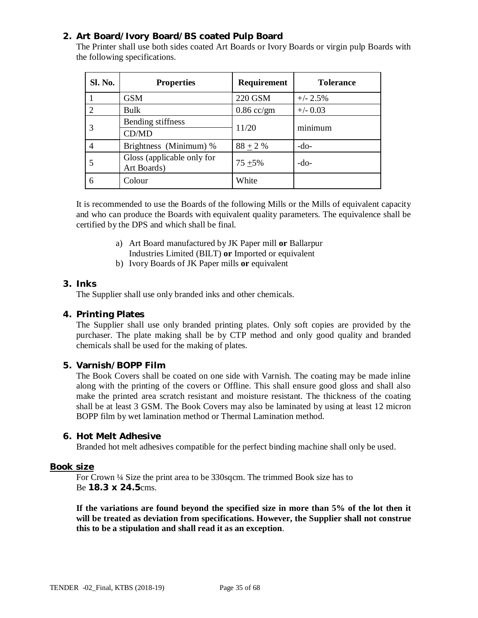## **2. Art Board/Ivory Board/BS coated Pulp Board**

The Printer shall use both sides coated Art Boards or Ivory Boards or virgin pulp Boards with the following specifications.

| <b>Sl. No.</b> | <b>Properties</b>                         | <b>Requirement</b> | <b>Tolerance</b> |
|----------------|-------------------------------------------|--------------------|------------------|
|                | <b>GSM</b>                                | 220 GSM            | $+/- 2.5%$       |
|                | Bulk                                      | $0.86$ cc/gm       | $+/- 0.03$       |
|                | Bending stiffness                         | 11/20              | minimum          |
|                | CD/MD                                     |                    |                  |
|                | Brightness (Minimum) %                    | $88 + 2 %$         | $-do-$           |
|                | Gloss (applicable only for<br>Art Boards) | $75 + 5\%$         | $-do-$           |
| 6              | Colour                                    | White              |                  |

It is recommended to use the Boards of the following Mills or the Mills of equivalent capacity and who can produce the Boards with equivalent quality parameters. The equivalence shall be certified by the DPS and which shall be final.

- a) Art Board manufactured by JK Paper mill **or** Ballarpur Industries Limited (BILT) **or** Imported or equivalent
- b) Ivory Boards of JK Paper mills **or** equivalent

#### **3. Inks**

The Supplier shall use only branded inks and other chemicals.

#### **4. Printing Plates**

The Supplier shall use only branded printing plates. Only soft copies are provided by the purchaser. The plate making shall be by CTP method and only good quality and branded chemicals shall be used for the making of plates.

## **5. Varnish/BOPP Film**

The Book Covers shall be coated on one side with Varnish. The coating may be made inline along with the printing of the covers or Offline. This shall ensure good gloss and shall also make the printed area scratch resistant and moisture resistant. The thickness of the coating shall be at least 3 GSM. The Book Covers may also be laminated by using at least 12 micron BOPP film by wet lamination method or Thermal Lamination method.

#### **6. Hot Melt Adhesive**

Branded hot melt adhesives compatible for the perfect binding machine shall only be used.

#### **Book size**

For Crown ¼ Size the print area to be 330sqcm. The trimmed Book size has to Be **18.3 x 24.5**cms.

**If the variations are found beyond the specified size in more than 5% of the lot then it will be treated as deviation from specifications. However, the Supplier shall not construe this to be a stipulation and shall read it as an exception**.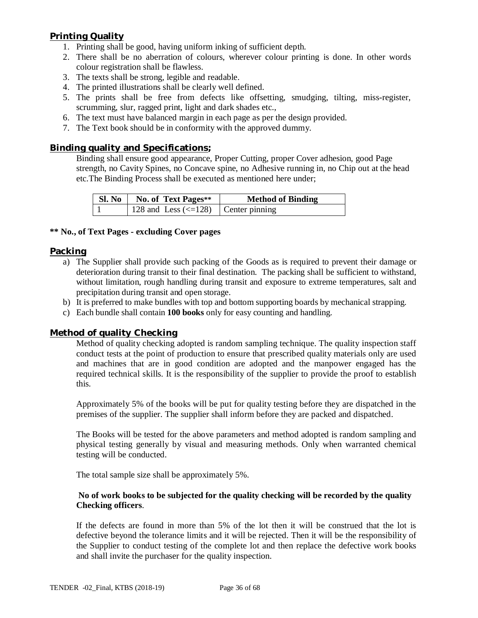## **Printing Quality**

- 1. Printing shall be good, having uniform inking of sufficient depth.
- 2. There shall be no aberration of colours, wherever colour printing is done. In other words colour registration shall be flawless.
- 3. The texts shall be strong, legible and readable.
- 4. The printed illustrations shall be clearly well defined.
- 5. The prints shall be free from defects like offsetting, smudging, tilting, miss-register, scrumming, slur, ragged print, light and dark shades etc.,
- 6. The text must have balanced margin in each page as per the design provided.
- 7. The Text book should be in conformity with the approved dummy.

#### **Binding quality and Specifications;**

Binding shall ensure good appearance, Proper Cutting, proper Cover adhesion, good Page strength, no Cavity Spines, no Concave spine, no Adhesive running in, no Chip out at the head etc.The Binding Process shall be executed as mentioned here under;

|  | Sl. No   No. of Text Pages**                            | <b>Method of Binding</b> |
|--|---------------------------------------------------------|--------------------------|
|  | 128 and Less $\left( \leq 128 \right)$   Center pinning |                          |

## **\*\* No., of Text Pages - excluding Cover pages**

#### **Packing**

- a) The Supplier shall provide such packing of the Goods as is required to prevent their damage or deterioration during transit to their final destination. The packing shall be sufficient to withstand, without limitation, rough handling during transit and exposure to extreme temperatures, salt and precipitation during transit and open storage.
- b) It is preferred to make bundles with top and bottom supporting boards by mechanical strapping.
- c) Each bundle shall contain **100 books** only for easy counting and handling.

#### **Method of quality Checking**

Method of quality checking adopted is random sampling technique. The quality inspection staff conduct tests at the point of production to ensure that prescribed quality materials only are used and machines that are in good condition are adopted and the manpower engaged has the required technical skills. It is the responsibility of the supplier to provide the proof to establish this.

Approximately 5% of the books will be put for quality testing before they are dispatched in the premises of the supplier. The supplier shall inform before they are packed and dispatched.

The Books will be tested for the above parameters and method adopted is random sampling and physical testing generally by visual and measuring methods. Only when warranted chemical testing will be conducted.

The total sample size shall be approximately 5%.

#### **No of work books to be subjected for the quality checking will be recorded by the quality Checking officers**.

If the defects are found in more than 5% of the lot then it will be construed that the lot is defective beyond the tolerance limits and it will be rejected. Then it will be the responsibility of the Supplier to conduct testing of the complete lot and then replace the defective work books and shall invite the purchaser for the quality inspection.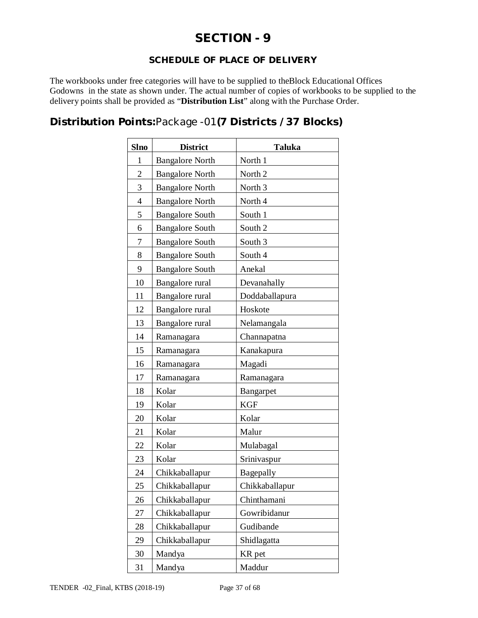# **SECTION - 9**

## **SCHEDULE OF PLACE OF DELIVERY**

The workbooks under free categories will have to be supplied to theBlock Educational Offices Godowns in the state as shown under. The actual number of copies of workbooks to be supplied to the delivery points shall be provided as "**Distribution List**" along with the Purchase Order.

## **Distribution Points:**Package -01**(7 Districts /37 Blocks)**

| <b>Slno</b>    | <b>District</b>        | <b>Taluka</b>      |
|----------------|------------------------|--------------------|
| $\mathbf{1}$   | <b>Bangalore North</b> | North 1            |
| $\overline{c}$ | <b>Bangalore North</b> | North <sub>2</sub> |
| 3              | <b>Bangalore North</b> | North <sub>3</sub> |
| $\overline{4}$ | <b>Bangalore North</b> | North 4            |
| 5              | <b>Bangalore South</b> | South 1            |
| 6              | <b>Bangalore South</b> | South 2            |
| 7              | <b>Bangalore South</b> | South 3            |
| 8              | <b>Bangalore South</b> | South 4            |
| 9              | <b>Bangalore South</b> | Anekal             |
| 10             | Bangalore rural        | Devanahally        |
| 11             | Bangalore rural        | Doddaballapura     |
| 12             | Bangalore rural        | Hoskote            |
| 13             | Bangalore rural        | Nelamangala        |
| 14             | Ramanagara             | Channapatna        |
| 15             | Ramanagara             | Kanakapura         |
| 16             | Ramanagara             | Magadi             |
| 17             | Ramanagara             | Ramanagara         |
| 18             | Kolar                  | Bangarpet          |
| 19             | Kolar                  | <b>KGF</b>         |
| 20             | Kolar                  | Kolar              |
| 21             | Kolar                  | Malur              |
| 22             | Kolar                  | Mulabagal          |
| 23             | Kolar                  | Srinivaspur        |
| 24             | Chikkaballapur         | Bagepally          |
| 25             | Chikkaballapur         | Chikkaballapur     |
| 26             | Chikkaballapur         | Chinthamani        |
| 27             | Chikkaballapur         | Gowribidanur       |
| 28             | Chikkaballapur         | Gudibande          |
| 29             | Chikkaballapur         | Shidlagatta        |
| 30             | Mandya                 | KR pet             |
| 31             | Mandya                 | Maddur             |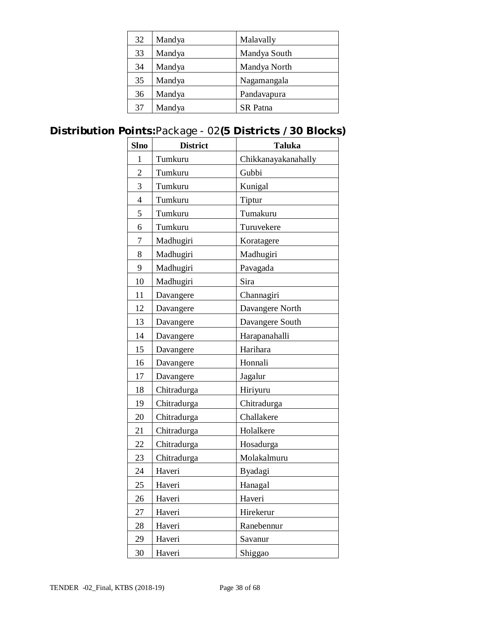| 32 | Mandya | Malavally       |
|----|--------|-----------------|
| 33 | Mandya | Mandya South    |
| 34 | Mandya | Mandya North    |
| 35 | Mandya | Nagamangala     |
| 36 | Mandya | Pandavapura     |
| 37 | Mandya | <b>SR</b> Patna |

# **Distribution Points:**Package - 02**(5 Districts /30 Blocks)**

| <b>Slno</b>    | <b>District</b> | <b>Taluka</b>       |
|----------------|-----------------|---------------------|
| 1              | Tumkuru         | Chikkanayakanahally |
| $\overline{2}$ | Tumkuru         | Gubbi               |
| 3              | Tumkuru         | Kunigal             |
| $\overline{4}$ | Tumkuru         | Tiptur              |
| 5              | Tumkuru         | Tumakuru            |
| 6              | Tumkuru         | Turuvekere          |
| 7              | Madhugiri       | Koratagere          |
| 8              | Madhugiri       | Madhugiri           |
| 9              | Madhugiri       | Pavagada            |
| 10             | Madhugiri       | Sira                |
| 11             | Davangere       | Channagiri          |
| 12             | Davangere       | Davangere North     |
| 13             | Davangere       | Davangere South     |
| 14             | Davangere       | Harapanahalli       |
| 15             | Davangere       | Harihara            |
| 16             | Davangere       | Honnali             |
| 17             | Davangere       | Jagalur             |
| 18             | Chitradurga     | Hiriyuru            |
| 19             | Chitradurga     | Chitradurga         |
| 20             | Chitradurga     | Challakere          |
| 21             | Chitradurga     | Holalkere           |
| 22             | Chitradurga     | Hosadurga           |
| 23             | Chitradurga     | Molakalmuru         |
| 24             | Haveri          | Byadagi             |
| 25             | Haveri          | Hanagal             |
| 26             | Haveri          | Haveri              |
| 27             | Haveri          | Hirekerur           |
| 28             | Haveri          | Ranebennur          |
| 29             | Haveri          | Savanur             |
| 30             | Haveri          | Shiggao             |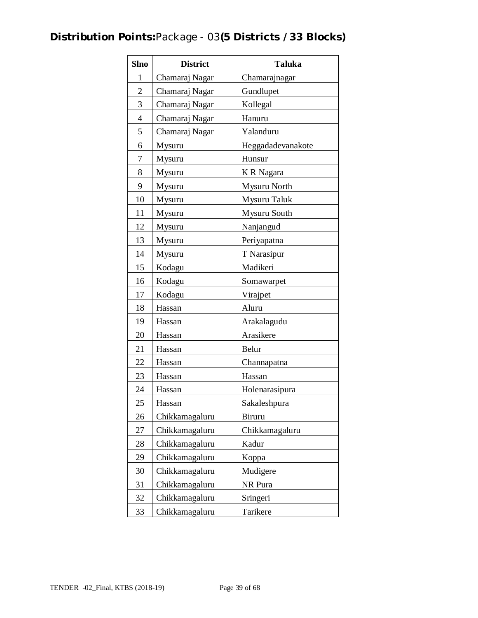# **Distribution Points:**Package - 03**(5 Districts /33 Blocks)**

| <b>Slno</b>    | <b>District</b> | <b>Taluka</b>     |
|----------------|-----------------|-------------------|
| 1              | Chamaraj Nagar  | Chamarajnagar     |
| $\overline{2}$ | Chamaraj Nagar  | Gundlupet         |
| 3              | Chamaraj Nagar  | Kollegal          |
| $\overline{4}$ | Chamaraj Nagar  | Hanuru            |
| 5              | Chamaraj Nagar  | Yalanduru         |
| 6              | Mysuru          | Heggadadevanakote |
| 7              | Mysuru          | Hunsur            |
| 8              | Mysuru          | K R Nagara        |
| 9              | Mysuru          | Mysuru North      |
| 10             | Mysuru          | Mysuru Taluk      |
| 11             | Mysuru          | Mysuru South      |
| 12             | Mysuru          | Nanjangud         |
| 13             | Mysuru          | Periyapatna       |
| 14             | Mysuru          | T Narasipur       |
| 15             | Kodagu          | Madikeri          |
| 16             | Kodagu          | Somawarpet        |
| 17             | Kodagu          | Virajpet          |
| 18             | Hassan          | Aluru             |
| 19             | Hassan          | Arakalagudu       |
| 20             | Hassan          | Arasikere         |
| 21             | Hassan          | Belur             |
| 22             | Hassan          | Channapatna       |
| 23             | Hassan          | Hassan            |
| 24             | Hassan          | Holenarasipura    |
| 25             | Hassan          | Sakaleshpura      |
| 26             | Chikkamagaluru  | <b>Biruru</b>     |
| 27             | Chikkamagaluru  | Chikkamagaluru    |
| 28             | Chikkamagaluru  | Kadur             |
| 29             | Chikkamagaluru  | Koppa             |
| 30             | Chikkamagaluru  | Mudigere          |
| 31             | Chikkamagaluru  | NR Pura           |
| 32             | Chikkamagaluru  | Sringeri          |
| 33             | Chikkamagaluru  | Tarikere          |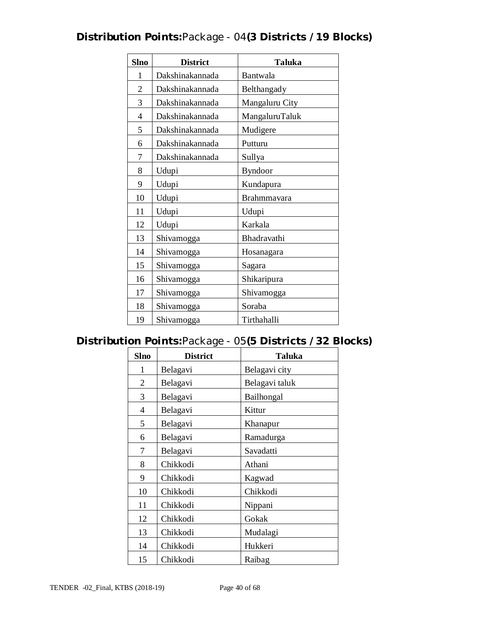# **Distribution Points:**Package - 04**(3 Districts /19 Blocks)**

| <b>Slno</b>    | <b>District</b> | <b>Taluka</b>  |
|----------------|-----------------|----------------|
| 1              | Dakshinakannada | Bantwala       |
| $\overline{2}$ | Dakshinakannada | Belthangady    |
| 3              | Dakshinakannada | Mangaluru City |
| $\overline{4}$ | Dakshinakannada | MangaluruTaluk |
| 5              | Dakshinakannada | Mudigere       |
| 6              | Dakshinakannada | Putturu        |
| 7              | Dakshinakannada | Sullya         |
| 8              | Udupi           | <b>Byndoor</b> |
| 9              | Udupi           | Kundapura      |
| 10             | Udupi           | Brahmmavara    |
| 11             | Udupi           | Udupi          |
| 12             | Udupi           | Karkala        |
| 13             | Shivamogga      | Bhadravathi    |
| 14             | Shivamogga      | Hosanagara     |
| 15             | Shivamogga      | Sagara         |
| 16             | Shivamogga      | Shikaripura    |
| 17             | Shivamogga      | Shivamogga     |
| 18             | Shivamogga      | Soraba         |
| 19             | Shivamogga      | Tirthahalli    |

# **Distribution Points:**Package - 05**(5 Districts /32 Blocks)**

| <b>Slno</b>    | <b>District</b> | <b>Taluka</b>  |
|----------------|-----------------|----------------|
| 1              | Belagavi        | Belagavi city  |
| $\overline{2}$ | Belagavi        | Belagavi taluk |
| 3              | Belagavi        | Bailhongal     |
| 4              | Belagavi        | Kittur         |
| 5              | Belagavi        | Khanapur       |
| 6              | Belagavi        | Ramadurga      |
| 7              | Belagavi        | Savadatti      |
| 8              | Chikkodi        | Athani         |
| 9              | Chikkodi        | Kagwad         |
| 10             | Chikkodi        | Chikkodi       |
| 11             | Chikkodi        | Nippani        |
| 12             | Chikkodi        | Gokak          |
| 13             | Chikkodi        | Mudalagi       |
| 14             | Chikkodi        | Hukkeri        |
| 15             | Chikkodi        | Raibag         |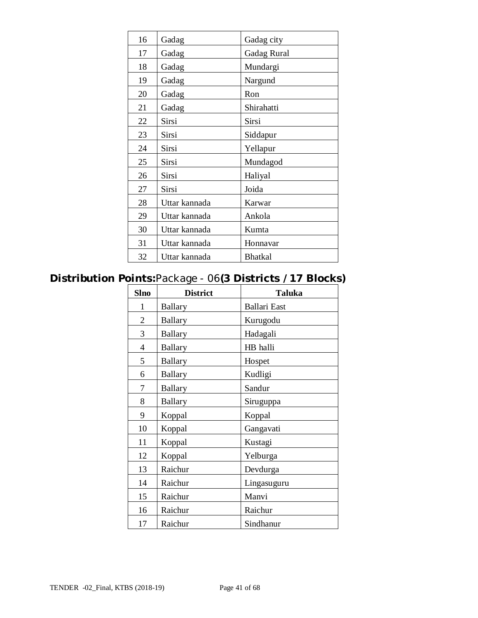| 16 | Gadag         | Gadag city         |
|----|---------------|--------------------|
| 17 | Gadag         | <b>Gadag Rural</b> |
| 18 | Gadag         | Mundargi           |
| 19 | Gadag         | Nargund            |
| 20 | Gadag         | Ron                |
| 21 | Gadag         | Shirahatti         |
| 22 | Sirsi         | Sirsi              |
| 23 | Sirsi         | Siddapur           |
| 24 | Sirsi         | Yellapur           |
| 25 | Sirsi         | Mundagod           |
| 26 | Sirsi         | Haliyal            |
| 27 | Sirsi         | Joida              |
| 28 | Uttar kannada | Karwar             |
| 29 | Uttar kannada | Ankola             |
| 30 | Uttar kannada | Kumta              |
| 31 | Uttar kannada | Honnavar           |
| 32 | Uttar kannada | <b>Bhatkal</b>     |

# **Distribution Points:**Package - 06**(3 Districts /17 Blocks)**

| <b>Slno</b>    | <b>District</b> | <b>Taluka</b>       |
|----------------|-----------------|---------------------|
| 1              | <b>Ballary</b>  | <b>Ballari</b> East |
| $\overline{2}$ | <b>Ballary</b>  | Kurugodu            |
| 3              | <b>Ballary</b>  | Hadagali            |
| 4              | <b>Ballary</b>  | HB halli            |
| 5              | <b>Ballary</b>  | Hospet              |
| 6              | <b>Ballary</b>  | Kudligi             |
| 7              | <b>Ballary</b>  | Sandur              |
| 8              | <b>Ballary</b>  | Siruguppa           |
| 9              | Koppal          | Koppal              |
| 10             | Koppal          | Gangavati           |
| 11             | Koppal          | Kustagi             |
| 12             | Koppal          | Yelburga            |
| 13             | Raichur         | Devdurga            |
| 14             | Raichur         | Lingasuguru         |
| 15             | Raichur         | Manvi               |
| 16             | Raichur         | Raichur             |
| 17             | Raichur         | Sindhanur           |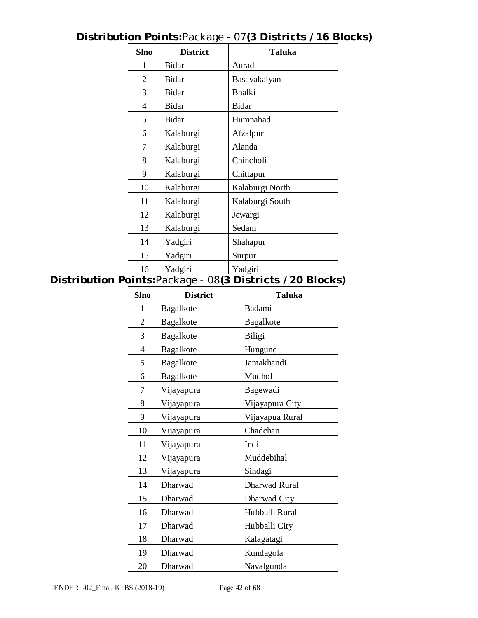| <b>Slno</b>    | <b>District</b> | <b>Taluka</b>   |
|----------------|-----------------|-----------------|
| 1              | Bidar           | Aurad           |
| $\overline{2}$ | Bidar           | Basavakalyan    |
| 3              | Bidar           | <b>Bhalki</b>   |
| $\overline{4}$ | Bidar           | <b>Bidar</b>    |
| 5              | Bidar           | Humnabad        |
| 6              | Kalaburgi       | Afzalpur        |
| 7              | Kalaburgi       | Alanda          |
| 8              | Kalaburgi       | Chincholi       |
| 9              | Kalaburgi       | Chittapur       |
| 10             | Kalaburgi       | Kalaburgi North |
| 11             | Kalaburgi       | Kalaburgi South |
| 12             | Kalaburgi       | Jewargi         |
| 13             | Kalaburgi       | Sedam           |
| 14             | Yadgiri         | Shahapur        |
| 15             | Yadgiri         | Surpur          |
| 16             | Yadgiri         | Yadgiri         |

# **Distribution Points:**Package - 07**(3 Districts /16 Blocks)**

# **Distribution Points:**Package - 08**(3 Districts /20 Blocks)**

| <b>Slno</b>    | <b>District</b> | <b>Taluka</b>        |
|----------------|-----------------|----------------------|
| 1              | Bagalkote       | Badami               |
| 2              | Bagalkote       | Bagalkote            |
| 3              | Bagalkote       | Biligi               |
| $\overline{4}$ | Bagalkote       | Hungund              |
| 5              | Bagalkote       | Jamakhandi           |
| 6              | Bagalkote       | Mudhol               |
| 7              | Vijayapura      | Bagewadi             |
| 8              | Vijayapura      | Vijayapura City      |
| 9              | Vijayapura      | Vijayapua Rural      |
| 10             | Vijayapura      | Chadchan             |
| 11             | Vijayapura      | Indi                 |
| 12             | Vijayapura      | Muddebihal           |
| 13             | Vijayapura      | Sindagi              |
| 14             | Dharwad         | <b>Dharwad Rural</b> |
| 15             | Dharwad         | Dharwad City         |
| 16             | Dharwad         | Hubballi Rural       |
| 17             | Dharwad         | Hubballi City        |
| 18             | Dharwad         | Kalagatagi           |
| 19             | Dharwad         | Kundagola            |
| 20             | Dharwad         | Navalgunda           |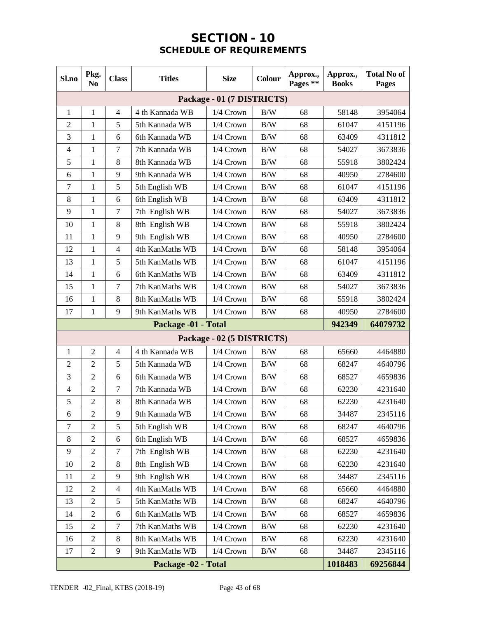# **SECTION - 10 SCHEDULE OF REQUIREMENTS**

| Sl.no          | Pkg.<br>N <sub>0</sub>                     | <b>Class</b>     | <b>Titles</b>       | <b>Size</b>                | Colour | Approx.,<br>Pages ** | Approx.,<br><b>Books</b> | <b>Total No of</b><br>Pages |  |
|----------------|--------------------------------------------|------------------|---------------------|----------------------------|--------|----------------------|--------------------------|-----------------------------|--|
|                |                                            |                  |                     | Package - 01 (7 DISTRICTS) |        |                      |                          |                             |  |
| $\mathbf{1}$   | $\mathbf{1}$                               | $\overline{4}$   | 4 th Kannada WB     | 1/4 Crown                  | B/W    | 68                   | 58148                    | 3954064                     |  |
| $\overline{c}$ | 1                                          | 5                | 5th Kannada WB      | $1/4$ Crown                | B/W    | 68                   | 61047                    | 4151196                     |  |
| 3              | $\mathbf{1}$                               | 6                | 6th Kannada WB      | 1/4 Crown                  | B/W    | 68                   | 63409                    | 4311812                     |  |
| $\overline{4}$ | $\mathbf{1}$                               | $\tau$           | 7th Kannada WB      | 1/4 Crown                  | B/W    | 68                   | 54027                    | 3673836                     |  |
| 5              | 1                                          | 8                | 8th Kannada WB      | 1/4 Crown                  | B/W    | 68                   | 55918                    | 3802424                     |  |
| 6              | 1                                          | 9                | 9th Kannada WB      | 1/4 Crown                  | B/W    | 68                   | 40950                    | 2784600                     |  |
| $\overline{7}$ | $\mathbf{1}$                               | 5                | 5th English WB      | 1/4 Crown                  | B/W    | 68                   | 61047                    | 4151196                     |  |
| 8              | 1                                          | 6                | 6th English WB      | 1/4 Crown                  | B/W    | 68                   | 63409                    | 4311812                     |  |
| 9              | 1                                          | $\tau$           | 7th English WB      | 1/4 Crown                  | B/W    | 68                   | 54027                    | 3673836                     |  |
| 10             | $\mathbf{1}$                               | 8                | 8th English WB      | 1/4 Crown                  | B/W    | 68                   | 55918                    | 3802424                     |  |
| 11             | 1                                          | 9                | 9th English WB      | 1/4 Crown                  | B/W    | 68                   | 40950                    | 2784600                     |  |
| 12             | $\mathbf{1}$                               | $\overline{4}$   | 4th KanMaths WB     | 1/4 Crown                  | B/W    | 68                   | 58148                    | 3954064                     |  |
| 13             | $\mathbf{1}$                               | 5                | 5th KanMaths WB     | 1/4 Crown                  | B/W    | 68                   | 61047                    | 4151196                     |  |
| 14             | $\mathbf{1}$                               | 6                | 6th KanMaths WB     | 1/4 Crown                  | B/W    | 68                   | 63409                    | 4311812                     |  |
| 15             | 1                                          | $\tau$           | 7th KanMaths WB     | 1/4 Crown                  | B/W    | 68                   | 54027                    | 3673836                     |  |
| 16             | $\mathbf{1}$                               | 8                | 8th KanMaths WB     | 1/4 Crown                  | B/W    | 68                   | 55918                    | 3802424                     |  |
| 17             | 1                                          | 9                | 9th KanMaths WB     | 1/4 Crown                  | B/W    | 68                   | 40950                    | 2784600                     |  |
|                |                                            |                  | Package -01 - Total |                            |        |                      | 942349                   | 64079732                    |  |
|                |                                            |                  |                     | Package - 02 (5 DISTRICTS) |        |                      |                          |                             |  |
| 1              | $\overline{c}$                             | $\overline{4}$   | 4 th Kannada WB     | 1/4 Crown                  | B/W    | 68                   | 65660                    | 4464880                     |  |
| $\overline{2}$ | $\overline{2}$                             | 5                | 5th Kannada WB      | 1/4 Crown                  | B/W    | 68                   | 68247                    | 4640796                     |  |
| 3              | $\overline{c}$                             | 6                | 6th Kannada WB      | $1/4$ Crown                | B/W    | 68                   | 68527                    | 4659836                     |  |
| $\overline{4}$ | $\overline{2}$                             | $\overline{7}$   | 7th Kannada WB      | 1/4 Crown                  | B/W    | 68                   | 62230                    | 4231640                     |  |
| 5              | $\overline{c}$                             | 8                | 8th Kannada WB      | 1/4 Crown                  | B/W    | 68                   | 62230                    | 4231640                     |  |
| 6              | $\overline{c}$                             | 9                | 9th Kannada WB      | $1/4$ Crown                | B/W    | 68                   | 34487                    | 2345116                     |  |
| $\overline{7}$ | $\overline{c}$                             | 5                | 5th English WB      | $1/4$ Crown                | B/W    | 68                   | 68247                    | 4640796                     |  |
| 8              | $\overline{2}$                             | 6                | 6th English WB      | 1/4 Crown                  | B/W    | 68                   | 68527                    | 4659836                     |  |
| 9              | $\overline{c}$                             | $\boldsymbol{7}$ | 7th English WB      | $1/4$ Crown                | B/W    | 68                   | 62230                    | 4231640                     |  |
| 10             | $\overline{c}$                             | 8                | 8th English WB      | $1/4$ Crown                | B/W    | 68                   | 62230                    | 4231640                     |  |
| 11             | $\overline{2}$                             | 9                | 9th English WB      | 1/4 Crown                  | B/W    | 68                   | 34487                    | 2345116                     |  |
| 12             | $\overline{2}$                             | $\overline{4}$   | 4th KanMaths WB     | 1/4 Crown                  | B/W    | 68                   | 65660                    | 4464880                     |  |
| 13             | $\overline{c}$                             | 5                | 5th KanMaths WB     | $1/4$ Crown                | B/W    | 68                   | 68247                    | 4640796                     |  |
| 14             | $\overline{2}$                             | 6                | 6th KanMaths WB     | 1/4 Crown                  | B/W    | 68                   | 68527                    | 4659836                     |  |
| 15             | $\overline{c}$                             | $\tau$           | 7th KanMaths WB     | 1/4 Crown                  | B/W    | 68                   | 62230                    | 4231640                     |  |
| 16             | $\overline{c}$                             | 8                | 8th KanMaths WB     | 1/4 Crown                  | B/W    | 68                   | 62230                    | 4231640                     |  |
| 17             | $\overline{2}$                             | 9                | 9th KanMaths WB     | 1/4 Crown                  | B/W    | 68                   | 34487                    | 2345116                     |  |
|                | 1018483<br>69256844<br>Package -02 - Total |                  |                     |                            |        |                      |                          |                             |  |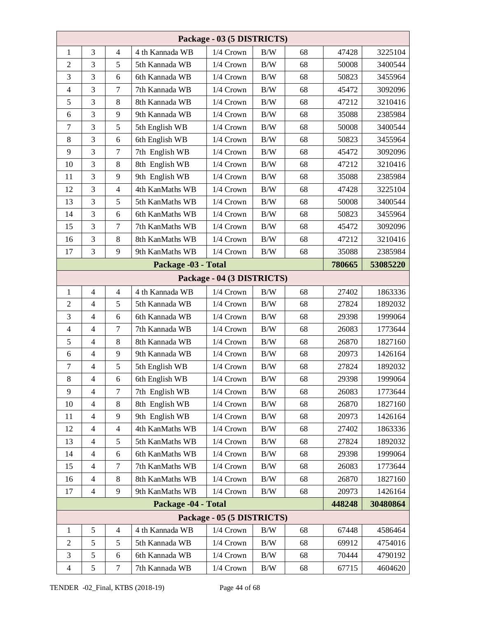| Package - 03 (5 DISTRICTS) |                |                  |                     |                            |            |    |        |          |
|----------------------------|----------------|------------------|---------------------|----------------------------|------------|----|--------|----------|
| 1                          | 3              | $\overline{4}$   | 4 th Kannada WB     | 1/4 Crown                  | B/W        | 68 | 47428  | 3225104  |
| $\mathfrak{2}$             | 3              | 5                | 5th Kannada WB      | 1/4 Crown                  | $\rm\,B/W$ | 68 | 50008  | 3400544  |
| 3                          | 3              | 6                | 6th Kannada WB      | 1/4 Crown                  | B/W        | 68 | 50823  | 3455964  |
| $\overline{4}$             | 3              | $\tau$           | 7th Kannada WB      | 1/4 Crown                  | B/W        | 68 | 45472  | 3092096  |
| 5                          | 3              | 8                | 8th Kannada WB      | 1/4 Crown                  | $\rm\,B/W$ | 68 | 47212  | 3210416  |
| 6                          | 3              | 9                | 9th Kannada WB      | 1/4 Crown                  | B/W        | 68 | 35088  | 2385984  |
| $\overline{7}$             | 3              | 5                | 5th English WB      | 1/4 Crown                  | B/W        | 68 | 50008  | 3400544  |
| 8                          | 3              | 6                | 6th English WB      | 1/4 Crown                  | $\rm\,B/W$ | 68 | 50823  | 3455964  |
| 9                          | 3              | $\tau$           | 7th English WB      | 1/4 Crown                  | B/W        | 68 | 45472  | 3092096  |
| 10                         | 3              | $\,8\,$          | 8th English WB      | 1/4 Crown                  | B/W        | 68 | 47212  | 3210416  |
| 11                         | 3              | 9                | 9th English WB      | 1/4 Crown                  | $\rm\,B/W$ | 68 | 35088  | 2385984  |
| 12                         | 3              | $\overline{4}$   | 4th KanMaths WB     | 1/4 Crown                  | B/W        | 68 | 47428  | 3225104  |
| 13                         | 3              | 5                | 5th KanMaths WB     | 1/4 Crown                  | B/W        | 68 | 50008  | 3400544  |
| 14                         | 3              | 6                | 6th KanMaths WB     | 1/4 Crown                  | B/W        | 68 | 50823  | 3455964  |
| 15                         | 3              | $\tau$           | 7th KanMaths WB     | 1/4 Crown                  | B/W        | 68 | 45472  | 3092096  |
| 16                         | 3              | $\,8\,$          | 8th KanMaths WB     | 1/4 Crown                  | B/W        | 68 | 47212  | 3210416  |
| 17                         | 3              | 9                | 9th KanMaths WB     | 1/4 Crown                  | B/W        | 68 | 35088  | 2385984  |
|                            |                |                  | Package -03 - Total |                            |            |    | 780665 | 53085220 |
|                            |                |                  |                     | Package - 04 (3 DISTRICTS) |            |    |        |          |
| 1                          | $\overline{4}$ | $\overline{4}$   | 4 th Kannada WB     | 1/4 Crown                  | B/W        | 68 | 27402  | 1863336  |
| $\overline{2}$             | $\overline{4}$ | 5                | 5th Kannada WB      | 1/4 Crown                  | B/W        | 68 | 27824  | 1892032  |
| 3                          | $\overline{4}$ | 6                | 6th Kannada WB      | 1/4 Crown                  | B/W        | 68 | 29398  | 1999064  |
| $\overline{4}$             | $\overline{4}$ | $\tau$           | 7th Kannada WB      | 1/4 Crown                  | $\rm\,B/W$ | 68 | 26083  | 1773644  |
| 5                          | $\overline{4}$ | 8                | 8th Kannada WB      | 1/4 Crown                  | B/W        | 68 | 26870  | 1827160  |
| 6                          | $\overline{4}$ | 9                | 9th Kannada WB      | 1/4 Crown                  | B/W        | 68 | 20973  | 1426164  |
| $\tau$                     | $\overline{4}$ | 5                | 5th English WB      | 1/4 Crown                  | B/W        | 68 | 27824  | 1892032  |
| 8                          | 4              | 6                | 6th English WB      | $1/4$ Crown                | B/W        | 68 | 29398  | 1999064  |
| 9                          | $\overline{4}$ | 7                | 7th English WB      | $1/4$ Crown                | B/W        | 68 | 26083  | 1773644  |
| 10                         | $\overline{4}$ | 8                | 8th English WB      | 1/4 Crown                  | B/W        | 68 | 26870  | 1827160  |
| 11                         | $\overline{4}$ | 9                | 9th English WB      | 1/4 Crown                  | B/W        | 68 | 20973  | 1426164  |
| 12                         | $\overline{4}$ | $\overline{4}$   | 4th KanMaths WB     | 1/4 Crown                  | B/W        | 68 | 27402  | 1863336  |
| 13                         | $\overline{4}$ | 5                | 5th KanMaths WB     | 1/4 Crown                  | B/W        | 68 | 27824  | 1892032  |
| 14                         | $\overline{4}$ | 6                | 6th KanMaths WB     | 1/4 Crown                  | B/W        | 68 | 29398  | 1999064  |
| 15                         | $\overline{4}$ | $\tau$           | 7th KanMaths WB     | 1/4 Crown                  | B/W        | 68 | 26083  | 1773644  |
| 16                         | $\overline{4}$ | 8                | 8th KanMaths WB     | 1/4 Crown                  | B/W        | 68 | 26870  | 1827160  |
| 17                         | $\overline{4}$ | 9                | 9th KanMaths WB     | 1/4 Crown                  | B/W        | 68 | 20973  | 1426164  |
|                            |                |                  | Package -04 - Total |                            |            |    | 448248 | 30480864 |
|                            |                |                  |                     | Package - 05 (5 DISTRICTS) |            |    |        |          |
| $\mathbf{1}$               | 5              | $\overline{4}$   | 4 th Kannada WB     | 1/4 Crown                  | B/W        | 68 | 67448  | 4586464  |
| $\overline{2}$             | 5              | 5                | 5th Kannada WB      | 1/4 Crown                  | B/W        | 68 | 69912  | 4754016  |
| 3                          | 5              | 6                | 6th Kannada WB      | 1/4 Crown                  | B/W        | 68 | 70444  | 4790192  |
| $\overline{4}$             | 5              | $\boldsymbol{7}$ | 7th Kannada WB      | 1/4 Crown                  | B/W        | 68 | 67715  | 4604620  |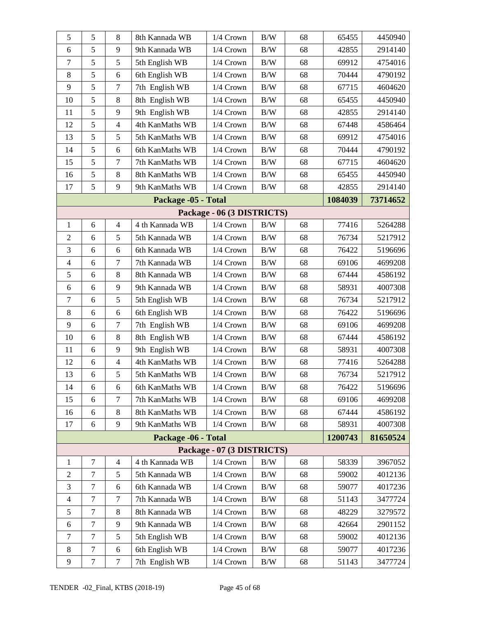| 5              | 5                | 8                | 8th Kannada WB      | 1/4 Crown                  | $\rm\,B/W$ | 68 | 65455   | 4450940  |
|----------------|------------------|------------------|---------------------|----------------------------|------------|----|---------|----------|
| 6              | 5                | 9                | 9th Kannada WB      | $1/4$ Crown                | B/W        | 68 | 42855   | 2914140  |
| $\tau$         | 5                | 5                | 5th English WB      | 1/4 Crown                  | $\rm\,B/W$ | 68 | 69912   | 4754016  |
| 8              | 5                | 6                | 6th English WB      | 1/4 Crown                  | $\rm\,B/W$ | 68 | 70444   | 4790192  |
| 9              | 5                | $\boldsymbol{7}$ | 7th English WB      | 1/4 Crown                  | B/W        | 68 | 67715   | 4604620  |
| 10             | 5                | 8                | 8th English WB      | 1/4 Crown                  | $\rm\,B/W$ | 68 | 65455   | 4450940  |
| 11             | 5                | 9                | 9th English WB      | 1/4 Crown                  | $\rm\,B/W$ | 68 | 42855   | 2914140  |
| 12             | 5                | $\overline{4}$   | 4th KanMaths WB     | $1/4$ Crown                | B/W        | 68 | 67448   | 4586464  |
| 13             | 5                | 5                | 5th KanMaths WB     | 1/4 Crown                  | $\rm\,B/W$ | 68 | 69912   | 4754016  |
| 14             | 5                | 6                | 6th KanMaths WB     | 1/4 Crown                  | $\rm\,B/W$ | 68 | 70444   | 4790192  |
| 15             | 5                | $\boldsymbol{7}$ | 7th KanMaths WB     | $1/4$ Crown                | B/W        | 68 | 67715   | 4604620  |
| 16             | 5                | 8                | 8th KanMaths WB     | 1/4 Crown                  | $\rm\,B/W$ | 68 | 65455   | 4450940  |
| 17             | 5                | 9                | 9th KanMaths WB     | 1/4 Crown                  | $\rm\,B/W$ | 68 | 42855   | 2914140  |
|                |                  |                  | Package -05 - Total |                            |            |    | 1084039 | 73714652 |
|                |                  |                  |                     | Package - 06 (3 DISTRICTS) |            |    |         |          |
| $\mathbf{1}$   | 6                | $\overline{4}$   | 4 th Kannada WB     | 1/4 Crown                  | B/W        | 68 | 77416   | 5264288  |
| $\overline{2}$ | 6                | 5                | 5th Kannada WB      | $1/4$ Crown                | B/W        | 68 | 76734   | 5217912  |
| 3              | 6                | 6                | 6th Kannada WB      | 1/4 Crown                  | $\rm\,B/W$ | 68 | 76422   | 5196696  |
| $\overline{4}$ | 6                | $\tau$           | 7th Kannada WB      | 1/4 Crown                  | $\rm\,B/W$ | 68 | 69106   | 4699208  |
| 5              | 6                | $\,8\,$          | 8th Kannada WB      | $1/4$ Crown                | B/W        | 68 | 67444   | 4586192  |
| 6              | 6                | 9                | 9th Kannada WB      | 1/4 Crown                  | $\rm\,B/W$ | 68 | 58931   | 4007308  |
| $\tau$         | 6                | 5                | 5th English WB      | 1/4 Crown                  | $\rm\,B/W$ | 68 | 76734   | 5217912  |
| 8              | 6                | 6                | 6th English WB      | $1/4$ Crown                | B/W        | 68 | 76422   | 5196696  |
| 9              | 6                | $\overline{7}$   | 7th English WB      | 1/4 Crown                  | $\rm\,B/W$ | 68 | 69106   | 4699208  |
| 10             | 6                | 8                | 8th English WB      | 1/4 Crown                  | $\rm\,B/W$ | 68 | 67444   | 4586192  |
| 11             | 6                | 9                | 9th English WB      | 1/4 Crown                  | B/W        | 68 | 58931   | 4007308  |
| 12             | 6                | $\overline{4}$   | 4th KanMaths WB     | 1/4 Crown                  | $\rm\,B/W$ | 68 | 77416   | 5264288  |
| 13             | 6                | 5                | 5th KanMaths WB     | 1/4 Crown                  | $\rm\,B/W$ | 68 | 76734   | 5217912  |
| 14             | 6                | 6                | 6th KanMaths WB     | 1/4 Crown                  | B/W        | 68 | 76422   | 5196696  |
| 15             | 6                | $\overline{7}$   | 7th KanMaths WB     | 1/4 Crown                  | B/W        | 68 | 69106   | 4699208  |
| 16             | 6                | 8                | 8th KanMaths WB     | 1/4 Crown                  | B/W        | 68 | 67444   | 4586192  |
| 17             | 6                | 9                | 9th KanMaths WB     | 1/4 Crown                  | B/W        | 68 | 58931   | 4007308  |
|                |                  |                  | Package -06 - Total |                            |            |    | 1200743 | 81650524 |
|                |                  |                  |                     | Package - 07 (3 DISTRICTS) |            |    |         |          |
| 1              | $\boldsymbol{7}$ | $\overline{4}$   | 4 th Kannada WB     | 1/4 Crown                  | B/W        | 68 | 58339   | 3967052  |
| $\overline{2}$ | $\tau$           | 5                | 5th Kannada WB      | 1/4 Crown                  | B/W        | 68 | 59002   | 4012136  |
| 3              | $\tau$           | 6                | 6th Kannada WB      | 1/4 Crown                  | $\rm\,B/W$ | 68 | 59077   | 4017236  |
| $\overline{4}$ | $\tau$           | 7                | 7th Kannada WB      | $1/4$ Crown                | B/W        | 68 | 51143   | 3477724  |
| 5              | $\tau$           | 8                | 8th Kannada WB      | 1/4 Crown                  | B/W        | 68 | 48229   | 3279572  |
| 6              | $\tau$           | 9                | 9th Kannada WB      | 1/4 Crown                  | B/W        | 68 | 42664   | 2901152  |
| $\overline{7}$ | 7                | 5                | 5th English WB      | $1/4$ Crown                | B/W        | 68 | 59002   | 4012136  |
| 8              | $\tau$           | 6                | 6th English WB      | 1/4 Crown                  | B/W        | 68 | 59077   | 4017236  |
| 9              | $\tau$           | $\boldsymbol{7}$ | 7th English WB      | 1/4 Crown                  | $\rm\,B/W$ | 68 | 51143   | 3477724  |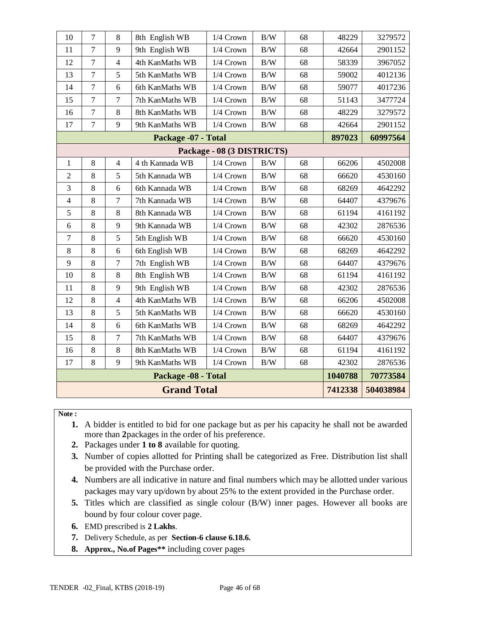| 10<br>7<br>8<br>$\rm\,B/W$<br>68<br>48229<br>8th English WB<br>1/4 Crown<br>$\overline{7}$<br>9<br>9th English WB<br>1/4 Crown<br>B/W<br>68<br>11<br>42664<br>12<br>$\overline{7}$<br>$\overline{4}$<br>4th KanMaths WB<br>1/4 Crown<br>$\rm\,B/W$<br>68<br>58339<br>5<br>13<br>$\tau$<br>B/W<br>68<br>5th KanMaths WB<br>1/4 Crown<br>59002<br>14<br>$\overline{7}$<br>6<br>B/W<br>68<br>6th KanMaths WB<br>1/4 Crown<br>59077<br>$\boldsymbol{7}$<br>15<br>$\tau$<br>7th KanMaths WB<br>$1/4$ Crown<br>$\rm\,B/W$<br>68<br>51143<br>$\tau$<br>8<br>B/W<br>68<br>48229<br>16<br>8th KanMaths WB<br>1/4 Crown<br>9<br>$\tau$<br>17<br>9th KanMaths WB<br>B/W<br>68<br>42664<br>$1/4$ Crown<br>Package -07 - Total<br>897023<br>Package - 08 (3 DISTRICTS)<br>8<br>$\overline{4}$<br>4 th Kannada WB<br>66206<br>$\mathbf{1}$<br>1/4 Crown<br>$\rm\,B/W$<br>68 | 3279572  |  |  |  |  |  |  |  |  |  |
|---------------------------------------------------------------------------------------------------------------------------------------------------------------------------------------------------------------------------------------------------------------------------------------------------------------------------------------------------------------------------------------------------------------------------------------------------------------------------------------------------------------------------------------------------------------------------------------------------------------------------------------------------------------------------------------------------------------------------------------------------------------------------------------------------------------------------------------------------------------|----------|--|--|--|--|--|--|--|--|--|
|                                                                                                                                                                                                                                                                                                                                                                                                                                                                                                                                                                                                                                                                                                                                                                                                                                                               |          |  |  |  |  |  |  |  |  |  |
|                                                                                                                                                                                                                                                                                                                                                                                                                                                                                                                                                                                                                                                                                                                                                                                                                                                               | 2901152  |  |  |  |  |  |  |  |  |  |
|                                                                                                                                                                                                                                                                                                                                                                                                                                                                                                                                                                                                                                                                                                                                                                                                                                                               | 3967052  |  |  |  |  |  |  |  |  |  |
|                                                                                                                                                                                                                                                                                                                                                                                                                                                                                                                                                                                                                                                                                                                                                                                                                                                               | 4012136  |  |  |  |  |  |  |  |  |  |
|                                                                                                                                                                                                                                                                                                                                                                                                                                                                                                                                                                                                                                                                                                                                                                                                                                                               | 4017236  |  |  |  |  |  |  |  |  |  |
|                                                                                                                                                                                                                                                                                                                                                                                                                                                                                                                                                                                                                                                                                                                                                                                                                                                               | 3477724  |  |  |  |  |  |  |  |  |  |
|                                                                                                                                                                                                                                                                                                                                                                                                                                                                                                                                                                                                                                                                                                                                                                                                                                                               | 3279572  |  |  |  |  |  |  |  |  |  |
|                                                                                                                                                                                                                                                                                                                                                                                                                                                                                                                                                                                                                                                                                                                                                                                                                                                               | 2901152  |  |  |  |  |  |  |  |  |  |
|                                                                                                                                                                                                                                                                                                                                                                                                                                                                                                                                                                                                                                                                                                                                                                                                                                                               | 60997564 |  |  |  |  |  |  |  |  |  |
|                                                                                                                                                                                                                                                                                                                                                                                                                                                                                                                                                                                                                                                                                                                                                                                                                                                               |          |  |  |  |  |  |  |  |  |  |
|                                                                                                                                                                                                                                                                                                                                                                                                                                                                                                                                                                                                                                                                                                                                                                                                                                                               | 4502008  |  |  |  |  |  |  |  |  |  |
| 5<br>$\rm\,B/W$<br>$\overline{2}$<br>8<br>5th Kannada WB<br>$1/4$ Crown<br>66620<br>68                                                                                                                                                                                                                                                                                                                                                                                                                                                                                                                                                                                                                                                                                                                                                                        | 4530160  |  |  |  |  |  |  |  |  |  |
| 3<br>6<br>6th Kannada WB<br>8<br>1/4 Crown<br>$\rm\,B/W$<br>68<br>68269                                                                                                                                                                                                                                                                                                                                                                                                                                                                                                                                                                                                                                                                                                                                                                                       | 4642292  |  |  |  |  |  |  |  |  |  |
| $\overline{7}$<br>7th Kannada WB<br>$\overline{4}$<br>8<br>1/4 Crown<br>B/W<br>68<br>64407                                                                                                                                                                                                                                                                                                                                                                                                                                                                                                                                                                                                                                                                                                                                                                    | 4379676  |  |  |  |  |  |  |  |  |  |
| 5<br>8<br>8<br>8th Kannada WB<br>$1/4$ Crown<br>B/W<br>68<br>61194                                                                                                                                                                                                                                                                                                                                                                                                                                                                                                                                                                                                                                                                                                                                                                                            | 4161192  |  |  |  |  |  |  |  |  |  |
| 8<br>9<br>9th Kannada WB<br>1/4 Crown<br>$\rm\,B/W$<br>68<br>42302<br>6                                                                                                                                                                                                                                                                                                                                                                                                                                                                                                                                                                                                                                                                                                                                                                                       | 2876536  |  |  |  |  |  |  |  |  |  |
| 5<br>$\tau$<br>8<br>5th English WB<br>$1/4$ Crown<br>$\rm\,B/W$<br>68<br>66620                                                                                                                                                                                                                                                                                                                                                                                                                                                                                                                                                                                                                                                                                                                                                                                | 4530160  |  |  |  |  |  |  |  |  |  |
| 8<br>8<br>6<br>6th English WB<br>1/4 Crown<br>$\rm\,B/W$<br>68<br>68269                                                                                                                                                                                                                                                                                                                                                                                                                                                                                                                                                                                                                                                                                                                                                                                       | 4642292  |  |  |  |  |  |  |  |  |  |
| $\overline{7}$<br>9<br>8<br>7th English WB<br>$\rm\,B/W$<br>68<br>64407<br>1/4 Crown                                                                                                                                                                                                                                                                                                                                                                                                                                                                                                                                                                                                                                                                                                                                                                          | 4379676  |  |  |  |  |  |  |  |  |  |
| $\,8\,$<br>10<br>8<br>8th English WB<br>1/4 Crown<br>$\rm B/W$<br>68<br>61194                                                                                                                                                                                                                                                                                                                                                                                                                                                                                                                                                                                                                                                                                                                                                                                 | 4161192  |  |  |  |  |  |  |  |  |  |
| 9<br>11<br>8<br>9th English WB<br>$\rm B/W$<br>1/4 Crown<br>68<br>42302                                                                                                                                                                                                                                                                                                                                                                                                                                                                                                                                                                                                                                                                                                                                                                                       | 2876536  |  |  |  |  |  |  |  |  |  |
| 12<br>8<br>$\overline{4}$<br>4th KanMaths WB<br>1/4 Crown<br>$\rm\,B/W$<br>68<br>66206                                                                                                                                                                                                                                                                                                                                                                                                                                                                                                                                                                                                                                                                                                                                                                        | 4502008  |  |  |  |  |  |  |  |  |  |
| 5<br>13<br>8<br>$\rm\,B/W$<br>5th KanMaths WB<br>1/4 Crown<br>68<br>66620                                                                                                                                                                                                                                                                                                                                                                                                                                                                                                                                                                                                                                                                                                                                                                                     | 4530160  |  |  |  |  |  |  |  |  |  |
| 14<br>8<br>6<br>1/4 Crown<br>B/W<br>68<br>68269<br>6th KanMaths WB                                                                                                                                                                                                                                                                                                                                                                                                                                                                                                                                                                                                                                                                                                                                                                                            | 4642292  |  |  |  |  |  |  |  |  |  |
| $\overline{7}$<br>8<br>15<br>7th KanMaths WB<br>1/4 Crown<br>$\rm B/W$<br>68<br>64407                                                                                                                                                                                                                                                                                                                                                                                                                                                                                                                                                                                                                                                                                                                                                                         | 4379676  |  |  |  |  |  |  |  |  |  |
| 8<br>8<br>1/4 Crown<br>B/W<br>68<br>61194<br>16<br>8th KanMaths WB                                                                                                                                                                                                                                                                                                                                                                                                                                                                                                                                                                                                                                                                                                                                                                                            | 4161192  |  |  |  |  |  |  |  |  |  |
| 8<br>9<br>17<br>9th KanMaths WB<br>1/4 Crown<br>B/W<br>68<br>42302                                                                                                                                                                                                                                                                                                                                                                                                                                                                                                                                                                                                                                                                                                                                                                                            | 2876536  |  |  |  |  |  |  |  |  |  |
| Package -08 - Total<br>1040788                                                                                                                                                                                                                                                                                                                                                                                                                                                                                                                                                                                                                                                                                                                                                                                                                                | 70773584 |  |  |  |  |  |  |  |  |  |
| <b>Grand Total</b><br>7412338<br>504038984                                                                                                                                                                                                                                                                                                                                                                                                                                                                                                                                                                                                                                                                                                                                                                                                                    |          |  |  |  |  |  |  |  |  |  |

#### **Note :**

- **1.** A bidder is entitled to bid for one package but as per his capacity he shall not be awarded more than **2**packages in the order of his preference.
- **2.** Packages under **1 to 8** available for quoting.
- **3.** Number of copies allotted for Printing shall be categorized as Free. Distribution list shall be provided with the Purchase order.
- **4.** Numbers are all indicative in nature and final numbers which may be allotted under various packages may vary up/down by about 25% to the extent provided in the Purchase order.
- **5.** Titles which are classified as single colour (B/W) inner pages. However all books are bound by four colour cover page.
- **6.** EMD prescribed is **2 Lakhs**.
- **7.** Delivery Schedule, as per **Section-6 clause 6.18.6.**
- **8. Approx., No.of Pages\*\*** including cover pages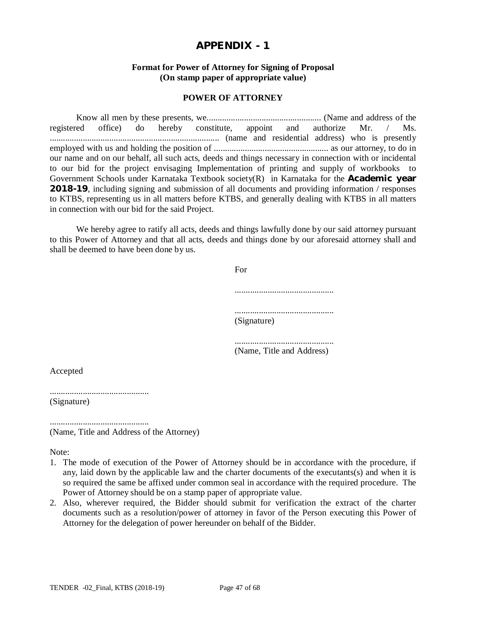#### **Format for Power of Attorney for Signing of Proposal (On stamp paper of appropriate value)**

#### **POWER OF ATTORNEY**

Know all men by these presents, we.................................................... (Name and address of the registered office) do hereby constitute, appoint and authorize Mr. / Ms. ............................................................................. (name and residential address) who is presently employed with us and holding the position of .................................................... as our attorney, to do in our name and on our behalf, all such acts, deeds and things necessary in connection with or incidental to our bid for the project envisaging Implementation of printing and supply of workbooks to Government Schools under Karnataka Textbook society(R) in Karnataka for the **Academic year 2018-19**, including signing and submission of all documents and providing information / responses to KTBS, representing us in all matters before KTBS, and generally dealing with KTBS in all matters in connection with our bid for the said Project.

We hereby agree to ratify all acts, deeds and things lawfully done by our said attorney pursuant to this Power of Attorney and that all acts, deeds and things done by our aforesaid attorney shall and shall be deemed to have been done by us.

| For         |  |
|-------------|--|
|             |  |
| (Signature) |  |
|             |  |

............................................. (Name, Title and Address)

Accepted

............................................. (Signature)

............................................. (Name, Title and Address of the Attorney)

Note:

- 1. The mode of execution of the Power of Attorney should be in accordance with the procedure, if any, laid down by the applicable law and the charter documents of the executants(s) and when it is so required the same be affixed under common seal in accordance with the required procedure. The Power of Attorney should be on a stamp paper of appropriate value.
- 2. Also, wherever required, the Bidder should submit for verification the extract of the charter documents such as a resolution/power of attorney in favor of the Person executing this Power of Attorney for the delegation of power hereunder on behalf of the Bidder.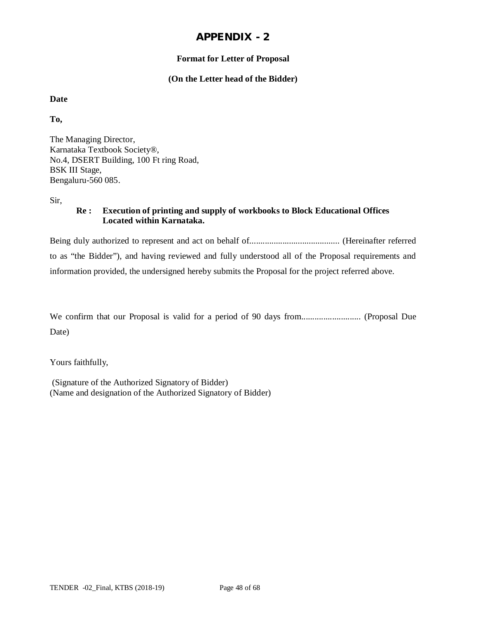## **Format for Letter of Proposal**

#### **(On the Letter head of the Bidder)**

#### **Date**

**To,**

The Managing Director, Karnataka Textbook Society®, No.4, DSERT Building, 100 Ft ring Road, BSK III Stage, Bengaluru-560 085.

Sir,

## **Re : Execution of printing and supply of workbooks to Block Educational Offices Located within Karnataka.**

Being duly authorized to represent and act on behalf of......................................... (Hereinafter referred to as "the Bidder"), and having reviewed and fully understood all of the Proposal requirements and information provided, the undersigned hereby submits the Proposal for the project referred above.

We confirm that our Proposal is valid for a period of 90 days from........................... (Proposal Due Date)

Yours faithfully,

(Signature of the Authorized Signatory of Bidder) (Name and designation of the Authorized Signatory of Bidder)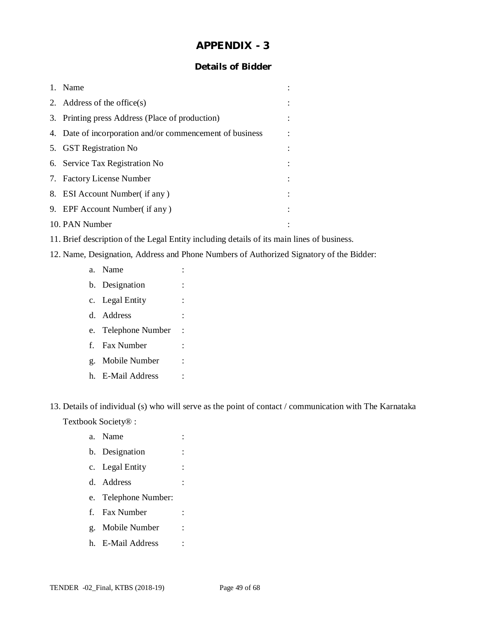## **Details of Bidder**

| 1. | Name                                                     |  |
|----|----------------------------------------------------------|--|
|    | 2. Address of the office $(s)$                           |  |
|    | 3. Printing press Address (Place of production)          |  |
|    | 4. Date of incorporation and/or commencement of business |  |
|    | 5. GST Registration No                                   |  |
|    | 6. Service Tax Registration No.                          |  |
|    | 7. Factory License Number                                |  |
|    | 8. ESI Account Number (if any)                           |  |
|    | 9. EPF Account Number (if any)                           |  |
|    | 10. PAN Number                                           |  |

- 11. Brief description of the Legal Entity including details of its main lines of business.
- 12. Name, Designation, Address and Phone Numbers of Authorized Signatory of the Bidder:
	- a. Name : b. Designation : c. Legal Entity : d. Address : e. Telephone Number : f. Fax Number : g. Mobile Number : h. E-Mail Address :

13. Details of individual (s) who will serve as the point of contact / communication with The Karnataka Textbook Society® :

- a. Name : b. Designation : c. Legal Entity : d. Address : e. Telephone Number: f. Fax Number :
- g. Mobile Number :
- h. E-Mail Address :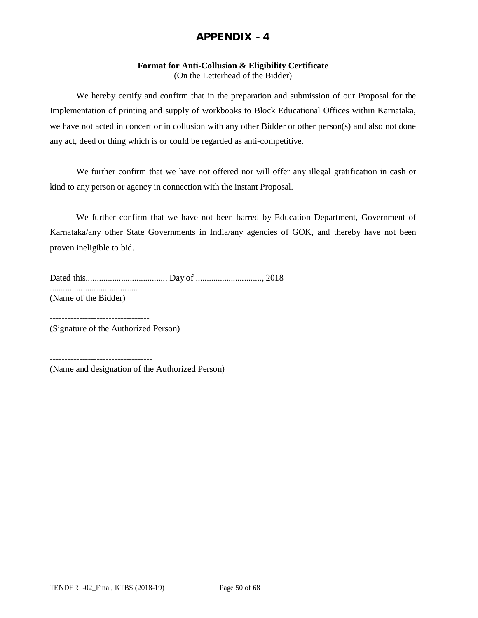#### **Format for Anti-Collusion & Eligibility Certificate**

(On the Letterhead of the Bidder)

We hereby certify and confirm that in the preparation and submission of our Proposal for the Implementation of printing and supply of workbooks to Block Educational Offices within Karnataka, we have not acted in concert or in collusion with any other Bidder or other person(s) and also not done any act, deed or thing which is or could be regarded as anti-competitive.

We further confirm that we have not offered nor will offer any illegal gratification in cash or kind to any person or agency in connection with the instant Proposal.

We further confirm that we have not been barred by Education Department, Government of Karnataka/any other State Governments in India/any agencies of GOK, and thereby have not been proven ineligible to bid.

Dated this..................................... Day of .............................., 2018 ........................................ (Name of the Bidder)

----------------------------------

(Signature of the Authorized Person)

-----------------------------------

(Name and designation of the Authorized Person)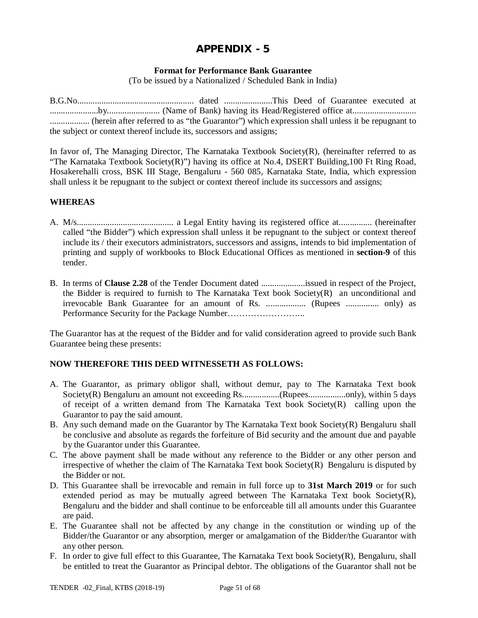#### **Format for Performance Bank Guarantee**

(To be issued by a Nationalized / Scheduled Bank in India)

B.G.No..................................................... dated ......................This Deed of Guarantee executed at ......................by........................ (Name of Bank) having its Head/Registered office at............................. .................. (herein after referred to as "the Guarantor") which expression shall unless it be repugnant to the subject or context thereof include its, successors and assigns;

In favor of, The Managing Director, The Karnataka Textbook Society( $R$ ), (hereinafter referred to as "The Karnataka Textbook Society(R)") having its office at No.4, DSERT Building,100 Ft Ring Road, Hosakerehalli cross, BSK III Stage, Bengaluru - 560 085, Karnataka State, India, which expression shall unless it be repugnant to the subject or context thereof include its successors and assigns;

## **WHEREAS**

- A. M/s............................................ a Legal Entity having its registered office at............... (hereinafter called "the Bidder") which expression shall unless it be repugnant to the subject or context thereof include its / their executors administrators, successors and assigns, intends to bid implementation of printing and supply of workbooks to Block Educational Offices as mentioned in **section-9** of this tender.
- B. In terms of **Clause 2.28** of the Tender Document dated ....................issued in respect of the Project, the Bidder is required to furnish to The Karnataka Text book Society $(R)$  an unconditional and irrevocable Bank Guarantee for an amount of Rs. .................. (Rupees ............... only) as Performance Security for the Package Number……………………...

The Guarantor has at the request of the Bidder and for valid consideration agreed to provide such Bank Guarantee being these presents:

## **NOW THEREFORE THIS DEED WITNESSETH AS FOLLOWS:**

- A. The Guarantor, as primary obligor shall, without demur, pay to The Karnataka Text book Society(R) Bengaluru an amount not exceeding Rs..................(Rupees...................only), within 5 days of receipt of a written demand from The Karnataka Text book Society(R) calling upon the Guarantor to pay the said amount.
- B. Any such demand made on the Guarantor by The Karnataka Text book Society(R) Bengaluru shall be conclusive and absolute as regards the forfeiture of Bid security and the amount due and payable by the Guarantor under this Guarantee.
- C. The above payment shall be made without any reference to the Bidder or any other person and irrespective of whether the claim of The Karnataka Text book Society(R) Bengaluru is disputed by the Bidder or not.
- D. This Guarantee shall be irrevocable and remain in full force up to **31st March 2019** or for such extended period as may be mutually agreed between The Karnataka Text book Society $(R)$ , Bengaluru and the bidder and shall continue to be enforceable till all amounts under this Guarantee are paid.
- E. The Guarantee shall not be affected by any change in the constitution or winding up of the Bidder/the Guarantor or any absorption, merger or amalgamation of the Bidder/the Guarantor with any other person.
- F. In order to give full effect to this Guarantee, The Karnataka Text book Society(R), Bengaluru, shall be entitled to treat the Guarantor as Principal debtor. The obligations of the Guarantor shall not be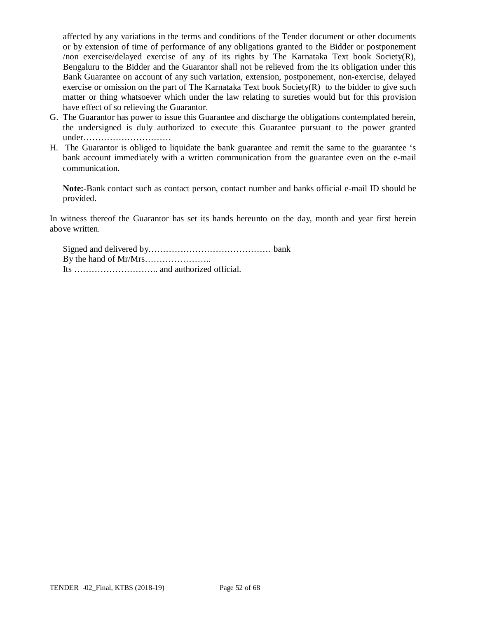affected by any variations in the terms and conditions of the Tender document or other documents or by extension of time of performance of any obligations granted to the Bidder or postponement /non exercise/delayed exercise of any of its rights by The Karnataka Text book Society(R), Bengaluru to the Bidder and the Guarantor shall not be relieved from the its obligation under this Bank Guarantee on account of any such variation, extension, postponement, non-exercise, delayed exercise or omission on the part of The Karnataka Text book Society(R) to the bidder to give such matter or thing whatsoever which under the law relating to sureties would but for this provision have effect of so relieving the Guarantor.

- G. The Guarantor has power to issue this Guarantee and discharge the obligations contemplated herein, the undersigned is duly authorized to execute this Guarantee pursuant to the power granted under…………………………
- H. The Guarantor is obliged to liquidate the bank guarantee and remit the same to the guarantee 's bank account immediately with a written communication from the guarantee even on the e-mail communication.

**Note:-**Bank contact such as contact person, contact number and banks official e-mail ID should be provided.

In witness thereof the Guarantor has set its hands hereunto on the day, month and year first herein above written.

Signed and delivered by…………………………………… bank By the hand of Mr/Mrs………………….. Its ……………………….. and authorized official.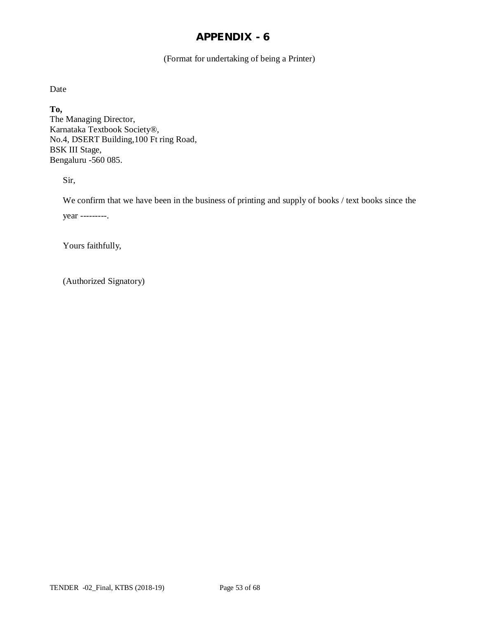(Format for undertaking of being a Printer)

Date

**To,** The Managing Director, Karnataka Textbook Society®, No.4, DSERT Building,100 Ft ring Road, BSK III Stage, Bengaluru -560 085.

Sir,

We confirm that we have been in the business of printing and supply of books / text books since the year ---------.

Yours faithfully,

(Authorized Signatory)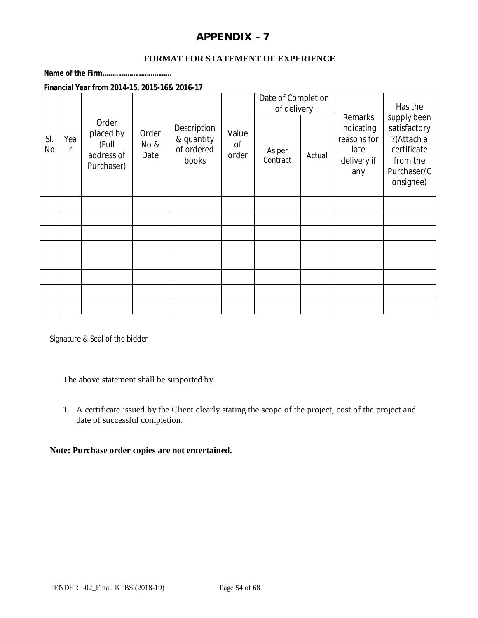#### **FORMAT FOR STATEMENT OF EXPERIENCE**

**Name of the Firm………………………………**

**Financial Year from 2014-15, 2015-16& 2016-17**

|           |          |                                                         |                       |                                                  |                      | Date of Completion<br>of delivery |        |                                                                    | Has the                                                                                          |
|-----------|----------|---------------------------------------------------------|-----------------------|--------------------------------------------------|----------------------|-----------------------------------|--------|--------------------------------------------------------------------|--------------------------------------------------------------------------------------------------|
| SI.<br>No | Yea<br>r | Order<br>placed by<br>(Full<br>address of<br>Purchaser) | Order<br>No &<br>Date | Description<br>& quantity<br>of ordered<br>books | Value<br>Οf<br>order | As per<br>Contract                | Actual | Remarks<br>Indicating<br>reasons for<br>late<br>delivery if<br>any | supply been<br>satisfactory<br>?(Attach a<br>certificate<br>from the<br>Purchaser/C<br>onsignee) |
|           |          |                                                         |                       |                                                  |                      |                                   |        |                                                                    |                                                                                                  |
|           |          |                                                         |                       |                                                  |                      |                                   |        |                                                                    |                                                                                                  |
|           |          |                                                         |                       |                                                  |                      |                                   |        |                                                                    |                                                                                                  |
|           |          |                                                         |                       |                                                  |                      |                                   |        |                                                                    |                                                                                                  |
|           |          |                                                         |                       |                                                  |                      |                                   |        |                                                                    |                                                                                                  |
|           |          |                                                         |                       |                                                  |                      |                                   |        |                                                                    |                                                                                                  |
|           |          |                                                         |                       |                                                  |                      |                                   |        |                                                                    |                                                                                                  |
|           |          |                                                         |                       |                                                  |                      |                                   |        |                                                                    |                                                                                                  |

Signature & Seal of the bidder

The above statement shall be supported by

1. A certificate issued by the Client clearly stating the scope of the project, cost of the project and date of successful completion.

#### **Note: Purchase order copies are not entertained.**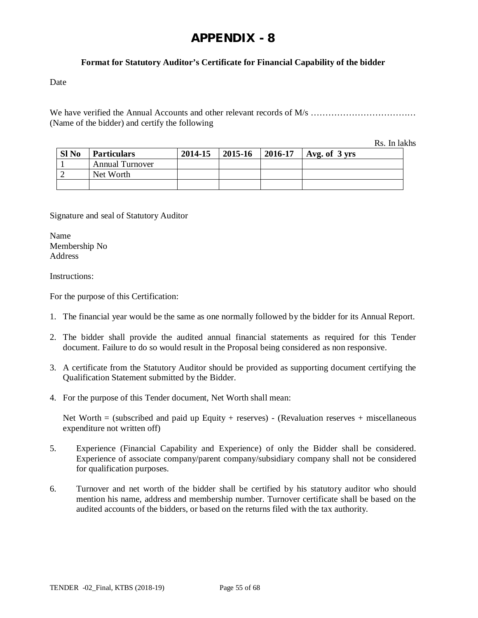## **Format for Statutory Auditor's Certificate for Financial Capability of the bidder**

Date

We have verified the Annual Accounts and other relevant records of M/s ………………………………………… (Name of the bidder) and certify the following

Rs. In lakhs

| Sl <sub>No</sub> | <b>Particulars</b>     | 2014-15 | $12015 - 16$ | 2016-17 | $\vert$ Avg. of 3 yrs |
|------------------|------------------------|---------|--------------|---------|-----------------------|
|                  | <b>Annual Turnover</b> |         |              |         |                       |
|                  | Net Worth              |         |              |         |                       |
|                  |                        |         |              |         |                       |

Signature and seal of Statutory Auditor

Name Membership No Address

Instructions:

For the purpose of this Certification:

- 1. The financial year would be the same as one normally followed by the bidder for its Annual Report.
- 2. The bidder shall provide the audited annual financial statements as required for this Tender document. Failure to do so would result in the Proposal being considered as non responsive.
- 3. A certificate from the Statutory Auditor should be provided as supporting document certifying the Qualification Statement submitted by the Bidder.
- 4. For the purpose of this Tender document, Net Worth shall mean:

Net Worth  $=$  (subscribed and paid up Equity + reserves) - (Revaluation reserves + miscellaneous expenditure not written off)

- 5. Experience (Financial Capability and Experience) of only the Bidder shall be considered. Experience of associate company/parent company/subsidiary company shall not be considered for qualification purposes.
- 6. Turnover and net worth of the bidder shall be certified by his statutory auditor who should mention his name, address and membership number. Turnover certificate shall be based on the audited accounts of the bidders, or based on the returns filed with the tax authority.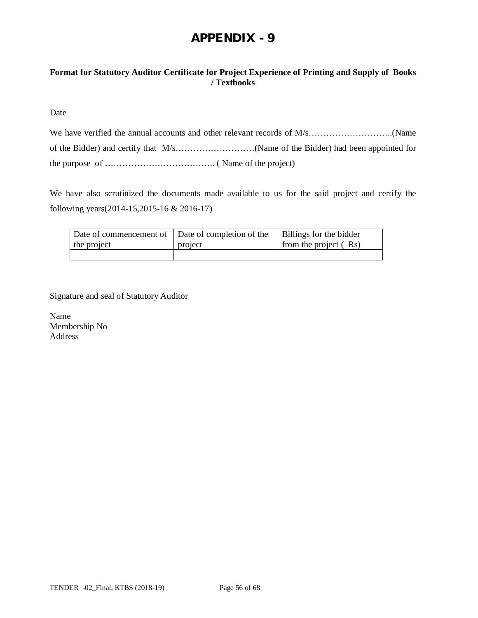## **Format for Statutory Auditor Certificate for Project Experience of Printing and Supply of Books / Textbooks**

Date

We have also scrutinized the documents made available to us for the said project and certify the following years(2014-15,2015-16 & 2016-17)

| Date of commencement of Date of completion of the |         | Billings for the bidder |
|---------------------------------------------------|---------|-------------------------|
| the project                                       | project | from the project (Rs)   |
|                                                   |         |                         |

Signature and seal of Statutory Auditor

Name Membership No Address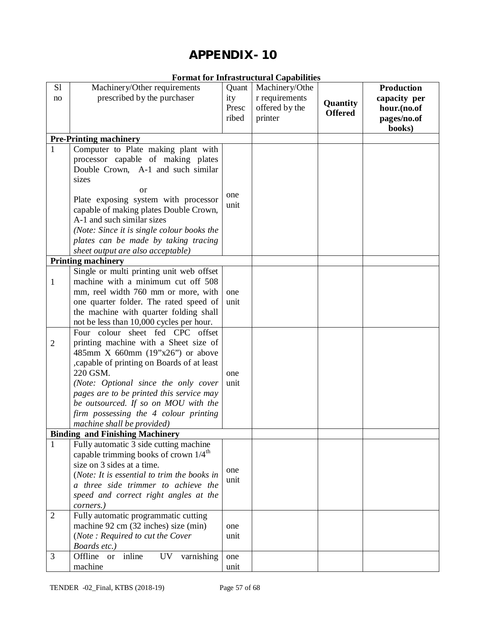|                |                                                                                                                                                                                                                                                                                                                                                                                      |                                | FULTRAL TOT THEFASH UCTURAL CAPADITITIES                      |                            |                                                                           |
|----------------|--------------------------------------------------------------------------------------------------------------------------------------------------------------------------------------------------------------------------------------------------------------------------------------------------------------------------------------------------------------------------------------|--------------------------------|---------------------------------------------------------------|----------------------------|---------------------------------------------------------------------------|
| S1<br>no       | Machinery/Other requirements<br>prescribed by the purchaser                                                                                                                                                                                                                                                                                                                          | Quant<br>ity<br>Presc<br>ribed | Machinery/Othe<br>r requirements<br>offered by the<br>printer | Quantity<br><b>Offered</b> | <b>Production</b><br>capacity per<br>hour.(no.of<br>pages/no.of<br>books) |
|                | <b>Pre-Printing machinery</b>                                                                                                                                                                                                                                                                                                                                                        |                                |                                                               |                            |                                                                           |
| $\mathbf{1}$   | Computer to Plate making plant with<br>processor capable of making plates<br>Double Crown, A-1 and such similar<br>sizes<br><sub>or</sub><br>Plate exposing system with processor<br>capable of making plates Double Crown,<br>A-1 and such similar sizes<br>(Note: Since it is single colour books the<br>plates can be made by taking tracing<br>sheet output are also acceptable) | one<br>unit                    |                                                               |                            |                                                                           |
|                | <b>Printing machinery</b>                                                                                                                                                                                                                                                                                                                                                            |                                |                                                               |                            |                                                                           |
| 1              | Single or multi printing unit web offset<br>machine with a minimum cut off 508<br>mm, reel width 760 mm or more, with<br>one quarter folder. The rated speed of<br>the machine with quarter folding shall<br>not be less than 10,000 cycles per hour.                                                                                                                                | one<br>unit                    |                                                               |                            |                                                                           |
| $\overline{2}$ | Four colour sheet fed CPC offset<br>printing machine with a Sheet size of<br>485mm X 660mm $(19"x26")$ or above<br>, capable of printing on Boards of at least<br>220 GSM.<br>(Note: Optional since the only cover<br>pages are to be printed this service may<br>be outsourced. If so on MOU with the<br>firm possessing the 4 colour printing<br>machine shall be provided)        | one<br>unit                    |                                                               |                            |                                                                           |
|                | <b>Binding and Finishing Machinery</b>                                                                                                                                                                                                                                                                                                                                               |                                |                                                               |                            |                                                                           |
| 1              | Fully automatic 3 side cutting machine<br>capable trimming books of crown $1/4^{\text{th}}$<br>size on 3 sides at a time.<br>(Note: It is essential to trim the books in<br>a three side trimmer to achieve the<br>speed and correct right angles at the<br>corners.)                                                                                                                | one<br>unit                    |                                                               |                            |                                                                           |
| $\overline{2}$ | Fully automatic programmatic cutting<br>machine 92 cm (32 inches) size (min)<br>(Note: Required to cut the Cover<br>Boards etc.)                                                                                                                                                                                                                                                     | one<br>unit                    |                                                               |                            |                                                                           |
| 3              | Offline<br>inline<br>varnishing<br><b>or</b><br>UV                                                                                                                                                                                                                                                                                                                                   | one                            |                                                               |                            |                                                                           |
|                | machine                                                                                                                                                                                                                                                                                                                                                                              | unit                           |                                                               |                            |                                                                           |

## **Format for Infrastructural Capabilities**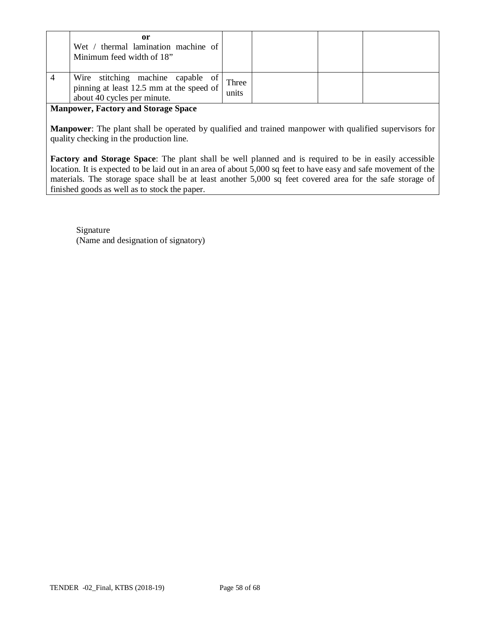| or<br>Wet / thermal lamination machine of<br>Minimum feed width of 18"                                       |                |  |  |
|--------------------------------------------------------------------------------------------------------------|----------------|--|--|
| Wire stitching machine capable of<br>pinning at least 12.5 mm at the speed of<br>about 40 cycles per minute. | Three<br>units |  |  |

**Manpower, Factory and Storage Space**

**Manpower**: The plant shall be operated by qualified and trained manpower with qualified supervisors for quality checking in the production line.

**Factory and Storage Space**: The plant shall be well planned and is required to be in easily accessible location. It is expected to be laid out in an area of about 5,000 sq feet to have easy and safe movement of the materials. The storage space shall be at least another 5,000 sq feet covered area for the safe storage of finished goods as well as to stock the paper.

Signature (Name and designation of signatory)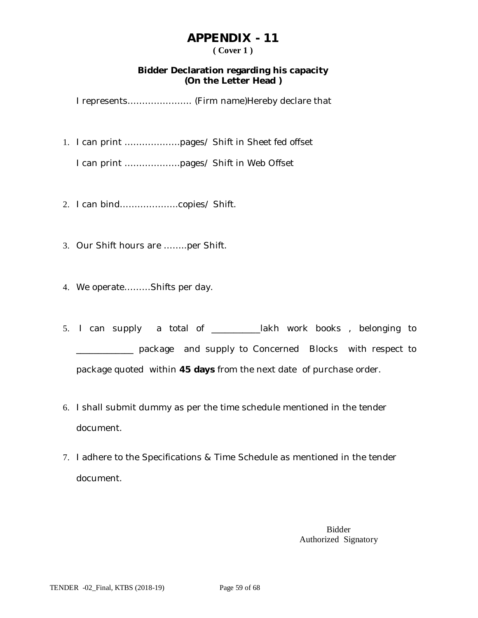## **( Cover 1 )**

## **Bidder Declaration regarding his capacity (On the Letter Head )**

I represents…………………. (Firm name)Hereby declare that

1. I can print ……………….pages/ Shift in Sheet fed offset

I can print ……………….pages/ Shift in Web Offset

- 2. I can bind………………..copies/ Shift.
- 3. Our Shift hours are ……..per Shift.
- 4. We operate………Shifts per day.
- 5. I can supply a total of \_\_\_\_\_\_\_\_\_\_\_lakh work books , belonging to \_\_\_\_\_\_\_\_\_\_\_\_\_ package and supply to Concerned Blocks with respect to package quoted within **45 days** from the next date of purchase order.
- 6. I shall submit dummy as per the time schedule mentioned in the tender document.
- 7. I adhere to the Specifications & Time Schedule as mentioned in the tender document.

Bidder Authorized Signatory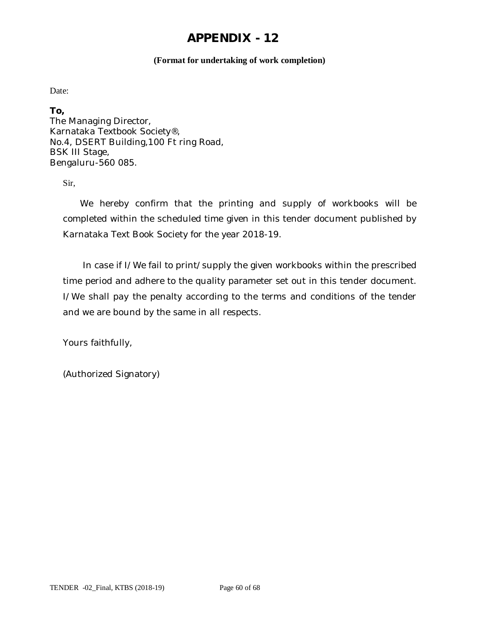#### **(Format for undertaking of work completion)**

Date:

**To,**

The Managing Director, Karnataka Textbook Society®, No.4, DSERT Building,100 Ft ring Road, BSK III Stage, Bengaluru-560 085.

Sir,

 We hereby confirm that the printing and supply of workbooks will be completed within the scheduled time given in this tender document published by Karnataka Text Book Society for the year 2018-19.

 In case if I/We fail to print/supply the given workbooks within the prescribed time period and adhere to the quality parameter set out in this tender document. I/We shall pay the penalty according to the terms and conditions of the tender and we are bound by the same in all respects.

Yours faithfully,

(Authorized Signatory)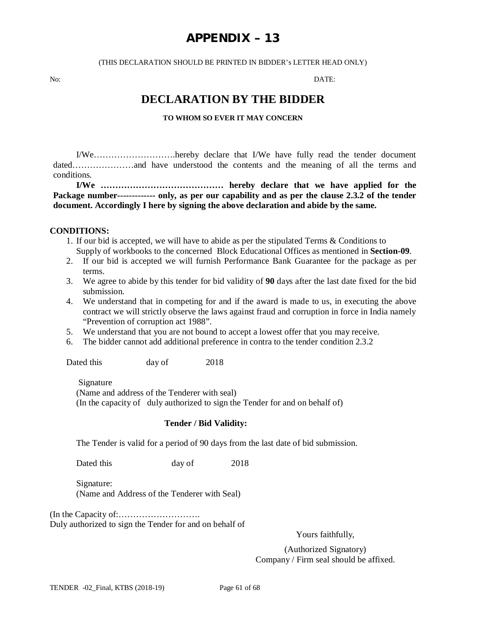## **APPENDIX – 13**

#### (THIS DECLARATION SHOULD BE PRINTED IN BIDDER's LETTER HEAD ONLY)

No: DATE:

## **DECLARATION BY THE BIDDER**

#### **TO WHOM SO EVER IT MAY CONCERN**

I/We……………………….hereby declare that I/We have fully read the tender document dated…………………and have understood the contents and the meaning of all the terms and conditions.

**I/We …………………………………… hereby declare that we have applied for the Package number------------- only, as per our capability and as per the clause 2.3.2 of the tender document. Accordingly I here by signing the above declaration and abide by the same.**

#### **CONDITIONS:**

- 1. If our bid is accepted, we will have to abide as per the stipulated Terms & Conditions to Supply of workbooks to the concerned Block Educational Offices as mentioned in **Section-09**.
- 2. If our bid is accepted we will furnish Performance Bank Guarantee for the package as per terms.
- 3. We agree to abide by this tender for bid validity of **90** days after the last date fixed for the bid submission.
- 4. We understand that in competing for and if the award is made to us, in executing the above contract we will strictly observe the laws against fraud and corruption in force in India namely "Prevention of corruption act 1988".
- 5. We understand that you are not bound to accept a lowest offer that you may receive.
- 6. The bidder cannot add additional preference in contra to the tender condition 2.3.2

Dated this day of 2018

Signature

(Name and address of the Tenderer with seal) (In the capacity of duly authorized to sign the Tender for and on behalf of)

#### **Tender / Bid Validity:**

The Tender is valid for a period of 90 days from the last date of bid submission.

Dated this day of 2018

Signature: (Name and Address of the Tenderer with Seal)

(In the Capacity of:………………………. Duly authorized to sign the Tender for and on behalf of

Yours faithfully,

(Authorized Signatory) Company / Firm seal should be affixed.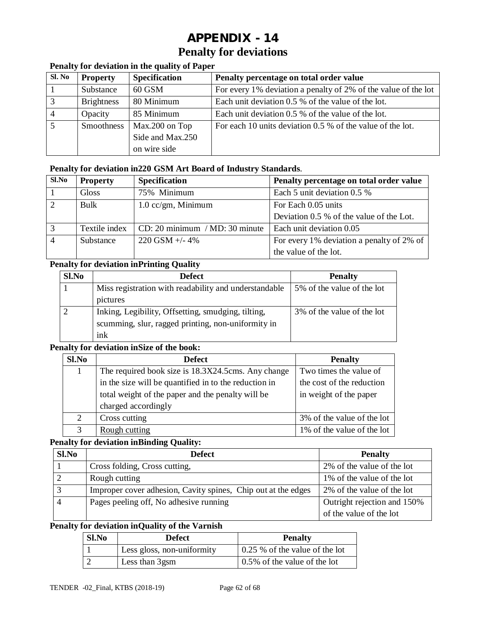# **APPENDIX - 14 Penalty for deviations**

## **Penalty for deviation in the quality of Paper**

| Sl. No | <b>Property</b>   | <b>Specification</b> | Penalty percentage on total order value                        |
|--------|-------------------|----------------------|----------------------------------------------------------------|
|        | Substance         | $60$ GSM             | For every 1% deviation a penalty of 2% of the value of the lot |
| 3      | <b>Brightness</b> | 80 Minimum           | Each unit deviation 0.5 % of the value of the lot.             |
|        | Opacity           | 85 Minimum           | Each unit deviation 0.5 % of the value of the lot.             |
|        | Smoothness        | Max.200 on Top       | For each 10 units deviation 0.5 % of the value of the lot.     |
|        |                   | Side and Max.250     |                                                                |
|        |                   | on wire side         |                                                                |

#### **Penalty for deviation in220 GSM Art Board of Industry Standards**.

| $Sl$ . No | <b>Property</b> | <b>Specification</b>             | Penalty percentage on total order value   |
|-----------|-----------------|----------------------------------|-------------------------------------------|
|           | Gloss           | 75% Minimum                      | Each 5 unit deviation 0.5 %               |
| $\gamma$  | Bulk            | $1.0$ cc/gm, Minimum             | For Each 0.05 units                       |
|           |                 |                                  | Deviation 0.5 % of the value of the Lot.  |
|           | Textile index   | $CD: 20$ minimum / MD: 30 minute | Each unit deviation 0.05                  |
|           | Substance       | $220$ GSM +/- 4%                 | For every 1% deviation a penalty of 2% of |
|           |                 |                                  | the value of the lot.                     |

## **Penalty for deviation inPrinting Quality**

| Sl.No | <b>Defect</b>                                         | <b>Penalty</b>             |
|-------|-------------------------------------------------------|----------------------------|
|       | Miss registration with readability and understandable | 5% of the value of the lot |
|       | pictures                                              |                            |
|       | Inking, Legibility, Offsetting, smudging, tilting,    | 3% of the value of the lot |
|       | scumming, slur, ragged printing, non-uniformity in    |                            |
|       | ink                                                   |                            |

#### **Penalty for deviation inSize of the book:**

| Sl.No | <b>Defect</b>                                         | <b>Penalty</b>             |
|-------|-------------------------------------------------------|----------------------------|
|       | The required book size is 18.3X24.5cms. Any change    | Two times the value of     |
|       | in the size will be quantified in to the reduction in | the cost of the reduction  |
|       | total weight of the paper and the penalty will be     | in weight of the paper     |
|       | charged accordingly                                   |                            |
|       | Cross cutting                                         | 3% of the value of the lot |
|       | Rough cutting                                         | 1% of the value of the lot |

#### **Penalty for deviation inBinding Quality:**

| Sl.No | <b>Defect</b>                                                 | <b>Penalty</b>              |
|-------|---------------------------------------------------------------|-----------------------------|
|       | Cross folding, Cross cutting,                                 | 2% of the value of the lot  |
|       | Rough cutting                                                 | 1% of the value of the lot  |
|       | Improper cover adhesion, Cavity spines, Chip out at the edges | 2% of the value of the lot  |
|       | Pages peeling off, No adhesive running                        | Outright rejection and 150% |
|       |                                                               | of the value of the lot     |

## **Penalty for deviation inQuality of the Varnish**

| <b>Sl.No</b> | <b>Defect</b>              | <b>Penalty</b>                               |
|--------------|----------------------------|----------------------------------------------|
|              | Less gloss, non-uniformity | $\vert 0.25 \rangle$ of the value of the lot |
|              | Less than 3gsm             | 0.5% of the value of the lot                 |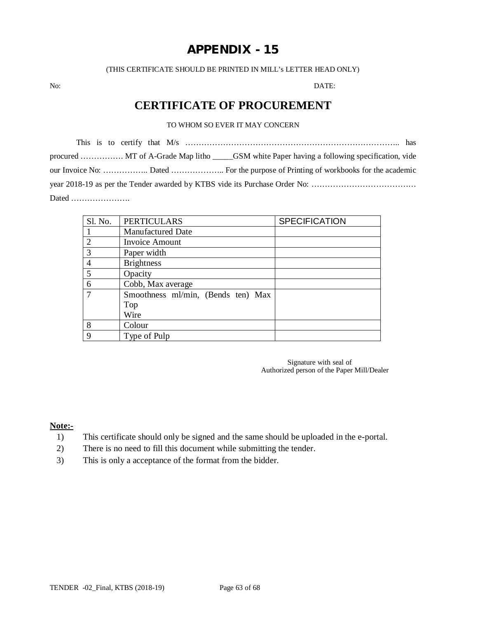(THIS CERTIFICATE SHOULD BE PRINTED IN MILL's LETTER HEAD ONLY)

No: DATE:

## **CERTIFICATE OF PROCUREMENT**

#### TO WHOM SO EVER IT MAY CONCERN

This is to certify that M/s …………………………………………………………………….. has procured ……………. MT of A-Grade Map litho \_\_\_\_\_GSM white Paper having a following specification, vide our Invoice No: …………….. Dated ……………….. For the purpose of Printing of workbooks for the academic year 2018-19 as per the Tender awarded by KTBS vide its Purchase Order No: ………………………………… Dated ………………….

| Sl. No.       | <b>PERTICULARS</b>                 | <b>SPECIFICATION</b> |
|---------------|------------------------------------|----------------------|
|               | <b>Manufactured Date</b>           |                      |
| $\mathcal{D}$ | <b>Invoice Amount</b>              |                      |
| $\mathcal{R}$ | Paper width                        |                      |
|               | <b>Brightness</b>                  |                      |
| 5             | Opacity                            |                      |
| 6             | Cobb, Max average                  |                      |
| 7             | Smoothness ml/min, (Bends ten) Max |                      |
|               | Top                                |                      |
|               | Wire                               |                      |
| 8             | Colour                             |                      |
| 9             | Type of Pulp                       |                      |

Signature with seal of Authorized person of the Paper Mill/Dealer

#### **Note:-**

- 1) This certificate should only be signed and the same should be uploaded in the e-portal.
- 2) There is no need to fill this document while submitting the tender.
- 3) This is only a acceptance of the format from the bidder.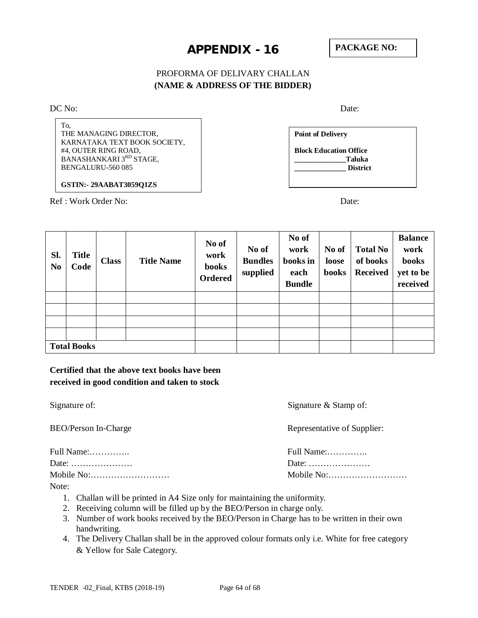## PROFORMA OF DELIVARY CHALLAN **(NAME & ADDRESS OF THE BIDDER)**

DC No: Date:

To, THE MANAGING DIRECTOR, KARNATAKA TEXT BOOK SOCIETY, #4, OUTER RING ROAD, BANASHANKARI 3RD STAGE, BENGALURU-560 085

**GSTIN:- 29AABAT3059Q1ZS**

Ref : Work Order No: Date:

**Point of Delivery Block Education Office \_\_\_\_\_\_\_\_\_\_\_\_\_\_Taluka \_\_\_\_\_\_\_\_\_\_\_\_\_\_ District**

| Sl.<br>N <sub>0</sub> | <b>Title</b><br>Code | <b>Class</b> | <b>Title Name</b> | No of<br>work<br><b>books</b><br>Ordered | No of<br><b>Bundles</b><br>supplied | No of<br>work<br>books in<br>each<br><b>Bundle</b> | No of<br>loose<br><b>books</b> | <b>Total No</b><br>of books<br><b>Received</b> | <b>Balance</b><br>work<br>books<br>yet to be<br>received |
|-----------------------|----------------------|--------------|-------------------|------------------------------------------|-------------------------------------|----------------------------------------------------|--------------------------------|------------------------------------------------|----------------------------------------------------------|
|                       |                      |              |                   |                                          |                                     |                                                    |                                |                                                |                                                          |
|                       |                      |              |                   |                                          |                                     |                                                    |                                |                                                |                                                          |
|                       |                      |              |                   |                                          |                                     |                                                    |                                |                                                |                                                          |
|                       |                      |              |                   |                                          |                                     |                                                    |                                |                                                |                                                          |
|                       | <b>Total Books</b>   |              |                   |                                          |                                     |                                                    |                                |                                                |                                                          |

## **Certified that the above text books have been received in good condition and taken to stock**

| Signature of:               | Signature $&$ Stamp of:                          |
|-----------------------------|--------------------------------------------------|
| <b>BEO/Person In-Charge</b> | Representative of Supplier:                      |
| Full Name:                  | Full Name:                                       |
| Date:                       | Date: $\dots\dots\dots\dots\dots\dots\dots\dots$ |
| Mobile No:                  |                                                  |

Note:

- 1. Challan will be printed in A4 Size only for maintaining the uniformity.
- 2. Receiving column will be filled up by the BEO/Person in charge only.
- 3. Number of work books received by the BEO/Person in Charge has to be written in their own handwriting.
- 4. The Delivery Challan shall be in the approved colour formats only i.e. White for free category & Yellow for Sale Category.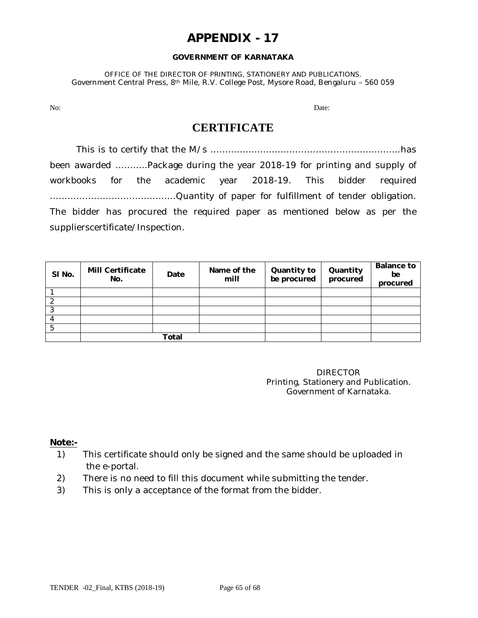#### **GOVERNMENT OF KARNATAKA**

OFFICE OF THE DIRECTOR OF PRINTING, STATIONERY AND PUBLICATIONS. Government Central Press, 8th Mile, R.V. College Post, Mysore Road, Bengaluru – 560 059

No: Date: Department of the contract of the contract of the contract of the contract of the contract of the contract of the contract of the contract of the contract of the contract of the contract of the contract of the co

## **CERTIFICATE**

This is to certify that the M/s ………………………………………………………..has been awarded ………..Package during the year 2018-19 for printing and supply of workbooks for the academic year 2018-19. This bidder required …………………………………….Quantity of paper for fulfillment of tender obligation. The bidder has procured the required paper as mentioned below as per the supplierscertificate/Inspection.

| SI No. | <b>Mill Certificate</b><br>No. | Date | Name of the<br>mill | Quantity to<br>be procured | Quantity<br>procured | <b>Balance to</b><br>be<br>procured |
|--------|--------------------------------|------|---------------------|----------------------------|----------------------|-------------------------------------|
|        |                                |      |                     |                            |                      |                                     |
|        |                                |      |                     |                            |                      |                                     |
| റ      |                                |      |                     |                            |                      |                                     |
|        |                                |      |                     |                            |                      |                                     |
|        |                                |      |                     |                            |                      |                                     |
|        | Total                          |      |                     |                            |                      |                                     |

DIRECTOR Printing, Stationery and Publication. Government of Karnataka.

#### **Note:-**

- 1) This certificate should only be signed and the same should be uploaded in the e-portal.
- 2) There is no need to fill this document while submitting the tender.
- 3) This is only a acceptance of the format from the bidder.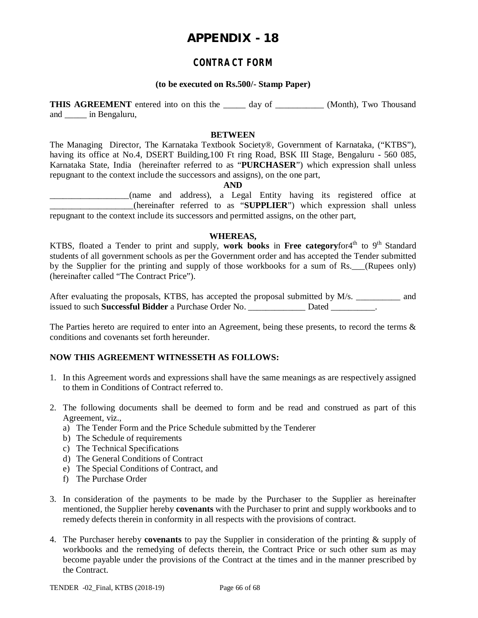## **CONTRACT FORM**

#### **(to be executed on Rs.500/- Stamp Paper)**

**THIS AGREEMENT** entered into on this the day of (Month), Two Thousand and \_\_\_\_\_ in Bengaluru,

#### **BETWEEN**

The Managing Director, The Karnataka Textbook Society®, Government of Karnataka, ("KTBS"), having its office at No.4, DSERT Building,100 Ft ring Road, BSK III Stage, Bengaluru - 560 085, Karnataka State, India (hereinafter referred to as "**PURCHASER**") which expression shall unless repugnant to the context include the successors and assigns), on the one part,

**AND**

\_\_\_\_\_\_\_\_\_\_\_\_\_\_\_\_\_\_(name and address), a Legal Entity having its registered office at \_\_\_\_\_\_\_\_\_\_\_\_\_\_\_\_\_\_\_(hereinafter referred to as "**SUPPLIER**") which expression shall unless repugnant to the context include its successors and permitted assigns, on the other part,

#### **WHEREAS,**

KTBS, floated a Tender to print and supply, work books in Free categoryfor4<sup>th</sup> to 9<sup>th</sup> Standard students of all government schools as per the Government order and has accepted the Tender submitted by the Supplier for the printing and supply of those workbooks for a sum of Rs.\_\_\_(Rupees only) (hereinafter called "The Contract Price").

After evaluating the proposals, KTBS, has accepted the proposal submitted by M/s. \_\_\_\_\_\_\_\_\_\_ and issued to such **Successful Bidder** a Purchase Order No. \_\_\_\_\_\_\_\_\_\_\_\_\_ Dated \_\_\_\_\_\_\_\_\_\_.

The Parties hereto are required to enter into an Agreement, being these presents, to record the terms & conditions and covenants set forth hereunder.

#### **NOW THIS AGREEMENT WITNESSETH AS FOLLOWS:**

- 1. In this Agreement words and expressions shall have the same meanings as are respectively assigned to them in Conditions of Contract referred to.
- 2. The following documents shall be deemed to form and be read and construed as part of this Agreement, viz.,
	- a) The Tender Form and the Price Schedule submitted by the Tenderer
	- b) The Schedule of requirements
	- c) The Technical Specifications
	- d) The General Conditions of Contract
	- e) The Special Conditions of Contract, and
	- f) The Purchase Order
- 3. In consideration of the payments to be made by the Purchaser to the Supplier as hereinafter mentioned, the Supplier hereby **covenants** with the Purchaser to print and supply workbooks and to remedy defects therein in conformity in all respects with the provisions of contract.
- 4. The Purchaser hereby **covenants** to pay the Supplier in consideration of the printing & supply of workbooks and the remedying of defects therein, the Contract Price or such other sum as may become payable under the provisions of the Contract at the times and in the manner prescribed by the Contract.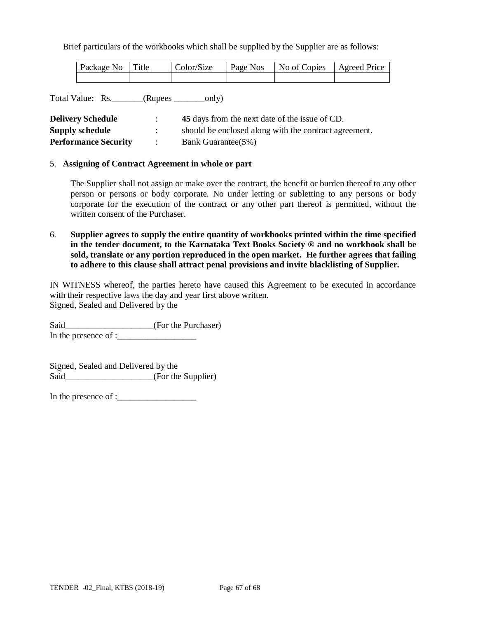Brief particulars of the workbooks which shall be supplied by the Supplier are as follows:

| Package No Title | Color/Size | Page Nos No of Copies Agreed Price |  |
|------------------|------------|------------------------------------|--|
|                  |            |                                    |  |

Total Value: Rs.\_\_\_\_\_\_\_(Rupees \_\_\_\_\_\_\_only)

| <b>Delivery Schedule</b>    | 45 days from the next date of the issue of CD.        |
|-----------------------------|-------------------------------------------------------|
| <b>Supply schedule</b>      | should be enclosed along with the contract agreement. |
| <b>Performance Security</b> | <b>Bank Guarantee</b> (5%)                            |

#### 5. **Assigning of Contract Agreement in whole or part**

The Supplier shall not assign or make over the contract, the benefit or burden thereof to any other person or persons or body corporate. No under letting or subletting to any persons or body corporate for the execution of the contract or any other part thereof is permitted, without the written consent of the Purchaser.

6. **Supplier agrees to supply the entire quantity of workbooks printed within the time specified in the tender document, to the Karnataka Text Books Society ® and no workbook shall be sold, translate or any portion reproduced in the open market. He further agrees that failing to adhere to this clause shall attract penal provisions and invite blacklisting of Supplier.**

IN WITNESS whereof, the parties hereto have caused this Agreement to be executed in accordance with their respective laws the day and year first above written. Signed, Sealed and Delivered by the

Said\_\_\_\_\_\_\_\_\_\_\_\_\_\_\_\_\_\_(For the Purchaser)

In the presence of : $\qquad \qquad$ 

Signed, Sealed and Delivered by the Said\_\_\_\_\_\_\_\_\_\_\_\_\_\_\_\_\_\_(For the Supplier)

In the presence of : $\frac{1}{2}$